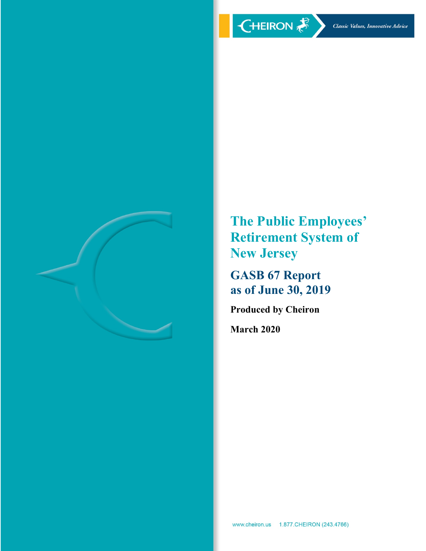

**The Public Employees' Retirement System of New Jersey**

**GASB 67 Report as of June 30, 2019**

**Produced by Cheiron**

**March 2020**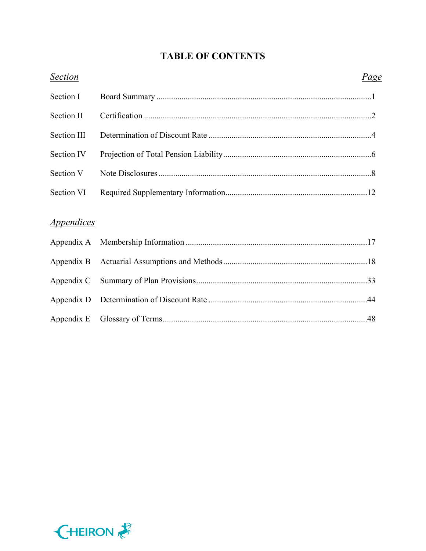# **TABLE OF CONTENTS**

| <b>Section</b>                  | <u>Page</u> |
|---------------------------------|-------------|
| Section I                       |             |
| Section II                      |             |
| Section III                     |             |
| Section IV                      |             |
| Section V                       |             |
| Section VI                      |             |
|                                 |             |
| <i><u><b>Appendices</b></u></i> |             |
| Appendix A                      |             |
| Appendix B                      |             |
| Appendix C                      |             |
| Appendix D                      |             |
| Appendix E                      |             |

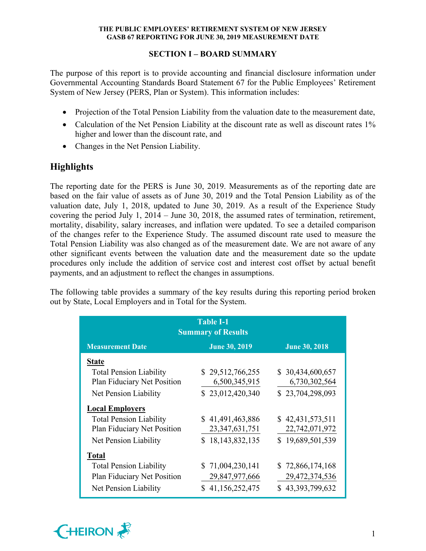# **SECTION I – BOARD SUMMARY**

The purpose of this report is to provide accounting and financial disclosure information under Governmental Accounting Standards Board Statement 67 for the Public Employees' Retirement System of New Jersey (PERS, Plan or System). This information includes:

- Projection of the Total Pension Liability from the valuation date to the measurement date,
- Calculation of the Net Pension Liability at the discount rate as well as discount rates 1% higher and lower than the discount rate, and
- Changes in the Net Pension Liability.

# **Highlights**

The reporting date for the PERS is June 30, 2019. Measurements as of the reporting date are based on the fair value of assets as of June 30, 2019 and the Total Pension Liability as of the valuation date, July 1, 2018, updated to June 30, 2019. As a result of the Experience Study covering the period July 1, 2014 – June 30, 2018, the assumed rates of termination, retirement, mortality, disability, salary increases, and inflation were updated. To see a detailed comparison of the changes refer to the Experience Study. The assumed discount rate used to measure the Total Pension Liability was also changed as of the measurement date. We are not aware of any other significant events between the valuation date and the measurement date so the update procedures only include the addition of service cost and interest cost offset by actual benefit payments, and an adjustment to reflect the changes in assumptions.

The following table provides a summary of the key results during this reporting period broken out by State, Local Employers and in Total for the System.

| <b>Table I-1</b><br><b>Summary of Results</b>                                          |                                                        |                                                        |  |  |  |  |  |  |
|----------------------------------------------------------------------------------------|--------------------------------------------------------|--------------------------------------------------------|--|--|--|--|--|--|
| <b>Measurement Date</b>                                                                | <b>June 30, 2019</b>                                   | <b>June 30, 2018</b>                                   |  |  |  |  |  |  |
| <b>State</b>                                                                           |                                                        |                                                        |  |  |  |  |  |  |
| <b>Total Pension Liability</b><br>Plan Fiduciary Net Position                          | \$29,512,766,255<br>6,500,345,915                      | \$30,434,600,657<br>6,730,302,564                      |  |  |  |  |  |  |
| Net Pension Liability                                                                  | \$23,012,420,340                                       | \$23,704,298,093                                       |  |  |  |  |  |  |
| <b>Local Employers</b>                                                                 |                                                        |                                                        |  |  |  |  |  |  |
| <b>Total Pension Liability</b><br>Plan Fiduciary Net Position                          | \$41,491,463,886<br>23, 347, 631, 751                  | \$42,431,573,511<br>22,742,071,972                     |  |  |  |  |  |  |
| Net Pension Liability                                                                  | \$18,143,832,135                                       | \$19,689,501,539                                       |  |  |  |  |  |  |
| <b>Total</b>                                                                           |                                                        |                                                        |  |  |  |  |  |  |
| <b>Total Pension Liability</b><br>Plan Fiduciary Net Position<br>Net Pension Liability | \$71,004,230,141<br>29,847,977,666<br>\$41,156,252,475 | \$72,866,174,168<br>29,472,374,536<br>\$43,393,799,632 |  |  |  |  |  |  |

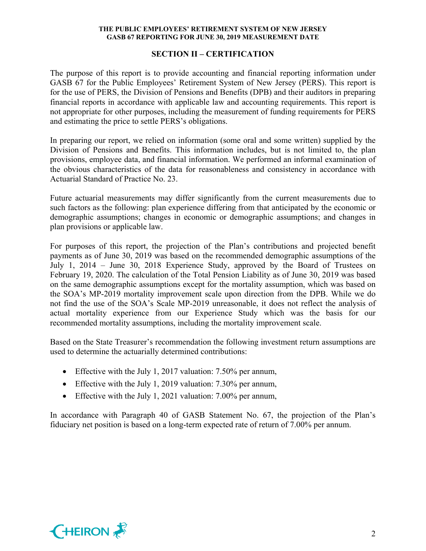# **SECTION II – CERTIFICATION**

The purpose of this report is to provide accounting and financial reporting information under GASB 67 for the Public Employees' Retirement System of New Jersey (PERS). This report is for the use of PERS, the Division of Pensions and Benefits (DPB) and their auditors in preparing financial reports in accordance with applicable law and accounting requirements. This report is not appropriate for other purposes, including the measurement of funding requirements for PERS and estimating the price to settle PERS's obligations.

In preparing our report, we relied on information (some oral and some written) supplied by the Division of Pensions and Benefits. This information includes, but is not limited to, the plan provisions, employee data, and financial information. We performed an informal examination of the obvious characteristics of the data for reasonableness and consistency in accordance with Actuarial Standard of Practice No. 23.

Future actuarial measurements may differ significantly from the current measurements due to such factors as the following: plan experience differing from that anticipated by the economic or demographic assumptions; changes in economic or demographic assumptions; and changes in plan provisions or applicable law.

For purposes of this report, the projection of the Plan's contributions and projected benefit payments as of June 30, 2019 was based on the recommended demographic assumptions of the July 1, 2014 – June 30, 2018 Experience Study, approved by the Board of Trustees on February 19, 2020. The calculation of the Total Pension Liability as of June 30, 2019 was based on the same demographic assumptions except for the mortality assumption, which was based on the SOA's MP-2019 mortality improvement scale upon direction from the DPB. While we do not find the use of the SOA's Scale MP-2019 unreasonable, it does not reflect the analysis of actual mortality experience from our Experience Study which was the basis for our recommended mortality assumptions, including the mortality improvement scale.

Based on the State Treasurer's recommendation the following investment return assumptions are used to determine the actuarially determined contributions:

- Effective with the July 1, 2017 valuation: 7.50% per annum,
- Effective with the July 1, 2019 valuation: 7.30% per annum,
- Effective with the July 1, 2021 valuation: 7.00% per annum,

In accordance with Paragraph 40 of GASB Statement No. 67, the projection of the Plan's fiduciary net position is based on a long-term expected rate of return of 7.00% per annum.

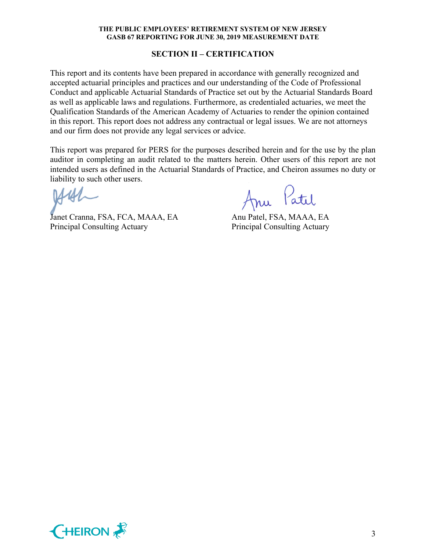# **SECTION II – CERTIFICATION**

This report and its contents have been prepared in accordance with generally recognized and accepted actuarial principles and practices and our understanding of the Code of Professional Conduct and applicable Actuarial Standards of Practice set out by the Actuarial Standards Board as well as applicable laws and regulations. Furthermore, as credentialed actuaries, we meet the Qualification Standards of the American Academy of Actuaries to render the opinion contained in this report. This report does not address any contractual or legal issues. We are not attorneys and our firm does not provide any legal services or advice.

This report was prepared for PERS for the purposes described herein and for the use by the plan auditor in completing an audit related to the matters herein. Other users of this report are not intended users as defined in the Actuarial Standards of Practice, and Cheiron assumes no duty or liability to such other users.

Janet Cranna, FSA, FCA, MAAA, EA Anu Patel, FSA, MAAA, EA Principal Consulting Actuary Principal Consulting Actuary

Anu Patil

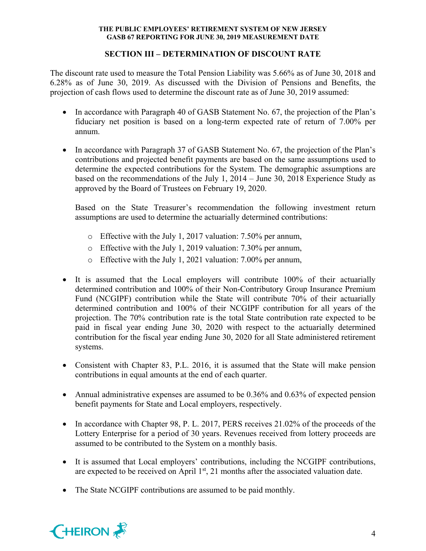# **SECTION III – DETERMINATION OF DISCOUNT RATE**

The discount rate used to measure the Total Pension Liability was 5.66% as of June 30, 2018 and 6.28% as of June 30, 2019. As discussed with the Division of Pensions and Benefits, the projection of cash flows used to determine the discount rate as of June 30, 2019 assumed:

- In accordance with Paragraph 40 of GASB Statement No. 67, the projection of the Plan's fiduciary net position is based on a long-term expected rate of return of 7.00% per annum.
- In accordance with Paragraph 37 of GASB Statement No. 67, the projection of the Plan's contributions and projected benefit payments are based on the same assumptions used to determine the expected contributions for the System. The demographic assumptions are based on the recommendations of the July 1, 2014 – June 30, 2018 Experience Study as approved by the Board of Trustees on February 19, 2020.

Based on the State Treasurer's recommendation the following investment return assumptions are used to determine the actuarially determined contributions:

- o Effective with the July 1, 2017 valuation: 7.50% per annum,
- o Effective with the July 1, 2019 valuation: 7.30% per annum,
- o Effective with the July 1, 2021 valuation: 7.00% per annum,
- It is assumed that the Local employers will contribute 100% of their actuarially determined contribution and 100% of their Non-Contributory Group Insurance Premium Fund (NCGIPF) contribution while the State will contribute 70% of their actuarially determined contribution and 100% of their NCGIPF contribution for all years of the projection. The 70% contribution rate is the total State contribution rate expected to be paid in fiscal year ending June 30, 2020 with respect to the actuarially determined contribution for the fiscal year ending June 30, 2020 for all State administered retirement systems.
- Consistent with Chapter 83, P.L. 2016, it is assumed that the State will make pension contributions in equal amounts at the end of each quarter.
- Annual administrative expenses are assumed to be 0.36% and 0.63% of expected pension benefit payments for State and Local employers, respectively.
- In accordance with Chapter 98, P. L. 2017, PERS receives 21.02% of the proceeds of the Lottery Enterprise for a period of 30 years. Revenues received from lottery proceeds are assumed to be contributed to the System on a monthly basis.
- It is assumed that Local employers' contributions, including the NCGIPF contributions, are expected to be received on April  $1<sup>st</sup>$ , 21 months after the associated valuation date.
- The State NCGIPF contributions are assumed to be paid monthly.

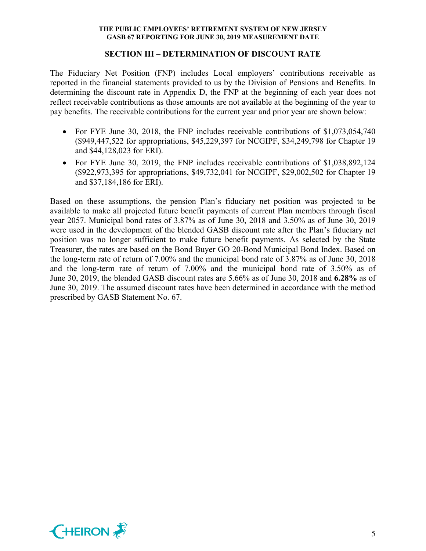#### **SECTION III – DETERMINATION OF DISCOUNT RATE**

The Fiduciary Net Position (FNP) includes Local employers' contributions receivable as reported in the financial statements provided to us by the Division of Pensions and Benefits. In determining the discount rate in Appendix D, the FNP at the beginning of each year does not reflect receivable contributions as those amounts are not available at the beginning of the year to pay benefits. The receivable contributions for the current year and prior year are shown below:

- For FYE June 30, 2018, the FNP includes receivable contributions of \$1,073,054,740 (\$949,447,522 for appropriations, \$45,229,397 for NCGIPF, \$34,249,798 for Chapter 19 and \$44,128,023 for ERI).
- For FYE June 30, 2019, the FNP includes receivable contributions of \$1,038,892,124 (\$922,973,395 for appropriations, \$49,732,041 for NCGIPF, \$29,002,502 for Chapter 19 and \$37,184,186 for ERI).

Based on these assumptions, the pension Plan's fiduciary net position was projected to be available to make all projected future benefit payments of current Plan members through fiscal year 2057. Municipal bond rates of 3.87% as of June 30, 2018 and 3.50% as of June 30, 2019 were used in the development of the blended GASB discount rate after the Plan's fiduciary net position was no longer sufficient to make future benefit payments. As selected by the State Treasurer, the rates are based on the Bond Buyer GO 20-Bond Municipal Bond Index. Based on the long-term rate of return of 7.00% and the municipal bond rate of 3.87% as of June 30, 2018 and the long-term rate of return of 7.00% and the municipal bond rate of 3.50% as of June 30, 2019, the blended GASB discount rates are 5.66% as of June 30, 2018 and **6.28%** as of June 30, 2019. The assumed discount rates have been determined in accordance with the method prescribed by GASB Statement No. 67.

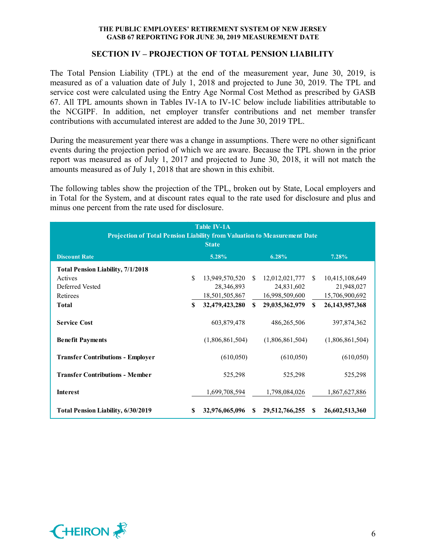# **SECTION IV – PROJECTION OF TOTAL PENSION LIABILITY**

The Total Pension Liability (TPL) at the end of the measurement year, June 30, 2019, is measured as of a valuation date of July 1, 2018 and projected to June 30, 2019. The TPL and service cost were calculated using the Entry Age Normal Cost Method as prescribed by GASB 67. All TPL amounts shown in Tables IV-1A to IV-1C below include liabilities attributable to the NCGIPF. In addition, net employer transfer contributions and net member transfer contributions with accumulated interest are added to the June 30, 2019 TPL.

During the measurement year there was a change in assumptions. There were no other significant events during the projection period of which we are aware. Because the TPL shown in the prior report was measured as of July 1, 2017 and projected to June 30, 2018, it will not match the amounts measured as of July 1, 2018 that are shown in this exhibit.

The following tables show the projection of the TPL, broken out by State, Local employers and in Total for the System, and at discount rates equal to the rate used for disclosure and plus and minus one percent from the rate used for disclosure.

| <b>Table IV-1A</b><br>Projection of Total Pension Liability from Valuation to Measurement Date<br><b>State</b> |     |                 |              |                 |              |                   |  |  |
|----------------------------------------------------------------------------------------------------------------|-----|-----------------|--------------|-----------------|--------------|-------------------|--|--|
| <b>Discount Rate</b>                                                                                           |     | 5.28%           |              | 6.28%           |              | 7.28%             |  |  |
| <b>Total Pension Liability, 7/1/2018</b>                                                                       |     |                 |              |                 |              |                   |  |  |
| Actives                                                                                                        | \$  | 13,949,570,520  | -S           | 12,012,021,777  | -SS          | 10,415,108,649    |  |  |
| Deferred Vested                                                                                                |     | 28,346,893      |              | 24,831,602      |              | 21,948,027        |  |  |
| Retirees                                                                                                       |     | 18,501,505,867  |              | 16,998,509,600  |              | 15,706,900,692    |  |  |
| <b>Total</b>                                                                                                   | \$  | 32,479,423,280  | $\mathbf{s}$ | 29,035,362,979  | $\mathbf{s}$ | 26, 143, 957, 368 |  |  |
| <b>Service Cost</b>                                                                                            |     | 603,879,478     |              | 486,265,506     |              | 397,874,362       |  |  |
| <b>Benefit Payments</b>                                                                                        |     | (1,806,861,504) |              | (1,806,861,504) |              | (1,806,861,504)   |  |  |
| <b>Transfer Contributions - Employer</b>                                                                       |     | (610, 050)      |              | (610,050)       |              | (610, 050)        |  |  |
| <b>Transfer Contributions - Member</b>                                                                         |     | 525,298         |              | 525,298         |              | 525,298           |  |  |
| Interest                                                                                                       |     | 1,699,708,594   |              | 1,798,084,026   |              | 1,867,627,886     |  |  |
| <b>Total Pension Liability, 6/30/2019</b>                                                                      | \$. | 32,976,065,096  | \$.          | 29,512,766,255  | -S           | 26,602,513,360    |  |  |

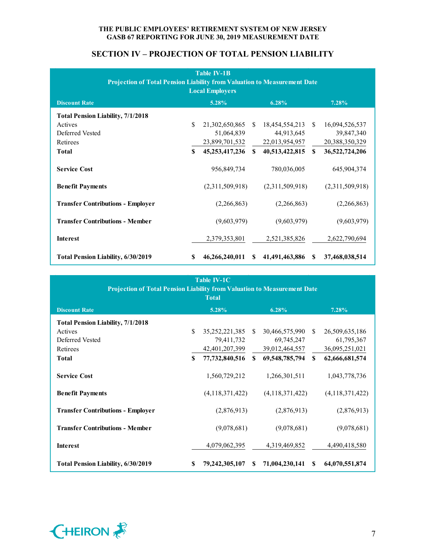# **SECTION IV – PROJECTION OF TOTAL PENSION LIABILITY**

| <b>Table IV-1B</b><br>Projection of Total Pension Liability from Valuation to Measurement Date<br><b>Local Employers</b> |              |                   |               |                 |               |                 |  |  |  |
|--------------------------------------------------------------------------------------------------------------------------|--------------|-------------------|---------------|-----------------|---------------|-----------------|--|--|--|
| <b>Discount Rate</b>                                                                                                     |              | 5.28%             |               | 6.28%           |               | 7.28%           |  |  |  |
| <b>Total Pension Liability, 7/1/2018</b>                                                                                 |              |                   |               |                 |               |                 |  |  |  |
| Actives                                                                                                                  | $\mathbf S$  | 21,302,650,865    | <sup>\$</sup> | 18,454,554,213  | <sup>\$</sup> | 16,094,526,537  |  |  |  |
| Deferred Vested                                                                                                          |              | 51,064,839        |               | 44,913,645      |               | 39,847,340      |  |  |  |
| Retirees                                                                                                                 |              | 23,899,701,532    |               | 22,013,954,957  |               | 20,388,350,329  |  |  |  |
| <b>Total</b>                                                                                                             | $\mathbf{s}$ | 45, 253, 417, 236 | \$            | 40,513,422,815  | $\mathbf{s}$  | 36,522,724,206  |  |  |  |
| <b>Service Cost</b>                                                                                                      |              | 956,849,734       |               | 780,036,005     |               | 645,904,374     |  |  |  |
| <b>Benefit Payments</b>                                                                                                  |              | (2,311,509,918)   |               | (2,311,509,918) |               | (2,311,509,918) |  |  |  |
| <b>Transfer Contributions - Employer</b>                                                                                 |              | (2,266,863)       |               | (2,266,863)     |               | (2,266,863)     |  |  |  |
| <b>Transfer Contributions - Member</b>                                                                                   |              | (9,603,979)       |               | (9,603,979)     |               | (9,603,979)     |  |  |  |
| <b>Interest</b>                                                                                                          |              | 2,379,353,801     |               | 2,521,385,826   |               | 2,622,790,694   |  |  |  |
| Total Pension Liability, 6/30/2019                                                                                       | S            | 46,266,240,011    | <sup>\$</sup> | 41,491,463,886  | <b>S</b>      | 37,468,038,514  |  |  |  |

| <b>Table IV-1C</b>                                                       |          |                   |               |                 |               |                 |  |  |
|--------------------------------------------------------------------------|----------|-------------------|---------------|-----------------|---------------|-----------------|--|--|
| Projection of Total Pension Liability from Valuation to Measurement Date |          |                   |               |                 |               |                 |  |  |
| <b>Total</b>                                                             |          |                   |               |                 |               |                 |  |  |
| <b>Discount Rate</b>                                                     |          | 5.28%             |               | 6.28%           |               | 7.28%           |  |  |
| <b>Total Pension Liability, 7/1/2018</b>                                 |          |                   |               |                 |               |                 |  |  |
| Actives                                                                  | \$.      | 35, 252, 221, 385 | <sup>\$</sup> | 30,466,575,990  | -S            | 26,509,635,186  |  |  |
| Deferred Vested                                                          |          | 79,411,732        |               | 69,745,247      |               | 61,795,367      |  |  |
| Retirees                                                                 |          | 42,401,207,399    |               | 39,012,464,557  |               | 36,095,251,021  |  |  |
| <b>Total</b>                                                             | <b>S</b> | 77, 732, 840, 516 | S.            | 69,548,785,794  | <sup>\$</sup> | 62,666,681,574  |  |  |
| <b>Service Cost</b>                                                      |          | 1,560,729,212     |               | 1,266,301,511   |               | 1,043,778,736   |  |  |
| <b>Benefit Payments</b>                                                  |          | (4,118,371,422)   |               | (4,118,371,422) |               | (4,118,371,422) |  |  |
| <b>Transfer Contributions - Employer</b>                                 |          | (2,876,913)       |               | (2,876,913)     |               | (2,876,913)     |  |  |
| <b>Transfer Contributions - Member</b>                                   |          | (9,078,681)       |               | (9,078,681)     |               | (9,078,681)     |  |  |
| <b>Interest</b>                                                          |          | 4,079,062,395     |               | 4,319,469,852   |               | 4,490,418,580   |  |  |
| <b>Total Pension Liability, 6/30/2019</b>                                | \$       | 79,242,305,107    | \$.           | 71,004,230,141  | <sup>\$</sup> | 64,070,551,874  |  |  |

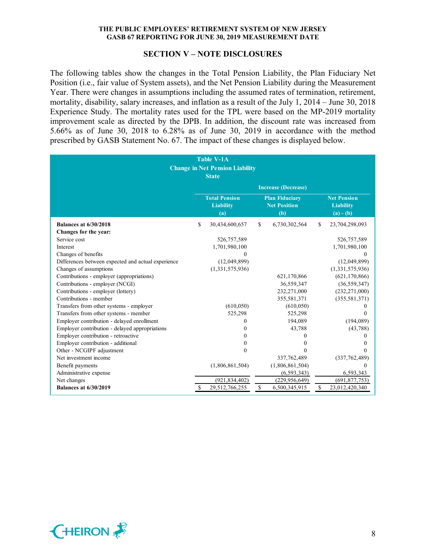#### **SECTION V – NOTE DISCLOSURES**

The following tables show the changes in the Total Pension Liability, the Plan Fiduciary Net Position (i.e., fair value of System assets), and the Net Pension Liability during the Measurement Year. There were changes in assumptions including the assumed rates of termination, retirement, mortality, disability, salary increases, and inflation as a result of the July 1, 2014 – June 30, 2018 Experience Study. The mortality rates used for the TPL were based on the MP-2019 mortality improvement scale as directed by the DPB. In addition, the discount rate was increased from 5.66% as of June 30, 2018 to 6.28% as of June 30, 2019 in accordance with the method prescribed by GASB Statement No. 67. The impact of these changes is displayed below.

| <b>Table V-1A</b><br><b>Change in Net Pension Liability</b><br><b>State</b> |    |                                                 |             |                                                     |    |                                                       |
|-----------------------------------------------------------------------------|----|-------------------------------------------------|-------------|-----------------------------------------------------|----|-------------------------------------------------------|
|                                                                             |    |                                                 |             | <b>Increase (Decrease)</b>                          |    |                                                       |
|                                                                             |    | <b>Total Pension</b><br><b>Liability</b><br>(a) |             | <b>Plan Fiduciary</b><br><b>Net Position</b><br>(b) |    | <b>Net Pension</b><br><b>Liability</b><br>$(a) - (b)$ |
| <b>Balances at 6/30/2018</b>                                                | \$ | 30,434,600,657                                  | \$          | 6,730,302,564                                       | \$ | 23,704,298,093                                        |
| Changes for the year:                                                       |    |                                                 |             |                                                     |    |                                                       |
| Service cost                                                                |    | 526,757,589                                     |             |                                                     |    | 526,757,589                                           |
| Interest                                                                    |    | 1,701,980,100                                   |             |                                                     |    | 1,701,980,100                                         |
| Changes of benefits                                                         |    | 0                                               |             |                                                     |    |                                                       |
| Differences between expected and actual experience                          |    | (12,049,899)                                    |             |                                                     |    | (12,049,899)                                          |
| Changes of assumptions                                                      |    | (1,331,575,936)                                 |             |                                                     |    | (1,331,575,936)                                       |
| Contributions - employer (appropriations)                                   |    |                                                 |             | 621,170,866                                         |    | (621, 170, 866)                                       |
| Contributions - employer (NCGI)                                             |    |                                                 |             | 36,559,347                                          |    | (36, 559, 347)                                        |
| Contributions - employer (lottery)                                          |    |                                                 |             | 232,271,000                                         |    | (232, 271, 000)                                       |
| Contributions - member                                                      |    |                                                 |             | 355,581,371                                         |    | (355, 581, 371)                                       |
| Transfers from other systems - employer                                     |    | (610, 050)                                      |             | (610, 050)                                          |    | $_{0}$                                                |
| Transfers from other systems - member                                       |    | 525,298                                         |             | 525,298                                             |    | $\Omega$                                              |
| Employer contribution - delayed enrollment                                  |    | $\theta$                                        |             | 194,089                                             |    | (194,089)                                             |
| Employer contribution - delayed appropriations                              |    | 0                                               |             | 43,788                                              |    | (43, 788)                                             |
| Employer contribution - retroactive                                         |    | 0                                               |             | 0                                                   |    | 0                                                     |
| Employer contribution - additional                                          |    | 0                                               |             | $\theta$                                            |    |                                                       |
| Other - NCGIPF adjustment                                                   |    | $\Omega$                                        |             | $\theta$                                            |    | 0                                                     |
| Net investment income                                                       |    |                                                 |             | 337, 762, 489                                       |    | (337,762,489)                                         |
| Benefit payments                                                            |    | (1,806,861,504)                                 |             | (1,806,861,504)                                     |    | $\Omega$                                              |
| Administrative expense                                                      |    |                                                 |             | (6, 593, 343)                                       |    | 6,593,343                                             |
| Net changes                                                                 |    | (921, 834, 402)                                 |             | (229, 956, 649)                                     |    | (691, 877, 753)                                       |
| <b>Balances at 6/30/2019</b>                                                |    | 29,512,766,255                                  | $\mathbb S$ | 6,500,345,915                                       | \$ | 23,012,420,340                                        |

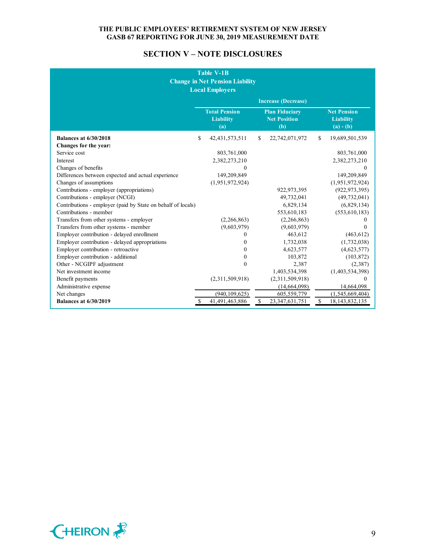# **SECTION V – NOTE DISCLOSURES**

| <b>Table V-1B</b><br><b>Change in Net Pension Liability</b><br><b>Local Employers</b> |    |                                                 |    |                                                     |    |                                                       |
|---------------------------------------------------------------------------------------|----|-------------------------------------------------|----|-----------------------------------------------------|----|-------------------------------------------------------|
|                                                                                       |    |                                                 |    | <b>Increase (Decrease)</b>                          |    |                                                       |
|                                                                                       |    | <b>Total Pension</b><br><b>Liability</b><br>(a) |    | <b>Plan Fiduciary</b><br><b>Net Position</b><br>(b) |    | <b>Net Pension</b><br><b>Liability</b><br>$(a) - (b)$ |
| <b>Balances at 6/30/2018</b>                                                          | \$ | 42, 431, 573, 511                               | S  | 22,742,071,972                                      | S. | 19,689,501,539                                        |
| Changes for the year:                                                                 |    |                                                 |    |                                                     |    |                                                       |
| Service cost                                                                          |    | 803,761,000                                     |    |                                                     |    | 803,761,000                                           |
| Interest                                                                              |    | 2,382,273,210                                   |    |                                                     |    | 2,382,273,210                                         |
| Changes of benefits                                                                   |    | $\theta$                                        |    |                                                     |    | $\mathbf{0}$                                          |
| Differences between expected and actual experience                                    |    | 149,209,849                                     |    |                                                     |    | 149,209,849                                           |
| Changes of assumptions                                                                |    | (1,951,972,924)                                 |    |                                                     |    | (1,951,972,924)                                       |
| Contributions - employer (appropriations)                                             |    |                                                 |    | 922, 973, 395                                       |    | (922, 973, 395)                                       |
| Contributions - employer (NCGI)                                                       |    |                                                 |    | 49,732,041                                          |    | (49, 732, 041)                                        |
| Contributions - employer (paid by State on behalf of locals)                          |    |                                                 |    | 6,829,134                                           |    | (6,829,134)                                           |
| Contributions - member                                                                |    |                                                 |    | 553,610,183                                         |    | (553, 610, 183)                                       |
| Transfers from other systems - employer                                               |    | (2,266,863)                                     |    | (2,266,863)                                         |    | 0                                                     |
| Transfers from other systems - member                                                 |    | (9,603,979)                                     |    | (9,603,979)                                         |    | 0                                                     |
| Employer contribution - delayed enrollment                                            |    | $\Omega$                                        |    | 463,612                                             |    | (463, 612)                                            |
| Employer contribution - delayed appropriations                                        |    | $\theta$                                        |    | 1,732,038                                           |    | (1,732,038)                                           |
| Employer contribution - retroactive                                                   |    | $\Omega$                                        |    | 4,623,577                                           |    | (4,623,577)                                           |
| Employer contribution - additional                                                    |    | $\Omega$                                        |    | 103,872                                             |    | (103, 872)                                            |
| Other - NCGIPF adjustment                                                             |    | $\theta$                                        |    | 2,387                                               |    | (2,387)                                               |
| Net investment income                                                                 |    |                                                 |    | 1,403,534,398                                       |    | (1,403,534,398)                                       |
| Benefit payments                                                                      |    | (2,311,509,918)                                 |    | (2,311,509,918)                                     |    | 0                                                     |
| Administrative expense                                                                |    |                                                 |    | (14, 664, 098)                                      |    | 14,664,098                                            |
| Net changes                                                                           |    | (940, 109, 625)                                 |    | 605,559,779                                         |    | (1,545,669,404)                                       |
| <b>Balances at 6/30/2019</b>                                                          | \$ | 41,491,463,886                                  | \$ | 23, 347, 631, 751                                   | \$ | 18, 143, 832, 135                                     |

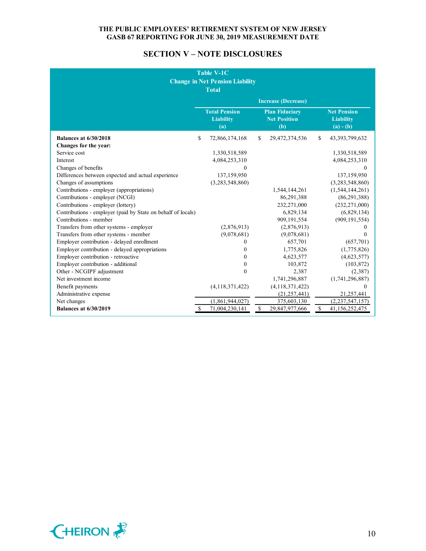# **SECTION V – NOTE DISCLOSURES**

| <b>Table V-1C</b><br><b>Change in Net Pension Liability</b><br><b>Total</b> |               |                                                 |    |                                                     |                           |                                                       |
|-----------------------------------------------------------------------------|---------------|-------------------------------------------------|----|-----------------------------------------------------|---------------------------|-------------------------------------------------------|
|                                                                             |               |                                                 |    | <b>Increase (Decrease)</b>                          |                           |                                                       |
|                                                                             |               | <b>Total Pension</b><br><b>Liability</b><br>(a) |    | <b>Plan Fiduciary</b><br><b>Net Position</b><br>(b) |                           | <b>Net Pension</b><br><b>Liability</b><br>$(a) - (b)$ |
| <b>Balances at 6/30/2018</b>                                                | \$            | 72,866,174,168                                  | S. | 29,472,374,536                                      | S.                        | 43,393,799,632                                        |
| Changes for the year:                                                       |               |                                                 |    |                                                     |                           |                                                       |
| Service cost                                                                |               | 1,330,518,589                                   |    |                                                     |                           | 1,330,518,589                                         |
| Interest                                                                    |               | 4,084,253,310                                   |    |                                                     |                           | 4,084,253,310                                         |
| Changes of benefits                                                         |               | $\Omega$                                        |    |                                                     |                           | $\Omega$                                              |
| Differences between expected and actual experience                          |               | 137,159,950                                     |    |                                                     |                           | 137,159,950                                           |
| Changes of assumptions                                                      |               | (3,283,548,860)                                 |    |                                                     |                           | (3,283,548,860)                                       |
| Contributions - employer (appropriations)                                   |               |                                                 |    | 1,544,144,261                                       |                           | (1, 544, 144, 261)                                    |
| Contributions - employer (NCGI)                                             |               |                                                 |    | 86,291,388                                          |                           | (86, 291, 388)                                        |
| Contributions - employer (lottery)                                          |               |                                                 |    | 232,271,000                                         |                           | (232, 271, 000)                                       |
| Contributions - employer (paid by State on behalf of locals)                |               |                                                 |    | 6,829,134                                           |                           | (6,829,134)                                           |
| Contributions - member                                                      |               |                                                 |    | 909,191,554                                         |                           | (909, 191, 554)                                       |
| Transfers from other systems - employer                                     |               | (2,876,913)                                     |    | (2,876,913)                                         |                           | 0                                                     |
| Transfers from other systems - member                                       |               | (9,078,681)                                     |    | (9,078,681)                                         |                           | 0                                                     |
| Employer contribution - delayed enrollment                                  |               | $\Omega$                                        |    | 657,701                                             |                           | (657,701)                                             |
| Employer contribution - delayed appropriations                              |               | $\theta$                                        |    | 1,775,826                                           |                           | (1,775,826)                                           |
| Employer contribution - retroactive                                         |               | $\theta$                                        |    | 4,623,577                                           |                           | (4,623,577)                                           |
| Employer contribution - additional                                          |               | $\theta$                                        |    | 103,872                                             |                           | (103, 872)                                            |
| Other - NCGIPF adjustment                                                   |               | $\mathbf{0}$                                    |    | 2,387                                               |                           | (2,387)                                               |
| Net investment income                                                       |               |                                                 |    | 1,741,296,887                                       |                           | (1,741,296,887)                                       |
| Benefit payments                                                            |               | (4, 118, 371, 422)                              |    | (4, 118, 371, 422)                                  |                           | 0                                                     |
| Administrative expense                                                      |               |                                                 |    | (21, 257, 441)                                      |                           | 21,257,441                                            |
| Net changes                                                                 |               | (1,861,944,027)                                 |    | 375,603,130                                         |                           | (2, 237, 547, 157)                                    |
| <b>Balances at 6/30/2019</b>                                                | <sup>\$</sup> | 71,004,230,141                                  | \$ | 29,847,977,666                                      | $\boldsymbol{\mathsf{S}}$ | 41,156,252,475                                        |

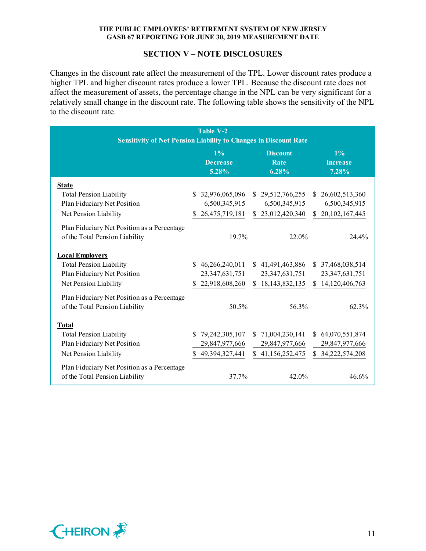### **SECTION V – NOTE DISCLOSURES**

Changes in the discount rate affect the measurement of the TPL. Lower discount rates produce a higher TPL and higher discount rates produce a lower TPL. Because the discount rate does not affect the measurement of assets, the percentage change in the NPL can be very significant for a relatively small change in the discount rate. The following table shows the sensitivity of the NPL to the discount rate.

| <b>Table V-2</b><br><b>Sensitivity of Net Pension Liability to Changes in Discount Rate</b>                      |                                                           |                                                           |                                                           |  |  |  |
|------------------------------------------------------------------------------------------------------------------|-----------------------------------------------------------|-----------------------------------------------------------|-----------------------------------------------------------|--|--|--|
|                                                                                                                  | $1\%$<br><b>Decrease</b><br>5.28%                         | <b>Discount</b><br>Rate<br>6.28%                          | $1\%$<br><b>Increase</b><br>7.28%                         |  |  |  |
| <b>State</b><br><b>Total Pension Liability</b>                                                                   | \$32,976,065,096                                          | \$29,512,766,255                                          | \$26,602,513,360                                          |  |  |  |
| Plan Fiduciary Net Position<br>Net Pension Liability                                                             | 6,500,345,915<br>26,475,719,181<br>S.                     | 6,500,345,915<br>\$23,012,420,340                         | 6,500,345,915<br>\$20,102,167,445                         |  |  |  |
| Plan Fiduciary Net Position as a Percentage<br>of the Total Pension Liability                                    | 19.7%                                                     | 22.0%                                                     | 24.4%                                                     |  |  |  |
| <b>Local Employers</b><br><b>Total Pension Liability</b><br>Plan Fiduciary Net Position<br>Net Pension Liability | \$46,266,240,011<br>23, 347, 631, 751<br>\$22,918,608,260 | \$41,491,463,886<br>23, 347, 631, 751<br>\$18,143,832,135 | \$37,468,038,514<br>23, 347, 631, 751<br>\$14,120,406,763 |  |  |  |
| Plan Fiduciary Net Position as a Percentage<br>of the Total Pension Liability                                    | 50.5%                                                     | 56.3%                                                     | 62.3%                                                     |  |  |  |
| <b>Total</b><br><b>Total Pension Liability</b><br>Plan Fiduciary Net Position<br>Net Pension Liability           | \$79,242,305,107<br>29,847,977,666<br>\$49,394,327,441    | \$71,004,230,141<br>29,847,977,666<br>\$41,156,252,475    | \$64,070,551,874<br>29,847,977,666<br>\$34,222,574,208    |  |  |  |
| Plan Fiduciary Net Position as a Percentage<br>of the Total Pension Liability                                    | 37.7%                                                     | 42.0%                                                     | 46.6%                                                     |  |  |  |

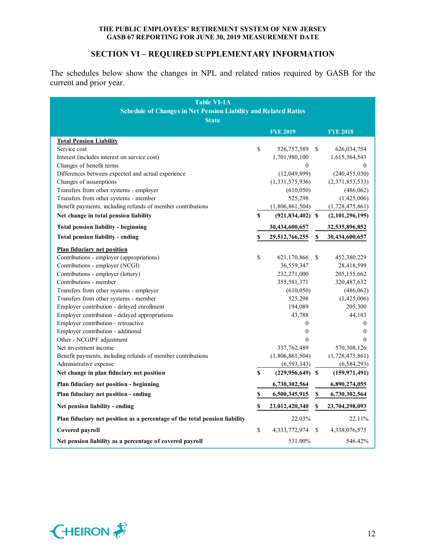# **SECTION VI – REQUIRED SUPPLEMENTARY INFORMATION**

The schedules below show the changes in NPL and related ratios required by GASB for the current and prior year.

| <b>Table VI-1A</b><br><b>Schedule of Changes in Net Pension Liability and Related Ratios</b> |              |                      |    |                  |  |  |
|----------------------------------------------------------------------------------------------|--------------|----------------------|----|------------------|--|--|
| <b>State</b>                                                                                 |              |                      |    |                  |  |  |
|                                                                                              |              | <b>FYE 2019</b>      |    | <b>FYE 2018</b>  |  |  |
| <b>Total Pension Liability</b>                                                               |              |                      |    |                  |  |  |
| Service cost                                                                                 | \$           | 526,757,589          | \$ | 626,034,754      |  |  |
| Interest (includes interest on service cost)                                                 |              | 1,701,980,100        |    | 1,615,364,543    |  |  |
| Changes of benefit terms                                                                     |              | $\boldsymbol{0}$     |    | 0                |  |  |
| Differences between expected and actual experience                                           |              | (12,049,899)         |    | (240, 455, 030)  |  |  |
| Changes of assumptions                                                                       |              | (1,331,575,936)      |    | (2,371,853,533)  |  |  |
| Transfers from other systems - employer                                                      |              | (610, 050)           |    | (486, 062)       |  |  |
| Transfers from other systems - member                                                        |              | 525,298              |    | (1,425,006)      |  |  |
| Benefit payments, including refunds of member contributions                                  |              | (1,806,861,504)      |    | (1,728,475,861)  |  |  |
| Net change in total pension liability                                                        | \$           | $(921, 834, 402)$ \$ |    | (2,101,296,195)  |  |  |
| Total pension liability - beginning                                                          |              | 30,434,600,657       |    | 32,535,896,852   |  |  |
| Total pension liability - ending                                                             | \$           | 29,512,766,255       | \$ | 30,434,600,657   |  |  |
| <b>Plan fiduciary net position</b>                                                           |              |                      |    |                  |  |  |
| Contributions - employer (appropriations)                                                    | $\mathbb{S}$ | 621,170,866          | \$ | 452,380,229      |  |  |
| Contributions - employer (NCGI)                                                              |              | 36,559,347           |    | 28,418,599       |  |  |
| Contributions - employer (lottery)                                                           |              | 232,271,000          |    | 205, 155, 662    |  |  |
| Contributions - member                                                                       |              | 355,581,371          |    | 320,487,632      |  |  |
| Transfers from other systems - employer                                                      |              | (610, 050)           |    | (486, 062)       |  |  |
| Transfers from other systems - member                                                        |              | 525,298              |    | (1,425,006)      |  |  |
| Employer contribution - delayed enrollment                                                   |              | 194,089              |    | 205,300          |  |  |
| Employer contribution - delayed appropriations                                               |              | 43,788               |    | 44,183           |  |  |
| Employer contribution - retroactive                                                          |              | $\mathbf{0}$         |    | $\mathbf{0}$     |  |  |
| Employer contribution - additional                                                           |              | $\mathbf{0}$         |    | $\boldsymbol{0}$ |  |  |
| Other - NCGIPF adjustment                                                                    |              | $\Omega$             |    | $\Omega$         |  |  |
| Net investment income                                                                        |              | 337,762,489          |    | 570,308,126      |  |  |
| Benefit payments, including refunds of member contributions                                  |              | (1,806,861,504)      |    | (1,728,475,861)  |  |  |
| Administrative expense                                                                       |              | (6, 593, 343)        |    | (6, 584, 293)    |  |  |
| Net change in plan fiduciary net position                                                    | S            | $(229, 956, 649)$ \$ |    | (159, 971, 491)  |  |  |
| Plan fiduciary net position - beginning                                                      |              | 6,730,302,564        |    | 6,890,274,055    |  |  |
| Plan fiduciary net position - ending                                                         | \$           | 6,500,345,915        | \$ | 6,730,302,564    |  |  |
| Net pension liability - ending                                                               | \$           | 23,012,420,340       | \$ | 23,704,298,093   |  |  |
| Plan fiduciary net position as a percentage of the total pension liability                   |              | 22.03%               |    | 22.11%           |  |  |
| Covered payroll                                                                              | $\mathbb S$  | 4, 333, 772, 974     | S  | 4,338,076,575    |  |  |
| Net pension liability as a percentage of covered payroll                                     |              | 531.00%              |    | 546.42%          |  |  |

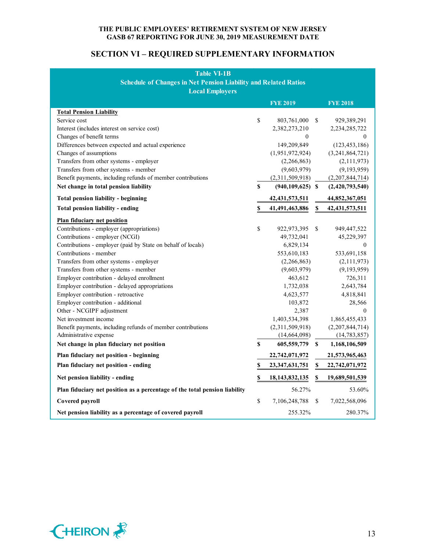# **SECTION VI – REQUIRED SUPPLEMENTARY INFORMATION**

| Table VI-1B<br><b>Schedule of Changes in Net Pension Liability and Related Ratios</b><br><b>Local Employers</b> |    |                      |               |                   |  |  |  |
|-----------------------------------------------------------------------------------------------------------------|----|----------------------|---------------|-------------------|--|--|--|
|                                                                                                                 |    | <b>FYE 2019</b>      |               | <b>FYE 2018</b>   |  |  |  |
| <b>Total Pension Liability</b>                                                                                  |    |                      |               |                   |  |  |  |
| Service cost                                                                                                    | \$ | 803,761,000          | <sup>\$</sup> | 929,389,291       |  |  |  |
| Interest (includes interest on service cost)                                                                    |    | 2,382,273,210        |               | 2, 234, 285, 722  |  |  |  |
| Changes of benefit terms                                                                                        |    | $\bf{0}$             |               | 0                 |  |  |  |
| Differences between expected and actual experience                                                              |    | 149,209,849          |               | (123, 453, 186)   |  |  |  |
| Changes of assumptions                                                                                          |    | (1,951,972,924)      |               | (3,241,864,721)   |  |  |  |
| Transfers from other systems - employer                                                                         |    | (2,266,863)          |               | (2,111,973)       |  |  |  |
| Transfers from other systems - member                                                                           |    | (9,603,979)          |               | (9,193,959)       |  |  |  |
| Benefit payments, including refunds of member contributions                                                     |    | (2,311,509,918)      |               | (2,207,844,714)   |  |  |  |
| Net change in total pension liability                                                                           | \$ | $(940, 109, 625)$ \$ |               | (2,420,793,540)   |  |  |  |
| <b>Total pension liability - beginning</b>                                                                      |    | 42, 431, 573, 511    |               | 44,852,367,051    |  |  |  |
| Total pension liability - ending                                                                                | \$ | 41,491,463,886       | \$            | 42, 431, 573, 511 |  |  |  |
| <b>Plan fiduciary net position</b>                                                                              |    |                      |               |                   |  |  |  |
| Contributions - employer (appropriations)                                                                       | \$ | 922,973,395          | <sup>\$</sup> | 949,447,522       |  |  |  |
| Contributions - employer (NCGI)                                                                                 |    | 49,732,041           |               | 45,229,397        |  |  |  |
| Contributions - employer (paid by State on behalf of locals)                                                    |    | 6,829,134            |               | $\theta$          |  |  |  |
| Contributions - member                                                                                          |    | 553,610,183          |               | 533,691,158       |  |  |  |
| Transfers from other systems - employer                                                                         |    | (2,266,863)          |               | (2, 111, 973)     |  |  |  |
| Transfers from other systems - member                                                                           |    | (9,603,979)          |               | (9, 193, 959)     |  |  |  |
| Employer contribution - delayed enrollment                                                                      |    | 463,612              |               | 726,311           |  |  |  |
| Employer contribution - delayed appropriations                                                                  |    | 1,732,038            |               | 2,643,784         |  |  |  |
| Employer contribution - retroactive                                                                             |    | 4,623,577            |               | 4,818,841         |  |  |  |
| Employer contribution - additional                                                                              |    | 103,872              |               | 28,566            |  |  |  |
| Other - NCGIPF adjustment                                                                                       |    | 2,387                |               | $\Omega$          |  |  |  |
| Net investment income                                                                                           |    | 1,403,534,398        |               | 1,865,455,433     |  |  |  |
| Benefit payments, including refunds of member contributions                                                     |    | (2,311,509,918)      |               | (2,207,844,714)   |  |  |  |
| Administrative expense                                                                                          |    | (14, 664, 098)       |               | (14, 783, 857)    |  |  |  |
| Net change in plan fiduciary net position                                                                       | \$ | 605,559,779          | S             | 1,168,106,509     |  |  |  |
| Plan fiduciary net position - beginning                                                                         |    | 22,742,071,972       |               | 21,573,965,463    |  |  |  |
| Plan fiduciary net position - ending                                                                            | \$ | 23,347,631,751       | \$            | 22,742,071,972    |  |  |  |
| Net pension liability - ending                                                                                  | \$ | 18, 143, 832, 135    | \$            | 19,689,501,539    |  |  |  |
| Plan fiduciary net position as a percentage of the total pension liability                                      |    | 56.27%               |               | 53.60%            |  |  |  |
| Covered payroll                                                                                                 | \$ | 7,106,248,788        | \$            | 7,022,568,096     |  |  |  |
| Net pension liability as a percentage of covered payroll                                                        |    | 255.32%              |               | 280.37%           |  |  |  |

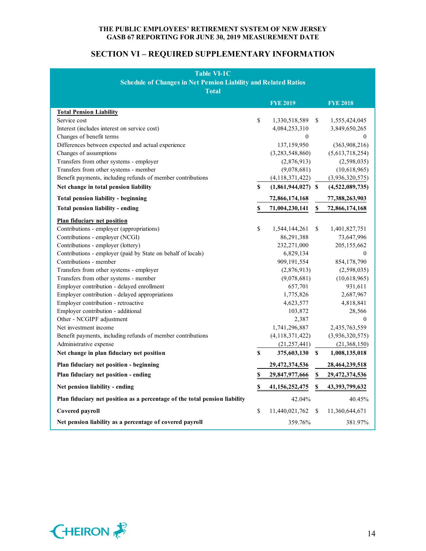# **SECTION VI – REQUIRED SUPPLEMENTARY INFORMATION**

| <b>Table VI-1C</b>                                                         |    |                      |              |                 |
|----------------------------------------------------------------------------|----|----------------------|--------------|-----------------|
| <b>Schedule of Changes in Net Pension Liability and Related Ratios</b>     |    |                      |              |                 |
| <b>Total</b>                                                               |    |                      |              |                 |
|                                                                            |    | <b>FYE 2019</b>      |              | <b>FYE 2018</b> |
|                                                                            |    |                      |              |                 |
| <b>Total Pension Liability</b><br>Service cost                             | \$ | 1,330,518,589        | S            | 1,555,424,045   |
| Interest (includes interest on service cost)                               |    | 4,084,253,310        |              | 3,849,650,265   |
| Changes of benefit terms                                                   |    | $\boldsymbol{0}$     |              | $\mathbf{0}$    |
| Differences between expected and actual experience                         |    | 137,159,950          |              | (363,908,216)   |
| Changes of assumptions                                                     |    | (3,283,548,860)      |              | (5,613,718,254) |
| Transfers from other systems - employer                                    |    | (2,876,913)          |              | (2,598,035)     |
| Transfers from other systems - member                                      |    | (9,078,681)          |              | (10,618,965)    |
| Benefit payments, including refunds of member contributions                |    | (4, 118, 371, 422)   |              | (3,936,320,575) |
| Net change in total pension liability                                      | S  | $(1,861,944,027)$ \$ |              | (4,522,089,735) |
| <b>Total pension liability - beginning</b>                                 |    | 72,866,174,168       |              | 77,388,263,903  |
|                                                                            |    |                      |              |                 |
| <b>Total pension liability - ending</b>                                    | S  | 71,004,230,141       | $\mathbf S$  | 72,866,174,168  |
| Plan fiduciary net position                                                |    |                      |              |                 |
| Contributions - employer (appropriations)                                  | \$ | 1,544,144,261        | S.           | 1,401,827,751   |
| Contributions - employer (NCGI)                                            |    | 86,291,388           |              | 73,647,996      |
| Contributions - employer (lottery)                                         |    | 232,271,000          |              | 205, 155, 662   |
| Contributions - employer (paid by State on behalf of locals)               |    | 6,829,134            |              | $\mathbf{0}$    |
| Contributions - member                                                     |    | 909,191,554          |              | 854,178,790     |
| Transfers from other systems - employer                                    |    | (2,876,913)          |              | (2,598,035)     |
| Transfers from other systems - member                                      |    | (9,078,681)          |              | (10,618,965)    |
| Employer contribution - delayed enrollment                                 |    | 657,701              |              | 931,611         |
| Employer contribution - delayed appropriations                             |    | 1,775,826            |              | 2,687,967       |
| Employer contribution - retroactive                                        |    | 4,623,577            |              | 4,818,841       |
| Employer contribution - additional                                         |    | 103,872              |              | 28,566          |
| Other - NCGIPF adjustment                                                  |    | 2,387                |              | $\mathbf{0}$    |
| Net investment income                                                      |    | 1,741,296,887        |              | 2,435,763,559   |
| Benefit payments, including refunds of member contributions                |    | (4, 118, 371, 422)   |              | (3,936,320,575) |
| Administrative expense                                                     |    | (21, 257, 441)       |              | (21,368,150)    |
| Net change in plan fiduciary net position                                  | \$ | 375,603,130          | S            | 1,008,135,018   |
| Plan fiduciary net position - beginning                                    |    | 29,472,374,536       |              | 28,464,239,518  |
| Plan fiduciary net position - ending                                       | \$ | 29,847,977,666 \$    |              | 29,472,374,536  |
| Net pension liability - ending                                             | \$ | 41, 156, 252, 475    | -S           | 43,393,799,632  |
| Plan fiduciary net position as a percentage of the total pension liability |    | 42.04%               |              | 40.45%          |
| Covered payroll                                                            | \$ | 11,440,021,762       | <sup>S</sup> | 11,360,644,671  |
| Net pension liability as a percentage of covered payroll                   |    | 359.76%              |              | 381.97%         |

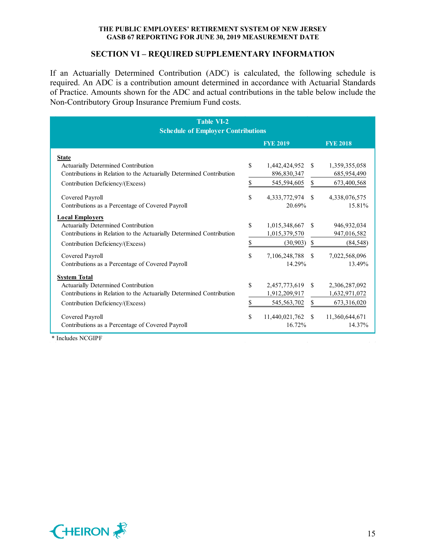#### **SECTION VI – REQUIRED SUPPLEMENTARY INFORMATION**

If an Actuarially Determined Contribution (ADC) is calculated, the following schedule is required. An ADC is a contribution amount determined in accordance with Actuarial Standards of Practice. Amounts shown for the ADC and actual contributions in the table below include the Non-Contributory Group Insurance Premium Fund costs.

| <b>Table VI-2</b>                                                    |    |                 |               |                 |  |  |
|----------------------------------------------------------------------|----|-----------------|---------------|-----------------|--|--|
| <b>Schedule of Employer Contributions</b>                            |    |                 |               |                 |  |  |
|                                                                      |    | <b>FYE 2019</b> |               | <b>FYE 2018</b> |  |  |
| <b>State</b>                                                         |    |                 |               |                 |  |  |
| Actuarially Determined Contribution                                  | \$ | 1,442,424,952   | <sup>\$</sup> | 1,359,355,058   |  |  |
| Contributions in Relation to the Actuarially Determined Contribution |    | 896,830,347     |               | 685,954,490     |  |  |
| Contribution Deficiency/(Excess)                                     | \$ | 545,594,605     | \$            | 673,400,568     |  |  |
| Covered Payroll                                                      | \$ | 4,333,772,974   | <sup>\$</sup> | 4,338,076,575   |  |  |
| Contributions as a Percentage of Covered Payroll                     |    | 20.69%          |               | 15.81%          |  |  |
| <b>Local Employers</b>                                               |    |                 |               |                 |  |  |
| Actuarially Determined Contribution                                  | \$ | 1,015,348,667   | -S            | 946,932,034     |  |  |
| Contributions in Relation to the Actuarially Determined Contribution |    | 1,015,379,570   |               | 947,016,582     |  |  |
| Contribution Deficiency/(Excess)                                     | \$ | (30, 903)       | <sup>\$</sup> | (84, 548)       |  |  |
| Covered Payroll                                                      | \$ | 7,106,248,788   | <sup>\$</sup> | 7,022,568,096   |  |  |
| Contributions as a Percentage of Covered Payroll                     |    | 14.29%          |               | 13.49%          |  |  |
| <b>System Total</b>                                                  |    |                 |               |                 |  |  |
| Actuarially Determined Contribution                                  | \$ | 2,457,773,619   | <sup>\$</sup> | 2,306,287,092   |  |  |
| Contributions in Relation to the Actuarially Determined Contribution |    | 1,912,209,917   |               | 1,632,971,072   |  |  |
| Contribution Deficiency/(Excess)                                     | \$ | 545,563,702     | \$            | 673,316,020     |  |  |
| Covered Payroll                                                      | \$ | 11,440,021,762  | <sup>\$</sup> | 11,360,644,671  |  |  |
| Contributions as a Percentage of Covered Payroll                     |    | 16.72%          |               | 14.37%          |  |  |

\* Includes NCGIPF

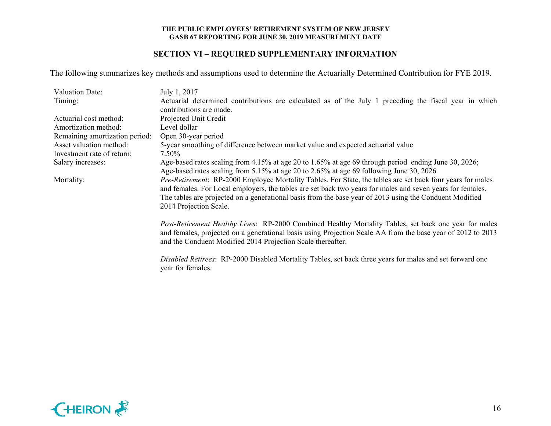# **SECTION VI – REQUIRED SUPPLEMENTARY INFORMATION**

The following summarizes key methods and assumptions used to determine the Actuarially Determined Contribution for FYE 2019.

| Valuation Date:                | July 1, 2017                                                                                                                  |  |  |  |  |  |  |
|--------------------------------|-------------------------------------------------------------------------------------------------------------------------------|--|--|--|--|--|--|
| Timing:                        | Actuarial determined contributions are calculated as of the July 1 preceding the fiscal year in which                         |  |  |  |  |  |  |
|                                | contributions are made.                                                                                                       |  |  |  |  |  |  |
| Actuarial cost method:         | Projected Unit Credit                                                                                                         |  |  |  |  |  |  |
| Amortization method:           | Level dollar                                                                                                                  |  |  |  |  |  |  |
| Remaining amortization period: | Open 30-year period                                                                                                           |  |  |  |  |  |  |
| Asset valuation method:        | 5-year smoothing of difference between market value and expected actuarial value                                              |  |  |  |  |  |  |
| Investment rate of return:     | 7.50%                                                                                                                         |  |  |  |  |  |  |
| Salary increases:              | Age-based rates scaling from 4.15% at age 20 to 1.65% at age 69 through period ending June 30, 2026;                          |  |  |  |  |  |  |
|                                | Age-based rates scaling from 5.15% at age 20 to 2.65% at age 69 following June 30, 2026                                       |  |  |  |  |  |  |
| Mortality:                     | Pre-Retirement: RP-2000 Employee Mortality Tables. For State, the tables are set back four years for males                    |  |  |  |  |  |  |
|                                | and females. For Local employers, the tables are set back two years for males and seven years for females.                    |  |  |  |  |  |  |
|                                | The tables are projected on a generational basis from the base year of 2013 using the Conduent Modified                       |  |  |  |  |  |  |
|                                | 2014 Projection Scale.                                                                                                        |  |  |  |  |  |  |
|                                | Post-Retirement Healthy Lives: RP-2000 Combined Healthy Mortality Tables, set back one year for males                         |  |  |  |  |  |  |
|                                | and females, projected on a generational basis using Projection Scale AA from the base year of 2012 to 2013                   |  |  |  |  |  |  |
|                                | and the Conduent Modified 2014 Projection Scale thereafter.                                                                   |  |  |  |  |  |  |
|                                |                                                                                                                               |  |  |  |  |  |  |
|                                | Disabled Retirees: RP-2000 Disabled Mortality Tables, set back three years for males and set forward one<br>year for females. |  |  |  |  |  |  |

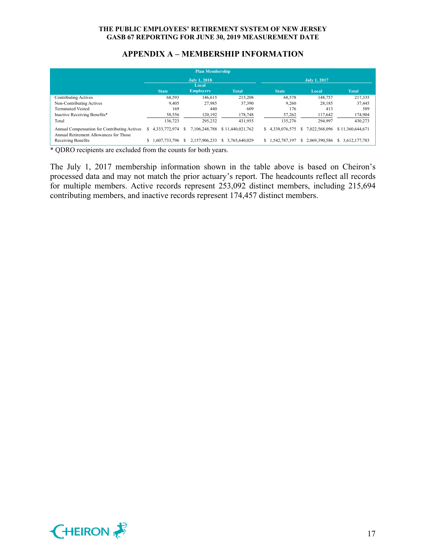# **APPENDIX A – MEMBERSHIP INFORMATION**

| <b>Plan Membership</b>                                                                 |                              |               |    |                  |                     |                     |                 |  |               |                     |
|----------------------------------------------------------------------------------------|------------------------------|---------------|----|------------------|---------------------|---------------------|-----------------|--|---------------|---------------------|
|                                                                                        | <b>July 1, 2018</b><br>Local |               |    |                  |                     | <b>July 1, 2017</b> |                 |  |               |                     |
|                                                                                        |                              | <b>State</b>  |    | <b>Employers</b> | <b>Total</b>        |                     | <b>State</b>    |  | Local         | <b>Total</b>        |
| <b>Contributing Actives</b>                                                            |                              | 68.593        |    | 146.615          | 215,208             |                     | 68,578          |  | 148,757       | 217,335             |
| Non-Contributing Actives                                                               |                              | 9.405         |    | 27,985           | 37,390              |                     | 9,260           |  | 28.185        | 37,445              |
| <b>Terminated Vested</b>                                                               |                              | 169           |    | 440              | 609                 |                     | 176             |  | 413           | 589                 |
| Inactive Receiving Benefits*                                                           |                              | 58,556        |    | 120.192          | 178,748             |                     | 57,262          |  | 117,642       | 174,904             |
| Total                                                                                  |                              | 136,723       |    | 295.232          | 431.955             |                     | 135,276         |  | 294,997       | 430,273             |
| Annual Compensation for Contributing Actives<br>Annual Retirement Allowances for Those | S                            | 4,333,772,974 | S  | 7.106.248.788    | \$11,440,021,762    | S.                  | 4.338.076.575   |  | 7.022.568.096 | \$11,360,644,671    |
| Receiving Benefits<br>.                                                                | S.                           | 1,607,733,796 | S. | 2.157.906.233    | 3.765.640.029<br>S. |                     | \$1,542,787,197 |  | 2.069.390.586 | 3.612.177.783<br>S. |

\* QDRO recipients are excluded from the counts for both years.

The July 1, 2017 membership information shown in the table above is based on Cheiron's processed data and may not match the prior actuary's report. The headcounts reflect all records for multiple members. Active records represent 253,092 distinct members, including 215,694 contributing members, and inactive records represent 174,457 distinct members.

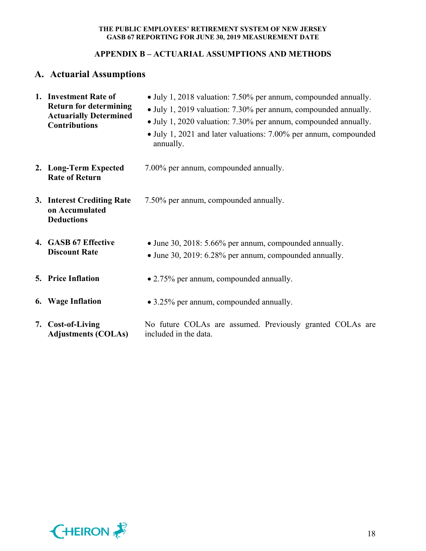# **APPENDIX B – ACTUARIAL ASSUMPTIONS AND METHODS**

# **A. Actuarial Assumptions**

| 1. Investment Rate of<br><b>Return for determining</b><br><b>Actuarially Determined</b><br><b>Contributions</b> | • July 1, 2018 valuation: 7.50% per annum, compounded annually.<br>• July 1, 2019 valuation: 7.30% per annum, compounded annually.<br>• July 1, 2020 valuation: 7.30% per annum, compounded annually.<br>• July 1, 2021 and later valuations: 7.00% per annum, compounded<br>annually. |
|-----------------------------------------------------------------------------------------------------------------|----------------------------------------------------------------------------------------------------------------------------------------------------------------------------------------------------------------------------------------------------------------------------------------|
| 2. Long-Term Expected<br><b>Rate of Return</b>                                                                  | 7.00% per annum, compounded annually.                                                                                                                                                                                                                                                  |
| 3. Interest Crediting Rate<br>on Accumulated<br><b>Deductions</b>                                               | 7.50% per annum, compounded annually.                                                                                                                                                                                                                                                  |
| 4. GASB 67 Effective<br><b>Discount Rate</b>                                                                    | • June 30, 2018: 5.66% per annum, compounded annually.<br>• June 30, 2019: 6.28% per annum, compounded annually.                                                                                                                                                                       |
| <b>5. Price Inflation</b>                                                                                       | • 2.75% per annum, compounded annually.                                                                                                                                                                                                                                                |
| <b>6.</b> Wage Inflation                                                                                        | • 3.25% per annum, compounded annually.                                                                                                                                                                                                                                                |
| 7. Cost-of-Living<br><b>Adjustments (COLAs)</b>                                                                 | No future COLAs are assumed. Previously granted COLAs are<br>included in the data.                                                                                                                                                                                                     |

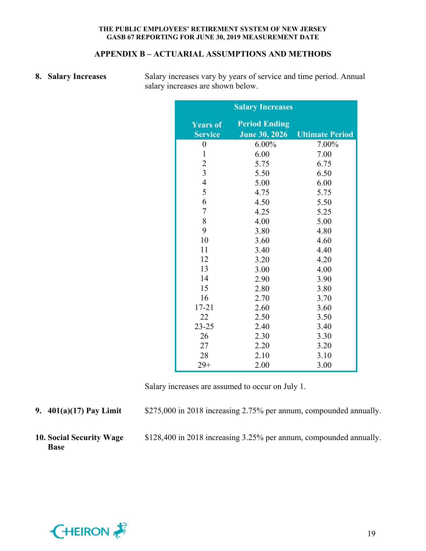## **APPENDIX B – ACTUARIAL ASSUMPTIONS AND METHODS**

**8.** Salary Increases Salary increases vary by years of service and time period. Annual salary increases are shown below.

|                                   | <b>Salary Increases</b>                      |                        |
|-----------------------------------|----------------------------------------------|------------------------|
| <b>Years of</b><br><b>Service</b> | <b>Period Ending</b><br><b>June 30, 2026</b> | <b>Ultimate Period</b> |
| $\boldsymbol{0}$                  | $6.00\%$                                     | 7.00%                  |
| $\mathbf{1}$                      | 6.00                                         | 7.00                   |
| $\overline{c}$                    | 5.75                                         | 6.75                   |
| $\overline{3}$                    | 5.50                                         | 6.50                   |
| $\overline{4}$                    | 5.00                                         | 6.00                   |
| 5                                 | 4.75                                         | 5.75                   |
| 6                                 | 4.50                                         | 5.50                   |
| $\overline{7}$                    | 4.25                                         | 5.25                   |
| 8                                 | 4.00                                         | 5.00                   |
| 9                                 | 3.80                                         | 4.80                   |
| 10                                | 3.60                                         | 4.60                   |
| 11                                | 3.40                                         | 4.40                   |
| 12                                | 3.20                                         | 4.20                   |
| 13                                | 3.00                                         | 4.00                   |
| 14                                | 2.90                                         | 3.90                   |
| 15                                | 2.80                                         | 3.80                   |
| 16                                | 2.70                                         | 3.70                   |
| $17 - 21$                         | 2.60                                         | 3.60                   |
| 22                                | 2.50                                         | 3.50                   |
| $23 - 25$                         | 2.40                                         | 3.40                   |
| 26                                | 2.30                                         | 3.30                   |
| 27                                | 2.20                                         | 3.20                   |
| 28                                | 2.10                                         | 3.10                   |
| $29+$                             | 2.00                                         | 3.00                   |

Salary increases are assumed to occur on July 1.

**9. 401(a)(17) Pay Limit** \$275,000 in 2018 increasing 2.75% per annum, compounded annually.

**10. Social Security Wage Base**

\$128,400 in 2018 increasing 3.25% per annum, compounded annually.

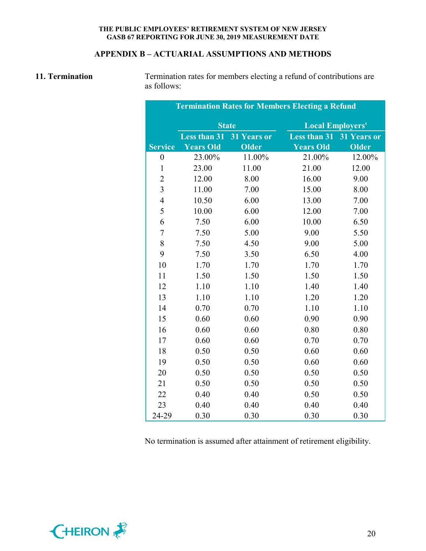# **APPENDIX B – ACTUARIAL ASSUMPTIONS AND METHODS**

11. **Termination** Termination rates for members electing a refund of contributions are as follows:

| <b>Termination Rates for Members Electing a Refund</b> |                     |              |                         |              |  |  |
|--------------------------------------------------------|---------------------|--------------|-------------------------|--------------|--|--|
|                                                        | <b>State</b>        |              | <b>Local Employers'</b> |              |  |  |
|                                                        | <b>Less than 31</b> | 31 Years or  | <b>Less than 31</b>     | 31 Years or  |  |  |
| <b>Service</b>                                         | <b>Years Old</b>    | <b>Older</b> | <b>Years Old</b>        | <b>Older</b> |  |  |
| $\boldsymbol{0}$                                       | 23.00%              | 11.00%       | 21.00%                  | 12.00%       |  |  |
| $\mathbf{1}$                                           | 23.00               | 11.00        | 21.00                   | 12.00        |  |  |
| $\overline{2}$                                         | 12.00               | 8.00         | 16.00                   | 9.00         |  |  |
| $\overline{3}$                                         | 11.00               | 7.00         | 15.00                   | 8.00         |  |  |
| $\overline{4}$                                         | 10.50               | 6.00         | 13.00                   | 7.00         |  |  |
| 5                                                      | 10.00               | 6.00         | 12.00                   | 7.00         |  |  |
| 6                                                      | 7.50                | 6.00         | 10.00                   | 6.50         |  |  |
| $\overline{7}$                                         | 7.50                | 5.00         | 9.00                    | 5.50         |  |  |
| 8                                                      | 7.50                | 4.50         | 9.00                    | 5.00         |  |  |
| 9                                                      | 7.50                | 3.50         | 6.50                    | 4.00         |  |  |
| 10                                                     | 1.70                | 1.70         | 1.70                    | 1.70         |  |  |
| 11                                                     | 1.50                | 1.50         | 1.50                    | 1.50         |  |  |
| 12                                                     | 1.10                | 1.10         | 1.40                    | 1.40         |  |  |
| 13                                                     | 1.10                | 1.10         | 1.20                    | 1.20         |  |  |
| 14                                                     | 0.70                | 0.70         | 1.10                    | 1.10         |  |  |
| 15                                                     | 0.60                | 0.60         | 0.90                    | 0.90         |  |  |
| 16                                                     | 0.60                | 0.60         | 0.80                    | 0.80         |  |  |
| 17                                                     | 0.60                | 0.60         | 0.70                    | 0.70         |  |  |
| 18                                                     | 0.50                | 0.50         | 0.60                    | 0.60         |  |  |
| 19                                                     | 0.50                | 0.50         | 0.60                    | 0.60         |  |  |
| 20                                                     | 0.50                | 0.50         | 0.50                    | 0.50         |  |  |
| 21                                                     | 0.50                | 0.50         | 0.50                    | 0.50         |  |  |
| 22                                                     | 0.40                | 0.40         | 0.50                    | 0.50         |  |  |
| 23                                                     | 0.40                | 0.40         | 0.40                    | 0.40         |  |  |
| 24-29                                                  | 0.30                | 0.30         | 0.30                    | 0.30         |  |  |

No termination is assumed after attainment of retirement eligibility.

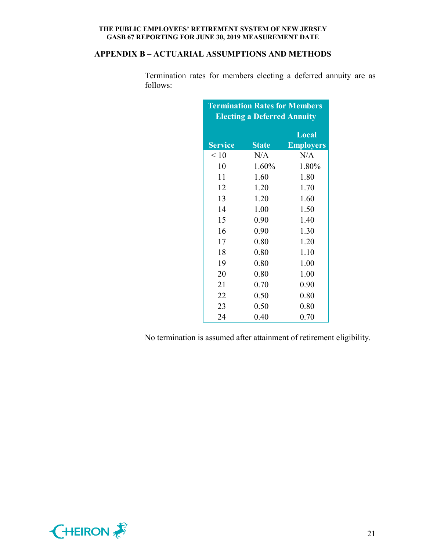# **APPENDIX B – ACTUARIAL ASSUMPTIONS AND METHODS**

Termination rates for members electing a deferred annuity are as follows:

| <b>Termination Rates for Members</b> |              |                  |  |  |  |  |  |
|--------------------------------------|--------------|------------------|--|--|--|--|--|
| <b>Electing a Deferred Annuity</b>   |              |                  |  |  |  |  |  |
|                                      |              | Local            |  |  |  |  |  |
| <b>Service</b>                       | <b>State</b> | <b>Employers</b> |  |  |  |  |  |
| $\leq 10$                            | N/A          | N/A              |  |  |  |  |  |
| 10                                   | 1.60%        | 1.80%            |  |  |  |  |  |
| 11                                   | 1.60         | 1.80             |  |  |  |  |  |
| 12                                   | 1.20         | 1.70             |  |  |  |  |  |
| 13                                   | 1.20         | 1.60             |  |  |  |  |  |
| 14                                   | 1.00         | 1.50             |  |  |  |  |  |
| 15                                   | 0.90         | 1.40             |  |  |  |  |  |
| 16                                   | 0.90         | 1.30             |  |  |  |  |  |
| 17                                   | 0.80         | 1.20             |  |  |  |  |  |
| 18                                   | 0.80         | 1.10             |  |  |  |  |  |
| 19                                   | 0.80         | 1.00             |  |  |  |  |  |
| 20                                   | 0.80         | 1.00             |  |  |  |  |  |
| 21                                   | 0.70         | 0.90             |  |  |  |  |  |
| 22                                   | 0.50         | 0.80             |  |  |  |  |  |
| 23                                   | 0.50         | 0.80             |  |  |  |  |  |
| 24                                   | 0.40         | 0.70             |  |  |  |  |  |

No termination is assumed after attainment of retirement eligibility.

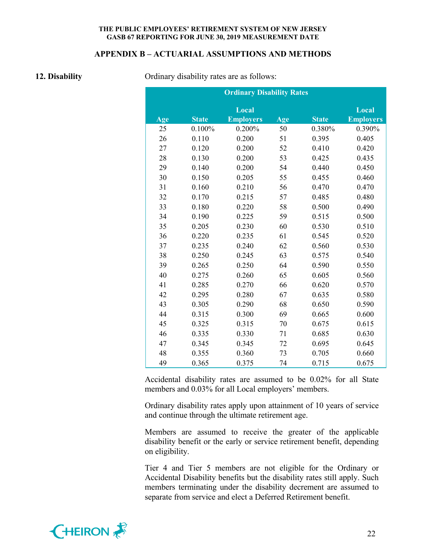#### **APPENDIX B – ACTUARIAL ASSUMPTIONS AND METHODS**

**12. Disability** Ordinary disability rates are as follows:

|     |              | <b>Ordinary Disability Rates</b> |     |              |                  |
|-----|--------------|----------------------------------|-----|--------------|------------------|
|     |              | Local                            |     |              | Local            |
| Age | <b>State</b> | <b>Employers</b>                 | Age | <b>State</b> | <b>Employers</b> |
| 25  | 0.100%       | 0.200%                           | 50  | 0.380%       | 0.390%           |
| 26  | 0.110        | 0.200                            | 51  | 0.395        | 0.405            |
| 27  | 0.120        | 0.200                            | 52  | 0.410        | 0.420            |
| 28  | 0.130        | 0.200                            | 53  | 0.425        | 0.435            |
| 29  | 0.140        | 0.200                            | 54  | 0.440        | 0.450            |
| 30  | 0.150        | 0.205                            | 55  | 0.455        | 0.460            |
| 31  | 0.160        | 0.210                            | 56  | 0.470        | 0.470            |
| 32  | 0.170        | 0.215                            | 57  | 0.485        | 0.480            |
| 33  | 0.180        | 0.220                            | 58  | 0.500        | 0.490            |
| 34  | 0.190        | 0.225                            | 59  | 0.515        | 0.500            |
| 35  | 0.205        | 0.230                            | 60  | 0.530        | 0.510            |
| 36  | 0.220        | 0.235                            | 61  | 0.545        | 0.520            |
| 37  | 0.235        | 0.240                            | 62  | 0.560        | 0.530            |
| 38  | 0.250        | 0.245                            | 63  | 0.575        | 0.540            |
| 39  | 0.265        | 0.250                            | 64  | 0.590        | 0.550            |
| 40  | 0.275        | 0.260                            | 65  | 0.605        | 0.560            |
| 41  | 0.285        | 0.270                            | 66  | 0.620        | 0.570            |
| 42  | 0.295        | 0.280                            | 67  | 0.635        | 0.580            |
| 43  | 0.305        | 0.290                            | 68  | 0.650        | 0.590            |
| 44  | 0.315        | 0.300                            | 69  | 0.665        | 0.600            |
| 45  | 0.325        | 0.315                            | 70  | 0.675        | 0.615            |
| 46  | 0.335        | 0.330                            | 71  | 0.685        | 0.630            |
| 47  | 0.345        | 0.345                            | 72  | 0.695        | 0.645            |
| 48  | 0.355        | 0.360                            | 73  | 0.705        | 0.660            |
| 49  | 0.365        | 0.375                            | 74  | 0.715        | 0.675            |

Accidental disability rates are assumed to be 0.02% for all State members and 0.03% for all Local employers' members.

Ordinary disability rates apply upon attainment of 10 years of service and continue through the ultimate retirement age.

Members are assumed to receive the greater of the applicable disability benefit or the early or service retirement benefit, depending on eligibility.

Tier 4 and Tier 5 members are not eligible for the Ordinary or Accidental Disability benefits but the disability rates still apply. Such members terminating under the disability decrement are assumed to separate from service and elect a Deferred Retirement benefit.

![](_page_23_Picture_9.jpeg)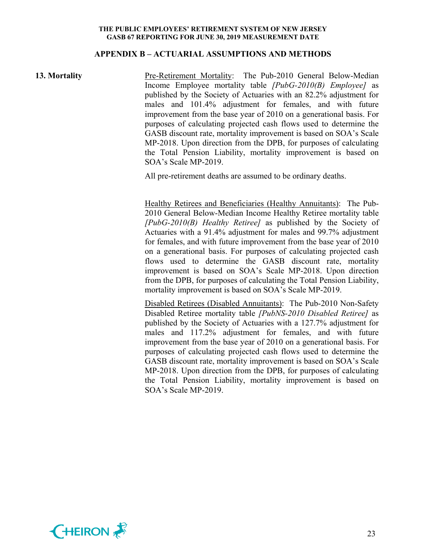#### **APPENDIX B – ACTUARIAL ASSUMPTIONS AND METHODS**

**13. Mortality** Pre-Retirement Mortality: The Pub-2010 General Below-Median Income Employee mortality table *[PubG-2010(B) Employee]* as published by the Society of Actuaries with an 82.2% adjustment for males and 101.4% adjustment for females, and with future improvement from the base year of 2010 on a generational basis. For purposes of calculating projected cash flows used to determine the GASB discount rate, mortality improvement is based on SOA's Scale MP-2018. Upon direction from the DPB, for purposes of calculating the Total Pension Liability, mortality improvement is based on SOA's Scale MP-2019.

All pre-retirement deaths are assumed to be ordinary deaths.

Healthy Retirees and Beneficiaries (Healthy Annuitants): The Pub-2010 General Below-Median Income Healthy Retiree mortality table *[PubG-2010(B) Healthy Retiree]* as published by the Society of Actuaries with a 91.4% adjustment for males and 99.7% adjustment for females, and with future improvement from the base year of 2010 on a generational basis. For purposes of calculating projected cash flows used to determine the GASB discount rate, mortality improvement is based on SOA's Scale MP-2018. Upon direction from the DPB, for purposes of calculating the Total Pension Liability, mortality improvement is based on SOA's Scale MP-2019.

Disabled Retirees (Disabled Annuitants): The Pub-2010 Non-Safety Disabled Retiree mortality table *[PubNS-2010 Disabled Retiree]* as published by the Society of Actuaries with a 127.7% adjustment for males and 117.2% adjustment for females, and with future improvement from the base year of 2010 on a generational basis. For purposes of calculating projected cash flows used to determine the GASB discount rate, mortality improvement is based on SOA's Scale MP-2018. Upon direction from the DPB, for purposes of calculating the Total Pension Liability, mortality improvement is based on SOA's Scale MP-2019.

![](_page_24_Picture_7.jpeg)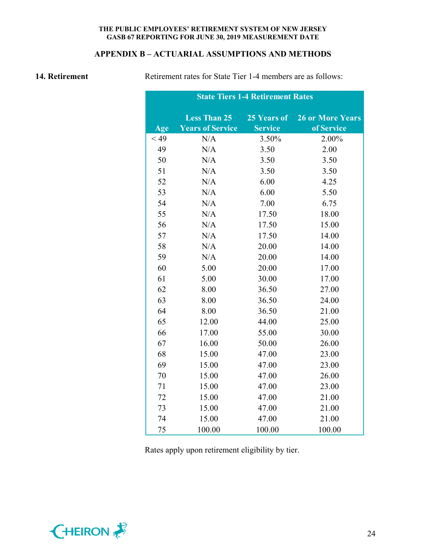# **APPENDIX B – ACTUARIAL ASSUMPTIONS AND METHODS**

**14. Retirement** Retirement rates for State Tier 1-4 members are as follows:

|        | <b>State Tiers 1-4 Retirement Rates</b> |                |                         |  |  |  |
|--------|-----------------------------------------|----------------|-------------------------|--|--|--|
|        | <b>Less Than 25</b>                     | 25 Years of    | <b>26 or More Years</b> |  |  |  |
| Age    | <b>Years of Service</b>                 | <b>Service</b> | of Service              |  |  |  |
| $<$ 49 | N/A                                     | 3.50%          | 2.00%                   |  |  |  |
| 49     | N/A                                     | 3.50           | 2.00                    |  |  |  |
| 50     | N/A                                     | 3.50           | 3.50                    |  |  |  |
| 51     | N/A                                     | 3.50           | 3.50                    |  |  |  |
| 52     | N/A                                     | 6.00           | 4.25                    |  |  |  |
| 53     | N/A                                     | 6.00           | 5.50                    |  |  |  |
| 54     | N/A                                     | 7.00           | 6.75                    |  |  |  |
| 55     | N/A                                     | 17.50          | 18.00                   |  |  |  |
| 56     | N/A                                     | 17.50          | 15.00                   |  |  |  |
| 57     | N/A                                     | 17.50          | 14.00                   |  |  |  |
| 58     | N/A                                     | 20.00          | 14.00                   |  |  |  |
| 59     | N/A                                     | 20.00          | 14.00                   |  |  |  |
| 60     | 5.00                                    | 20.00          | 17.00                   |  |  |  |
| 61     | 5.00                                    | 30.00          | 17.00                   |  |  |  |
| 62     | 8.00                                    | 36.50          | 27.00                   |  |  |  |
| 63     | 8.00                                    | 36.50          | 24.00                   |  |  |  |
| 64     | 8.00                                    | 36.50          | 21.00                   |  |  |  |
| 65     | 12.00                                   | 44.00          | 25.00                   |  |  |  |
| 66     | 17.00                                   | 55.00          | 30.00                   |  |  |  |
| 67     | 16.00                                   | 50.00          | 26.00                   |  |  |  |
| 68     | 15.00                                   | 47.00          | 23.00                   |  |  |  |
| 69     | 15.00                                   | 47.00          | 23.00                   |  |  |  |
| 70     | 15.00                                   | 47.00          | 26.00                   |  |  |  |
| 71     | 15.00                                   | 47.00          | 23.00                   |  |  |  |
| 72     | 15.00                                   | 47.00          | 21.00                   |  |  |  |
| 73     | 15.00                                   | 47.00          | 21.00                   |  |  |  |
| 74     | 15.00                                   | 47.00          | 21.00                   |  |  |  |
| 75     | 100.00                                  | 100.00         | 100.00                  |  |  |  |

Rates apply upon retirement eligibility by tier.

![](_page_25_Picture_6.jpeg)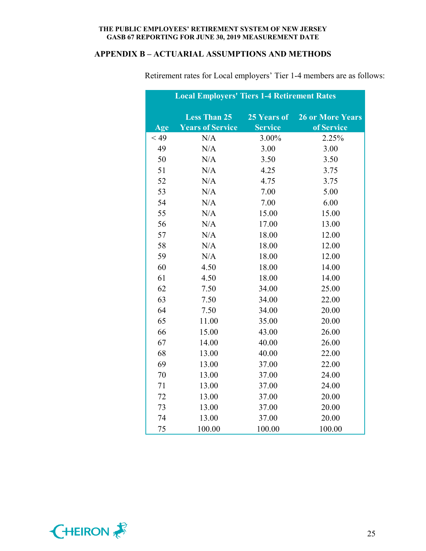# **APPENDIX B – ACTUARIAL ASSUMPTIONS AND METHODS**

|        | <b>Local Employers' Tiers 1-4 Retirement Rates</b> |                |                         |
|--------|----------------------------------------------------|----------------|-------------------------|
|        | <b>Less Than 25</b>                                | 25 Years of    | <b>26 or More Years</b> |
| Age    | <b>Years of Service</b>                            | <b>Service</b> | of Service              |
| $<$ 49 | N/A                                                | 3.00%          | 2.25%                   |
| 49     | N/A                                                | 3.00           | 3.00                    |
| 50     | N/A                                                | 3.50           | 3.50                    |
| 51     | N/A                                                | 4.25           | 3.75                    |
| 52     | N/A                                                | 4.75           | 3.75                    |
| 53     | N/A                                                | 7.00           | 5.00                    |
| 54     | N/A                                                | 7.00           | 6.00                    |
| 55     | N/A                                                | 15.00          | 15.00                   |
| 56     | N/A                                                | 17.00          | 13.00                   |
| 57     | N/A                                                | 18.00          | 12.00                   |
| 58     | N/A                                                | 18.00          | 12.00                   |
| 59     | N/A                                                | 18.00          | 12.00                   |
| 60     | 4.50                                               | 18.00          | 14.00                   |
| 61     | 4.50                                               | 18.00          | 14.00                   |
| 62     | 7.50                                               | 34.00          | 25.00                   |
| 63     | 7.50                                               | 34.00          | 22.00                   |
| 64     | 7.50                                               | 34.00          | 20.00                   |
| 65     | 11.00                                              | 35.00          | 20.00                   |
| 66     | 15.00                                              | 43.00          | 26.00                   |
| 67     | 14.00                                              | 40.00          | 26.00                   |
| 68     | 13.00                                              | 40.00          | 22.00                   |
| 69     | 13.00                                              | 37.00          | 22.00                   |
| 70     | 13.00                                              | 37.00          | 24.00                   |
| 71     | 13.00                                              | 37.00          | 24.00                   |
| 72     | 13.00                                              | 37.00          | 20.00                   |
| 73     | 13.00                                              | 37.00          | 20.00                   |
| 74     | 13.00                                              | 37.00          | 20.00                   |
| 75     | 100.00                                             | 100.00         | 100.00                  |

Retirement rates for Local employers' Tier 1-4 members are as follows:

![](_page_26_Picture_4.jpeg)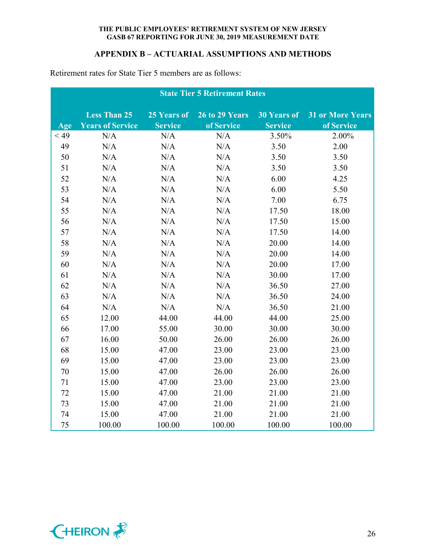# **APPENDIX B – ACTUARIAL ASSUMPTIONS AND METHODS**

|        | <b>State Tier 5 Retirement Rates</b> |                |                       |                    |                         |  |
|--------|--------------------------------------|----------------|-----------------------|--------------------|-------------------------|--|
|        | <b>Less Than 25</b>                  | 25 Years of    | <b>26 to 29 Years</b> | <b>30 Years of</b> | <b>31 or More Years</b> |  |
| Age    | <b>Years of Service</b>              | <b>Service</b> | of Service            | <b>Service</b>     | of Service              |  |
| $<$ 49 | N/A                                  | N/A            | N/A                   | 3.50%              | 2.00%                   |  |
| 49     | N/A                                  | N/A            | N/A                   | 3.50               | 2.00                    |  |
| 50     | N/A                                  | N/A            | N/A                   | 3.50               | 3.50                    |  |
| 51     | N/A                                  | N/A            | N/A                   | 3.50               | 3.50                    |  |
| 52     | N/A                                  | N/A            | N/A                   | 6.00               | 4.25                    |  |
| 53     | N/A                                  | N/A            | N/A                   | 6.00               | 5.50                    |  |
| 54     | N/A                                  | N/A            | N/A                   | 7.00               | 6.75                    |  |
| 55     | N/A                                  | N/A            | N/A                   | 17.50              | 18.00                   |  |
| 56     | N/A                                  | N/A            | N/A                   | 17.50              | 15.00                   |  |
| 57     | N/A                                  | N/A            | N/A                   | 17.50              | 14.00                   |  |
| 58     | N/A                                  | N/A            | N/A                   | 20.00              | 14.00                   |  |
| 59     | N/A                                  | N/A            | N/A                   | 20.00              | 14.00                   |  |
| 60     | N/A                                  | N/A            | N/A                   | 20.00              | 17.00                   |  |
| 61     | N/A                                  | N/A            | N/A                   | 30.00              | 17.00                   |  |
| 62     | N/A                                  | N/A            | N/A                   | 36.50              | 27.00                   |  |
| 63     | N/A                                  | N/A            | N/A                   | 36.50              | 24.00                   |  |
| 64     | N/A                                  | N/A            | N/A                   | 36.50              | 21.00                   |  |
| 65     | 12.00                                | 44.00          | 44.00                 | 44.00              | 25.00                   |  |
| 66     | 17.00                                | 55.00          | 30.00                 | 30.00              | 30.00                   |  |
| 67     | 16.00                                | 50.00          | 26.00                 | 26.00              | 26.00                   |  |
| 68     | 15.00                                | 47.00          | 23.00                 | 23.00              | 23.00                   |  |
| 69     | 15.00                                | 47.00          | 23.00                 | 23.00              | 23.00                   |  |
| 70     | 15.00                                | 47.00          | 26.00                 | 26.00              | 26.00                   |  |
| 71     | 15.00                                | 47.00          | 23.00                 | 23.00              | 23.00                   |  |
| 72     | 15.00                                | 47.00          | 21.00                 | 21.00              | 21.00                   |  |
| 73     | 15.00                                | 47.00          | 21.00                 | 21.00              | 21.00                   |  |
| 74     | 15.00                                | 47.00          | 21.00                 | 21.00              | 21.00                   |  |
| 75     | 100.00                               | 100.00         | 100.00                | 100.00             | 100.00                  |  |

Retirement rates for State Tier 5 members are as follows:

![](_page_27_Picture_4.jpeg)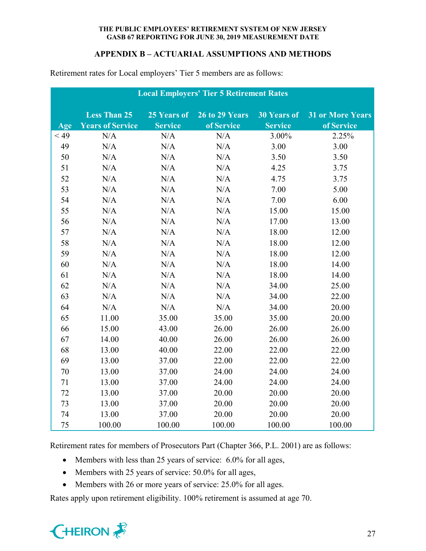# **APPENDIX B – ACTUARIAL ASSUMPTIONS AND METHODS**

| <b>Local Employers' Tier 5 Retirement Rates</b> |                         |                |                |                    |                         |  |  |
|-------------------------------------------------|-------------------------|----------------|----------------|--------------------|-------------------------|--|--|
|                                                 | <b>Less Than 25</b>     | 25 Years of    | 26 to 29 Years | <b>30 Years of</b> | <b>31 or More Years</b> |  |  |
| Age                                             | <b>Years of Service</b> | <b>Service</b> | of Service     | <b>Service</b>     | of Service              |  |  |
| < 49                                            | N/A                     | N/A            | N/A            | 3.00%              | 2.25%                   |  |  |
| 49                                              | N/A                     | N/A            | N/A            | 3.00               | 3.00                    |  |  |
| 50                                              | N/A                     | N/A            | N/A            | 3.50               | 3.50                    |  |  |
| 51                                              | N/A                     | N/A            | N/A            | 4.25               | 3.75                    |  |  |
| 52                                              | N/A                     | N/A            | N/A            | 4.75               | 3.75                    |  |  |
| 53                                              | N/A                     | N/A            | N/A            | 7.00               | 5.00                    |  |  |
| 54                                              | N/A                     | N/A            | N/A            | 7.00               | 6.00                    |  |  |
| 55                                              | N/A                     | N/A            | N/A            | 15.00              | 15.00                   |  |  |
| 56                                              | N/A                     | N/A            | N/A            | 17.00              | 13.00                   |  |  |
| 57                                              | N/A                     | N/A            | N/A            | 18.00              | 12.00                   |  |  |
| 58                                              | N/A                     | N/A            | N/A            | 18.00              | 12.00                   |  |  |
| 59                                              | N/A                     | N/A            | N/A            | 18.00              | 12.00                   |  |  |
| 60                                              | N/A                     | N/A            | N/A            | 18.00              | 14.00                   |  |  |
| 61                                              | N/A                     | N/A            | N/A            | 18.00              | 14.00                   |  |  |
| 62                                              | N/A                     | N/A            | N/A            | 34.00              | 25.00                   |  |  |
| 63                                              | N/A                     | N/A            | N/A            | 34.00              | 22.00                   |  |  |
| 64                                              | N/A                     | N/A            | N/A            | 34.00              | 20.00                   |  |  |
| 65                                              | 11.00                   | 35.00          | 35.00          | 35.00              | 20.00                   |  |  |
| 66                                              | 15.00                   | 43.00          | 26.00          | 26.00              | 26.00                   |  |  |
| 67                                              | 14.00                   | 40.00          | 26.00          | 26.00              | 26.00                   |  |  |
| 68                                              | 13.00                   | 40.00          | 22.00          | 22.00              | 22.00                   |  |  |
| 69                                              | 13.00                   | 37.00          | 22.00          | 22.00              | 22.00                   |  |  |
| 70                                              | 13.00                   | 37.00          | 24.00          | 24.00              | 24.00                   |  |  |
| 71                                              | 13.00                   | 37.00          | 24.00          | 24.00              | 24.00                   |  |  |
| 72                                              | 13.00                   | 37.00          | 20.00          | 20.00              | 20.00                   |  |  |
| 73                                              | 13.00                   | 37.00          | 20.00          | 20.00              | 20.00                   |  |  |
| 74                                              | 13.00                   | 37.00          | 20.00          | 20.00              | 20.00                   |  |  |
| 75                                              | 100.00                  | 100.00         | 100.00         | 100.00             | 100.00                  |  |  |

Retirement rates for Local employers' Tier 5 members are as follows:

Retirement rates for members of Prosecutors Part (Chapter 366, P.L. 2001) are as follows:

- Members with less than 25 years of service: 6.0% for all ages,
- Members with 25 years of service: 50.0% for all ages,
- Members with 26 or more years of service: 25.0% for all ages.

Rates apply upon retirement eligibility. 100% retirement is assumed at age 70.

![](_page_28_Picture_9.jpeg)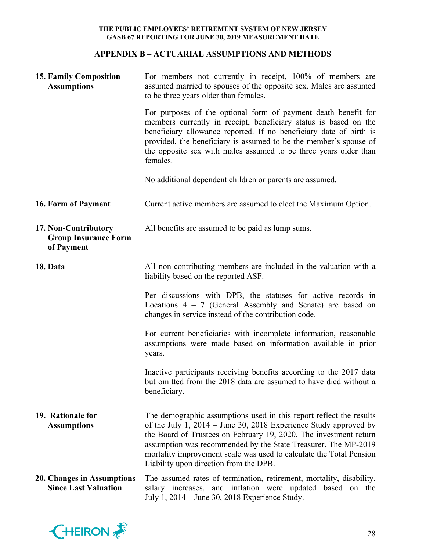# **APPENDIX B – ACTUARIAL ASSUMPTIONS AND METHODS**

| <b>15. Family Composition</b><br><b>Assumptions</b>               | For members not currently in receipt, 100% of members are<br>assumed married to spouses of the opposite sex. Males are assumed<br>to be three years older than females.                                                                                                                                                                                                                           |
|-------------------------------------------------------------------|---------------------------------------------------------------------------------------------------------------------------------------------------------------------------------------------------------------------------------------------------------------------------------------------------------------------------------------------------------------------------------------------------|
|                                                                   | For purposes of the optional form of payment death benefit for<br>members currently in receipt, beneficiary status is based on the<br>beneficiary allowance reported. If no beneficiary date of birth is<br>provided, the beneficiary is assumed to be the member's spouse of<br>the opposite sex with males assumed to be three years older than<br>females.                                     |
|                                                                   | No additional dependent children or parents are assumed.                                                                                                                                                                                                                                                                                                                                          |
| 16. Form of Payment                                               | Current active members are assumed to elect the Maximum Option.                                                                                                                                                                                                                                                                                                                                   |
| 17. Non-Contributory<br><b>Group Insurance Form</b><br>of Payment | All benefits are assumed to be paid as lump sums.                                                                                                                                                                                                                                                                                                                                                 |
| 18. Data                                                          | All non-contributing members are included in the valuation with a<br>liability based on the reported ASF.                                                                                                                                                                                                                                                                                         |
|                                                                   | Per discussions with DPB, the statuses for active records in<br>Locations $4 - 7$ (General Assembly and Senate) are based on<br>changes in service instead of the contribution code.                                                                                                                                                                                                              |
|                                                                   | For current beneficiaries with incomplete information, reasonable<br>assumptions were made based on information available in prior<br>years.                                                                                                                                                                                                                                                      |
|                                                                   | Inactive participants receiving benefits according to the 2017 data<br>but omitted from the 2018 data are assumed to have died without a<br>beneficiary.                                                                                                                                                                                                                                          |
| 19. Rationale for<br><b>Assumptions</b>                           | The demographic assumptions used in this report reflect the results<br>of the July 1, $2014 -$ June 30, 2018 Experience Study approved by<br>the Board of Trustees on February 19, 2020. The investment return<br>assumption was recommended by the State Treasurer. The MP-2019<br>mortality improvement scale was used to calculate the Total Pension<br>Liability upon direction from the DPB. |
| 20. Changes in Assumptions<br><b>Since Last Valuation</b>         | The assumed rates of termination, retirement, mortality, disability,<br>salary increases, and inflation were updated based on the<br>July 1, 2014 – June 30, 2018 Experience Study.                                                                                                                                                                                                               |

![](_page_29_Picture_3.jpeg)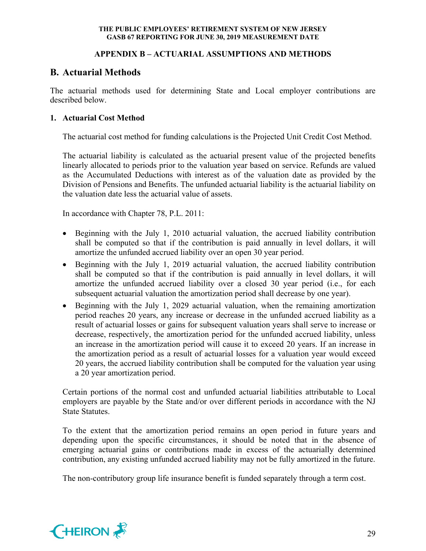# **APPENDIX B – ACTUARIAL ASSUMPTIONS AND METHODS**

# **B. Actuarial Methods**

The actuarial methods used for determining State and Local employer contributions are described below.

# **1. Actuarial Cost Method**

The actuarial cost method for funding calculations is the Projected Unit Credit Cost Method.

The actuarial liability is calculated as the actuarial present value of the projected benefits linearly allocated to periods prior to the valuation year based on service. Refunds are valued as the Accumulated Deductions with interest as of the valuation date as provided by the Division of Pensions and Benefits. The unfunded actuarial liability is the actuarial liability on the valuation date less the actuarial value of assets.

In accordance with Chapter 78, P.L. 2011:

- Beginning with the July 1, 2010 actuarial valuation, the accrued liability contribution shall be computed so that if the contribution is paid annually in level dollars, it will amortize the unfunded accrued liability over an open 30 year period.
- Beginning with the July 1, 2019 actuarial valuation, the accrued liability contribution shall be computed so that if the contribution is paid annually in level dollars, it will amortize the unfunded accrued liability over a closed 30 year period (i.e., for each subsequent actuarial valuation the amortization period shall decrease by one year).
- Beginning with the July 1, 2029 actuarial valuation, when the remaining amortization period reaches 20 years, any increase or decrease in the unfunded accrued liability as a result of actuarial losses or gains for subsequent valuation years shall serve to increase or decrease, respectively, the amortization period for the unfunded accrued liability, unless an increase in the amortization period will cause it to exceed 20 years. If an increase in the amortization period as a result of actuarial losses for a valuation year would exceed 20 years, the accrued liability contribution shall be computed for the valuation year using a 20 year amortization period.

Certain portions of the normal cost and unfunded actuarial liabilities attributable to Local employers are payable by the State and/or over different periods in accordance with the NJ State Statutes.

To the extent that the amortization period remains an open period in future years and depending upon the specific circumstances, it should be noted that in the absence of emerging actuarial gains or contributions made in excess of the actuarially determined contribution, any existing unfunded accrued liability may not be fully amortized in the future.

The non-contributory group life insurance benefit is funded separately through a term cost.

![](_page_30_Picture_14.jpeg)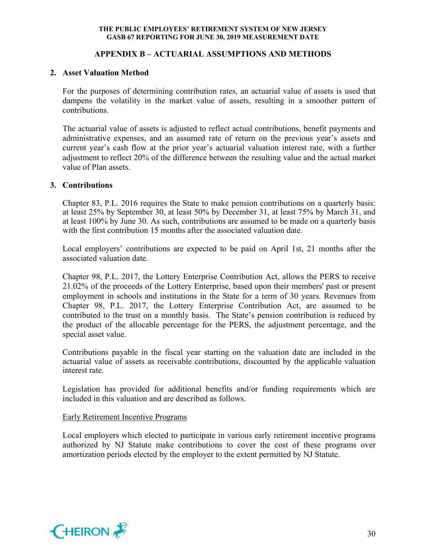# **APPENDIX B – ACTUARIAL ASSUMPTIONS AND METHODS**

#### **2. Asset Valuation Method**

For the purposes of determining contribution rates, an actuarial value of assets is used that dampens the volatility in the market value of assets, resulting in a smoother pattern of contributions.

The actuarial value of assets is adjusted to reflect actual contributions, benefit payments and administrative expenses, and an assumed rate of return on the previous year's assets and current year's cash flow at the prior year's actuarial valuation interest rate, with a further adjustment to reflect 20% of the difference between the resulting value and the actual market value of Plan assets.

#### **3. Contributions**

Chapter 83, P.L. 2016 requires the State to make pension contributions on a quarterly basis: at least 25% by September 30, at least 50% by December 31, at least 75% by March 31, and at least 100% by June 30. As such, contributions are assumed to be made on a quarterly basis with the first contribution 15 months after the associated valuation date.

Local employers' contributions are expected to be paid on April 1st, 21 months after the associated valuation date.

Chapter 98, P.L. 2017, the Lottery Enterprise Contribution Act, allows the PERS to receive 21.02% of the proceeds of the Lottery Enterprise, based upon their members' past or present employment in schools and institutions in the State for a term of 30 years. Revenues from Chapter 98, P.L. 2017, the Lottery Enterprise Contribution Act, are assumed to be contributed to the trust on a monthly basis. The State's pension contribution is reduced by the product of the allocable percentage for the PERS, the adjustment percentage, and the special asset value.

Contributions payable in the fiscal year starting on the valuation date are included in the actuarial value of assets as receivable contributions, discounted by the applicable valuation interest rate.

Legislation has provided for additional benefits and/or funding requirements which are included in this valuation and are described as follows.

#### Early Retirement Incentive Programs

Local employers which elected to participate in various early retirement incentive programs authorized by NJ Statute make contributions to cover the cost of these programs over amortization periods elected by the employer to the extent permitted by NJ Statute.

![](_page_31_Picture_13.jpeg)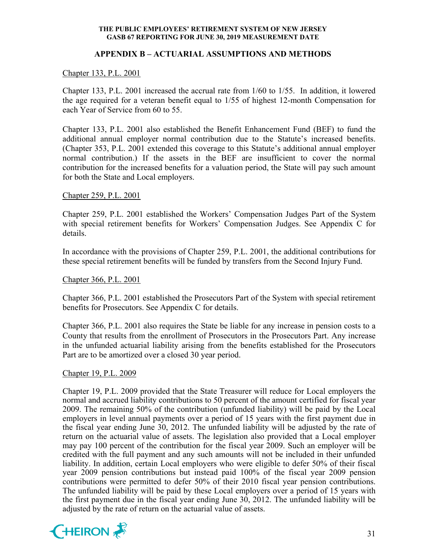# **APPENDIX B – ACTUARIAL ASSUMPTIONS AND METHODS**

# Chapter 133, P.L. 2001

Chapter 133, P.L. 2001 increased the accrual rate from 1/60 to 1/55. In addition, it lowered the age required for a veteran benefit equal to 1/55 of highest 12-month Compensation for each Year of Service from 60 to 55.

Chapter 133, P.L. 2001 also established the Benefit Enhancement Fund (BEF) to fund the additional annual employer normal contribution due to the Statute's increased benefits. (Chapter 353, P.L. 2001 extended this coverage to this Statute's additional annual employer normal contribution.) If the assets in the BEF are insufficient to cover the normal contribution for the increased benefits for a valuation period, the State will pay such amount for both the State and Local employers.

## Chapter 259, P.L. 2001

Chapter 259, P.L. 2001 established the Workers' Compensation Judges Part of the System with special retirement benefits for Workers' Compensation Judges. See Appendix C for details.

In accordance with the provisions of Chapter 259, P.L. 2001, the additional contributions for these special retirement benefits will be funded by transfers from the Second Injury Fund.

## Chapter 366, P.L. 2001

Chapter 366, P.L. 2001 established the Prosecutors Part of the System with special retirement benefits for Prosecutors. See Appendix C for details.

Chapter 366, P.L. 2001 also requires the State be liable for any increase in pension costs to a County that results from the enrollment of Prosecutors in the Prosecutors Part. Any increase in the unfunded actuarial liability arising from the benefits established for the Prosecutors Part are to be amortized over a closed 30 year period.

## Chapter 19, P.L. 2009

Chapter 19, P.L. 2009 provided that the State Treasurer will reduce for Local employers the normal and accrued liability contributions to 50 percent of the amount certified for fiscal year 2009. The remaining 50% of the contribution (unfunded liability) will be paid by the Local employers in level annual payments over a period of 15 years with the first payment due in the fiscal year ending June 30, 2012. The unfunded liability will be adjusted by the rate of return on the actuarial value of assets. The legislation also provided that a Local employer may pay 100 percent of the contribution for the fiscal year 2009. Such an employer will be credited with the full payment and any such amounts will not be included in their unfunded liability. In addition, certain Local employers who were eligible to defer 50% of their fiscal year 2009 pension contributions but instead paid 100% of the fiscal year 2009 pension contributions were permitted to defer 50% of their 2010 fiscal year pension contributions. The unfunded liability will be paid by these Local employers over a period of 15 years with the first payment due in the fiscal year ending June 30, 2012. The unfunded liability will be adjusted by the rate of return on the actuarial value of assets.

![](_page_32_Picture_13.jpeg)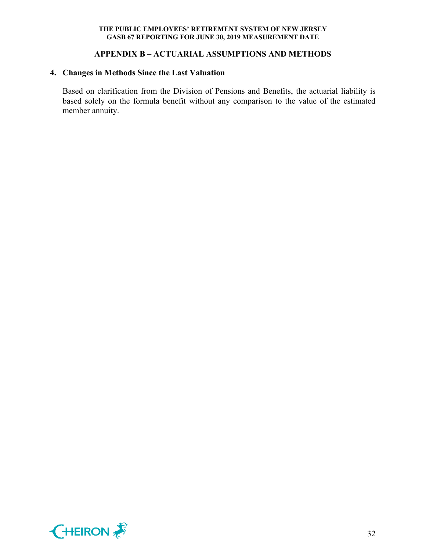# **APPENDIX B – ACTUARIAL ASSUMPTIONS AND METHODS**

# **4. Changes in Methods Since the Last Valuation**

Based on clarification from the Division of Pensions and Benefits, the actuarial liability is based solely on the formula benefit without any comparison to the value of the estimated member annuity.

![](_page_33_Picture_4.jpeg)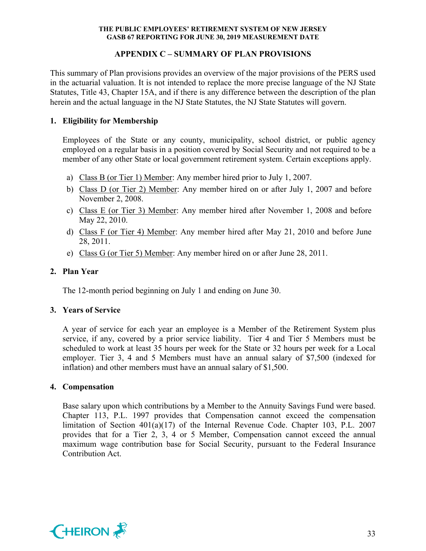# **APPENDIX C – SUMMARY OF PLAN PROVISIONS**

This summary of Plan provisions provides an overview of the major provisions of the PERS used in the actuarial valuation. It is not intended to replace the more precise language of the NJ State Statutes, Title 43, Chapter 15A, and if there is any difference between the description of the plan herein and the actual language in the NJ State Statutes, the NJ State Statutes will govern.

# **1. Eligibility for Membership**

Employees of the State or any county, municipality, school district, or public agency employed on a regular basis in a position covered by Social Security and not required to be a member of any other State or local government retirement system. Certain exceptions apply.

- a) Class B (or Tier 1) Member: Any member hired prior to July 1, 2007.
- b) Class D (or Tier 2) Member: Any member hired on or after July 1, 2007 and before November 2, 2008.
- c) Class E (or Tier 3) Member: Any member hired after November 1, 2008 and before May 22, 2010.
- d) Class F (or Tier 4) Member: Any member hired after May 21, 2010 and before June 28, 2011.
- e) Class G (or Tier 5) Member: Any member hired on or after June 28, 2011.

# **2. Plan Year**

The 12-month period beginning on July 1 and ending on June 30.

## **3. Years of Service**

A year of service for each year an employee is a Member of the Retirement System plus service, if any, covered by a prior service liability. Tier 4 and Tier 5 Members must be scheduled to work at least 35 hours per week for the State or 32 hours per week for a Local employer. Tier 3, 4 and 5 Members must have an annual salary of \$7,500 (indexed for inflation) and other members must have an annual salary of \$1,500.

## **4. Compensation**

Base salary upon which contributions by a Member to the Annuity Savings Fund were based. Chapter 113, P.L. 1997 provides that Compensation cannot exceed the compensation limitation of Section 401(a)(17) of the Internal Revenue Code. Chapter 103, P.L. 2007 provides that for a Tier 2, 3, 4 or 5 Member, Compensation cannot exceed the annual maximum wage contribution base for Social Security, pursuant to the Federal Insurance Contribution Act.

![](_page_34_Picture_16.jpeg)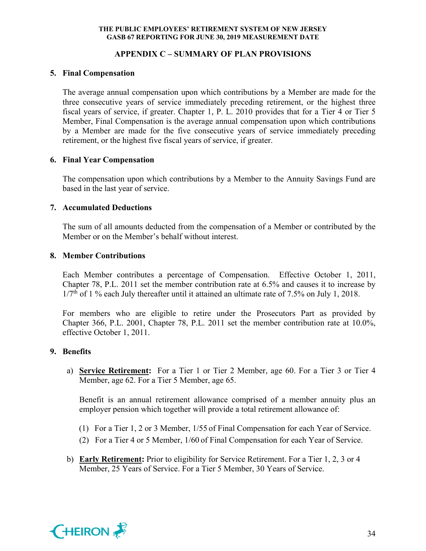# **APPENDIX C – SUMMARY OF PLAN PROVISIONS**

# **5. Final Compensation**

The average annual compensation upon which contributions by a Member are made for the three consecutive years of service immediately preceding retirement, or the highest three fiscal years of service, if greater. Chapter 1, P. L. 2010 provides that for a Tier 4 or Tier 5 Member, Final Compensation is the average annual compensation upon which contributions by a Member are made for the five consecutive years of service immediately preceding retirement, or the highest five fiscal years of service, if greater.

# **6. Final Year Compensation**

The compensation upon which contributions by a Member to the Annuity Savings Fund are based in the last year of service.

# **7. Accumulated Deductions**

The sum of all amounts deducted from the compensation of a Member or contributed by the Member or on the Member's behalf without interest.

# **8. Member Contributions**

Each Member contributes a percentage of Compensation. Effective October 1, 2011, Chapter 78, P.L. 2011 set the member contribution rate at 6.5% and causes it to increase by  $1/7<sup>th</sup>$  of 1 % each July thereafter until it attained an ultimate rate of 7.5% on July 1, 2018.

For members who are eligible to retire under the Prosecutors Part as provided by Chapter 366, P.L. 2001, Chapter 78, P.L. 2011 set the member contribution rate at 10.0%, effective October 1, 2011.

# **9. Benefits**

a) **Service Retirement:** For a Tier 1 or Tier 2 Member, age 60. For a Tier 3 or Tier 4 Member, age 62. For a Tier 5 Member, age 65.

Benefit is an annual retirement allowance comprised of a member annuity plus an employer pension which together will provide a total retirement allowance of:

- (1) For a Tier 1, 2 or 3 Member, 1/55 of Final Compensation for each Year of Service.
- (2) For a Tier 4 or 5 Member, 1/60 of Final Compensation for each Year of Service.
- b) **Early Retirement:** Prior to eligibility for Service Retirement. For a Tier 1, 2, 3 or 4 Member, 25 Years of Service. For a Tier 5 Member, 30 Years of Service.

![](_page_35_Picture_17.jpeg)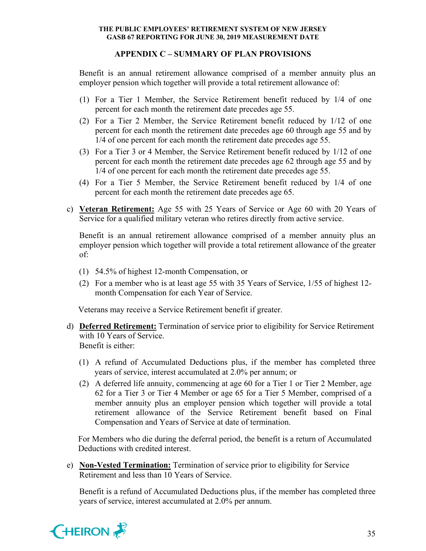# **APPENDIX C – SUMMARY OF PLAN PROVISIONS**

Benefit is an annual retirement allowance comprised of a member annuity plus an employer pension which together will provide a total retirement allowance of:

- (1) For a Tier 1 Member, the Service Retirement benefit reduced by 1/4 of one percent for each month the retirement date precedes age 55.
- (2) For a Tier 2 Member, the Service Retirement benefit reduced by 1/12 of one percent for each month the retirement date precedes age 60 through age 55 and by 1/4 of one percent for each month the retirement date precedes age 55.
- (3) For a Tier 3 or 4 Member, the Service Retirement benefit reduced by 1/12 of one percent for each month the retirement date precedes age 62 through age 55 and by 1/4 of one percent for each month the retirement date precedes age 55.
- (4) For a Tier 5 Member, the Service Retirement benefit reduced by 1/4 of one percent for each month the retirement date precedes age 65.
- c) **Veteran Retirement:** Age 55 with 25 Years of Service or Age 60 with 20 Years of Service for a qualified military veteran who retires directly from active service.

Benefit is an annual retirement allowance comprised of a member annuity plus an employer pension which together will provide a total retirement allowance of the greater of:

- (1) 54.5% of highest 12-month Compensation, or
- (2) For a member who is at least age 55 with 35 Years of Service, 1/55 of highest 12 month Compensation for each Year of Service.

Veterans may receive a Service Retirement benefit if greater.

- d) **Deferred Retirement:** Termination of service prior to eligibility for Service Retirement with 10 Years of Service. Benefit is either:
	- (1) A refund of Accumulated Deductions plus, if the member has completed three years of service, interest accumulated at 2.0% per annum; or
	- (2) A deferred life annuity, commencing at age 60 for a Tier 1 or Tier 2 Member, age 62 for a Tier 3 or Tier 4 Member or age 65 for a Tier 5 Member, comprised of a member annuity plus an employer pension which together will provide a total retirement allowance of the Service Retirement benefit based on Final Compensation and Years of Service at date of termination.

For Members who die during the deferral period, the benefit is a return of Accumulated Deductions with credited interest.

e) **Non-Vested Termination:** Termination of service prior to eligibility for Service Retirement and less than 10 Years of Service.

Benefit is a refund of Accumulated Deductions plus, if the member has completed three years of service, interest accumulated at 2.0% per annum.

![](_page_36_Picture_18.jpeg)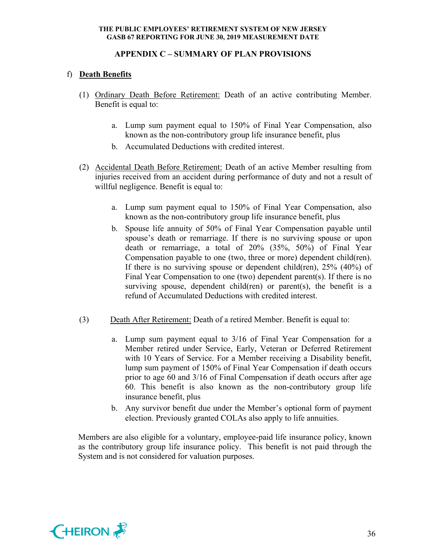# **APPENDIX C – SUMMARY OF PLAN PROVISIONS**

# f) **Death Benefits**

- (1) Ordinary Death Before Retirement: Death of an active contributing Member. Benefit is equal to:
	- a. Lump sum payment equal to 150% of Final Year Compensation, also known as the non-contributory group life insurance benefit, plus
	- b. Accumulated Deductions with credited interest.
- (2) Accidental Death Before Retirement: Death of an active Member resulting from injuries received from an accident during performance of duty and not a result of willful negligence. Benefit is equal to:
	- a. Lump sum payment equal to 150% of Final Year Compensation, also known as the non-contributory group life insurance benefit, plus
	- b. Spouse life annuity of 50% of Final Year Compensation payable until spouse's death or remarriage. If there is no surviving spouse or upon death or remarriage, a total of 20% (35%, 50%) of Final Year Compensation payable to one (two, three or more) dependent child(ren). If there is no surviving spouse or dependent child(ren), 25% (40%) of Final Year Compensation to one (two) dependent parent(s). If there is no surviving spouse, dependent child(ren) or parent(s), the benefit is a refund of Accumulated Deductions with credited interest.
- (3) Death After Retirement: Death of a retired Member. Benefit is equal to:
	- a. Lump sum payment equal to 3/16 of Final Year Compensation for a Member retired under Service, Early, Veteran or Deferred Retirement with 10 Years of Service. For a Member receiving a Disability benefit, lump sum payment of 150% of Final Year Compensation if death occurs prior to age 60 and 3/16 of Final Compensation if death occurs after age 60. This benefit is also known as the non-contributory group life insurance benefit, plus
	- b. Any survivor benefit due under the Member's optional form of payment election. Previously granted COLAs also apply to life annuities.

Members are also eligible for a voluntary, employee-paid life insurance policy, known as the contributory group life insurance policy. This benefit is not paid through the System and is not considered for valuation purposes.

![](_page_37_Picture_13.jpeg)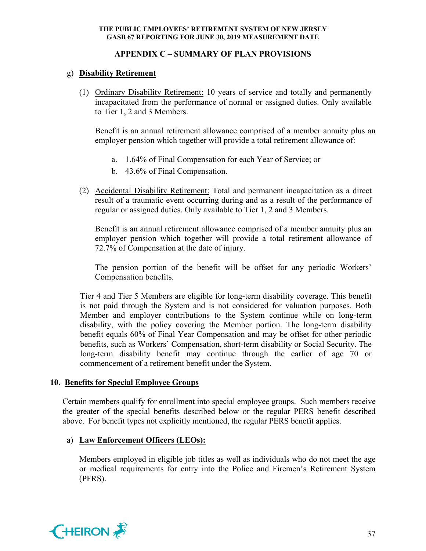# **APPENDIX C – SUMMARY OF PLAN PROVISIONS**

# g) **Disability Retirement**

(1) Ordinary Disability Retirement: 10 years of service and totally and permanently incapacitated from the performance of normal or assigned duties. Only available to Tier 1, 2 and 3 Members.

Benefit is an annual retirement allowance comprised of a member annuity plus an employer pension which together will provide a total retirement allowance of:

- a. 1.64% of Final Compensation for each Year of Service; or
- b. 43.6% of Final Compensation.
- (2) Accidental Disability Retirement: Total and permanent incapacitation as a direct result of a traumatic event occurring during and as a result of the performance of regular or assigned duties. Only available to Tier 1, 2 and 3 Members.

Benefit is an annual retirement allowance comprised of a member annuity plus an employer pension which together will provide a total retirement allowance of 72.7% of Compensation at the date of injury.

The pension portion of the benefit will be offset for any periodic Workers' Compensation benefits.

Tier 4 and Tier 5 Members are eligible for long-term disability coverage. This benefit is not paid through the System and is not considered for valuation purposes. Both Member and employer contributions to the System continue while on long-term disability, with the policy covering the Member portion. The long-term disability benefit equals 60% of Final Year Compensation and may be offset for other periodic benefits, such as Workers' Compensation, short-term disability or Social Security. The long-term disability benefit may continue through the earlier of age 70 or commencement of a retirement benefit under the System.

## **10. Benefits for Special Employee Groups**

Certain members qualify for enrollment into special employee groups. Such members receive the greater of the special benefits described below or the regular PERS benefit described above. For benefit types not explicitly mentioned, the regular PERS benefit applies.

# a) **Law Enforcement Officers (LEOs):**

Members employed in eligible job titles as well as individuals who do not meet the age or medical requirements for entry into the Police and Firemen's Retirement System (PFRS).

![](_page_38_Picture_15.jpeg)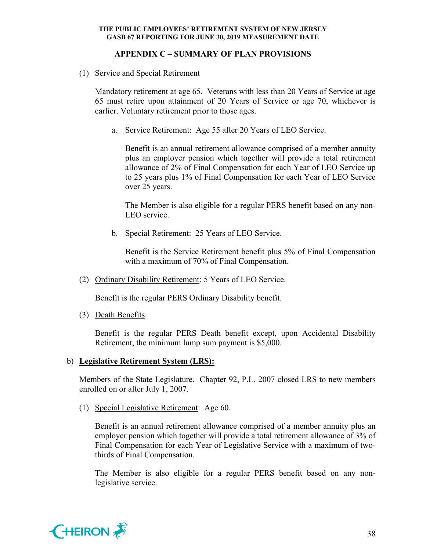# **APPENDIX C – SUMMARY OF PLAN PROVISIONS**

(1) Service and Special Retirement

Mandatory retirement at age 65. Veterans with less than 20 Years of Service at age 65 must retire upon attainment of 20 Years of Service or age 70, whichever is earlier. Voluntary retirement prior to those ages.

a. Service Retirement: Age 55 after 20 Years of LEO Service.

Benefit is an annual retirement allowance comprised of a member annuity plus an employer pension which together will provide a total retirement allowance of 2% of Final Compensation for each Year of LEO Service up to 25 years plus 1% of Final Compensation for each Year of LEO Service over 25 years.

The Member is also eligible for a regular PERS benefit based on any non-LEO service.

b. Special Retirement: 25 Years of LEO Service.

Benefit is the Service Retirement benefit plus 5% of Final Compensation with a maximum of 70% of Final Compensation.

(2) Ordinary Disability Retirement: 5 Years of LEO Service.

Benefit is the regular PERS Ordinary Disability benefit.

(3) Death Benefits:

Benefit is the regular PERS Death benefit except, upon Accidental Disability Retirement, the minimum lump sum payment is \$5,000.

## b) **Legislative Retirement System (LRS):**

Members of the State Legislature. Chapter 92, P.L. 2007 closed LRS to new members enrolled on or after July 1, 2007.

(1) Special Legislative Retirement: Age 60.

Benefit is an annual retirement allowance comprised of a member annuity plus an employer pension which together will provide a total retirement allowance of 3% of Final Compensation for each Year of Legislative Service with a maximum of twothirds of Final Compensation.

The Member is also eligible for a regular PERS benefit based on any nonlegislative service.

![](_page_39_Picture_18.jpeg)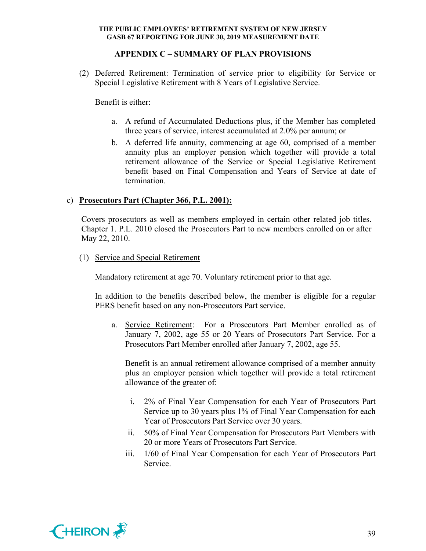# **APPENDIX C – SUMMARY OF PLAN PROVISIONS**

(2) Deferred Retirement: Termination of service prior to eligibility for Service or Special Legislative Retirement with 8 Years of Legislative Service.

Benefit is either:

- a. A refund of Accumulated Deductions plus, if the Member has completed three years of service, interest accumulated at 2.0% per annum; or
- b. A deferred life annuity, commencing at age 60, comprised of a member annuity plus an employer pension which together will provide a total retirement allowance of the Service or Special Legislative Retirement benefit based on Final Compensation and Years of Service at date of termination.

# c) **Prosecutors Part (Chapter 366, P.L. 2001):**

Covers prosecutors as well as members employed in certain other related job titles. Chapter 1. P.L. 2010 closed the Prosecutors Part to new members enrolled on or after May 22, 2010.

(1) Service and Special Retirement

Mandatory retirement at age 70. Voluntary retirement prior to that age.

In addition to the benefits described below, the member is eligible for a regular PERS benefit based on any non-Prosecutors Part service.

a. Service Retirement: For a Prosecutors Part Member enrolled as of January 7, 2002, age 55 or 20 Years of Prosecutors Part Service. For a Prosecutors Part Member enrolled after January 7, 2002, age 55.

Benefit is an annual retirement allowance comprised of a member annuity plus an employer pension which together will provide a total retirement allowance of the greater of:

- i. 2% of Final Year Compensation for each Year of Prosecutors Part Service up to 30 years plus 1% of Final Year Compensation for each Year of Prosecutors Part Service over 30 years.
- ii. 50% of Final Year Compensation for Prosecutors Part Members with 20 or more Years of Prosecutors Part Service.
- iii. 1/60 of Final Year Compensation for each Year of Prosecutors Part Service.

![](_page_40_Picture_16.jpeg)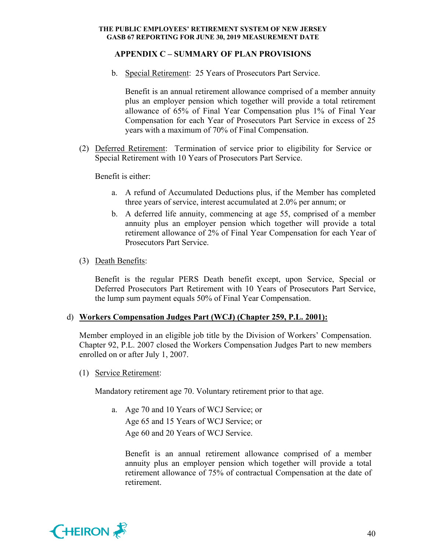# **APPENDIX C – SUMMARY OF PLAN PROVISIONS**

b. Special Retirement: 25 Years of Prosecutors Part Service.

Benefit is an annual retirement allowance comprised of a member annuity plus an employer pension which together will provide a total retirement allowance of 65% of Final Year Compensation plus 1% of Final Year Compensation for each Year of Prosecutors Part Service in excess of 25 years with a maximum of 70% of Final Compensation.

(2) Deferred Retirement: Termination of service prior to eligibility for Service or Special Retirement with 10 Years of Prosecutors Part Service.

Benefit is either:

- a. A refund of Accumulated Deductions plus, if the Member has completed three years of service, interest accumulated at 2.0% per annum; or
- b. A deferred life annuity, commencing at age 55, comprised of a member annuity plus an employer pension which together will provide a total retirement allowance of 2% of Final Year Compensation for each Year of Prosecutors Part Service.

## (3) Death Benefits:

Benefit is the regular PERS Death benefit except, upon Service, Special or Deferred Prosecutors Part Retirement with 10 Years of Prosecutors Part Service, the lump sum payment equals 50% of Final Year Compensation.

## d) **Workers Compensation Judges Part (WCJ) (Chapter 259, P.L. 2001):**

Member employed in an eligible job title by the Division of Workers' Compensation. Chapter 92, P.L. 2007 closed the Workers Compensation Judges Part to new members enrolled on or after July 1, 2007.

(1) Service Retirement:

Mandatory retirement age 70. Voluntary retirement prior to that age.

a. Age 70 and 10 Years of WCJ Service; or Age 65 and 15 Years of WCJ Service; or Age 60 and 20 Years of WCJ Service.

Benefit is an annual retirement allowance comprised of a member annuity plus an employer pension which together will provide a total retirement allowance of 75% of contractual Compensation at the date of retirement.

![](_page_41_Picture_16.jpeg)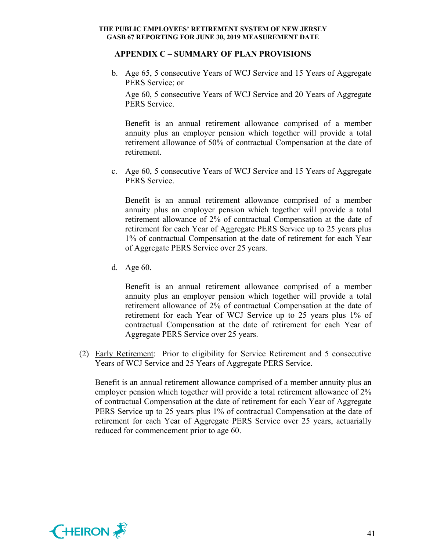#### **APPENDIX C – SUMMARY OF PLAN PROVISIONS**

b. Age 65, 5 consecutive Years of WCJ Service and 15 Years of Aggregate PERS Service; or

Age 60, 5 consecutive Years of WCJ Service and 20 Years of Aggregate PERS Service.

Benefit is an annual retirement allowance comprised of a member annuity plus an employer pension which together will provide a total retirement allowance of 50% of contractual Compensation at the date of retirement.

c. Age 60, 5 consecutive Years of WCJ Service and 15 Years of Aggregate PERS Service.

Benefit is an annual retirement allowance comprised of a member annuity plus an employer pension which together will provide a total retirement allowance of 2% of contractual Compensation at the date of retirement for each Year of Aggregate PERS Service up to 25 years plus 1% of contractual Compensation at the date of retirement for each Year of Aggregate PERS Service over 25 years.

d. Age 60.

Benefit is an annual retirement allowance comprised of a member annuity plus an employer pension which together will provide a total retirement allowance of 2% of contractual Compensation at the date of retirement for each Year of WCJ Service up to 25 years plus 1% of contractual Compensation at the date of retirement for each Year of Aggregate PERS Service over 25 years.

(2) Early Retirement: Prior to eligibility for Service Retirement and 5 consecutive Years of WCJ Service and 25 Years of Aggregate PERS Service.

Benefit is an annual retirement allowance comprised of a member annuity plus an employer pension which together will provide a total retirement allowance of 2% of contractual Compensation at the date of retirement for each Year of Aggregate PERS Service up to 25 years plus 1% of contractual Compensation at the date of retirement for each Year of Aggregate PERS Service over 25 years, actuarially reduced for commencement prior to age 60.

![](_page_42_Picture_11.jpeg)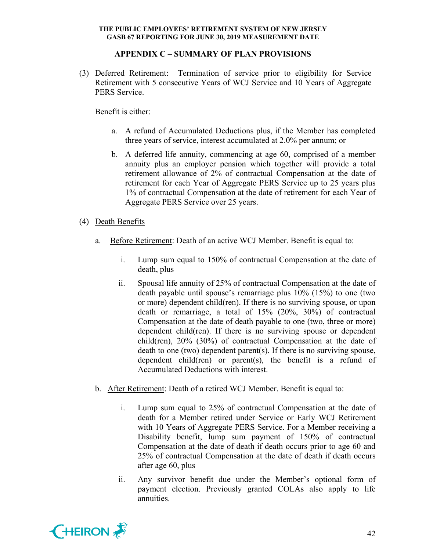# **APPENDIX C – SUMMARY OF PLAN PROVISIONS**

(3) Deferred Retirement: Termination of service prior to eligibility for Service Retirement with 5 consecutive Years of WCJ Service and 10 Years of Aggregate PERS Service.

Benefit is either:

- a. A refund of Accumulated Deductions plus, if the Member has completed three years of service, interest accumulated at 2.0% per annum; or
- b. A deferred life annuity, commencing at age 60, comprised of a member annuity plus an employer pension which together will provide a total retirement allowance of 2% of contractual Compensation at the date of retirement for each Year of Aggregate PERS Service up to 25 years plus 1% of contractual Compensation at the date of retirement for each Year of Aggregate PERS Service over 25 years.
- (4) Death Benefits
	- a. Before Retirement: Death of an active WCJ Member. Benefit is equal to:
		- i. Lump sum equal to 150% of contractual Compensation at the date of death, plus
		- ii. Spousal life annuity of 25% of contractual Compensation at the date of death payable until spouse's remarriage plus 10% (15%) to one (two or more) dependent child(ren). If there is no surviving spouse, or upon death or remarriage, a total of 15% (20%, 30%) of contractual Compensation at the date of death payable to one (two, three or more) dependent child(ren). If there is no surviving spouse or dependent child(ren), 20% (30%) of contractual Compensation at the date of death to one (two) dependent parent(s). If there is no surviving spouse, dependent child(ren) or parent(s), the benefit is a refund of Accumulated Deductions with interest.
	- b. After Retirement: Death of a retired WCJ Member. Benefit is equal to:
		- i. Lump sum equal to 25% of contractual Compensation at the date of death for a Member retired under Service or Early WCJ Retirement with 10 Years of Aggregate PERS Service. For a Member receiving a Disability benefit, lump sum payment of 150% of contractual Compensation at the date of death if death occurs prior to age 60 and 25% of contractual Compensation at the date of death if death occurs after age 60, plus
		- ii. Any survivor benefit due under the Member's optional form of payment election. Previously granted COLAs also apply to life annuities.

![](_page_43_Picture_13.jpeg)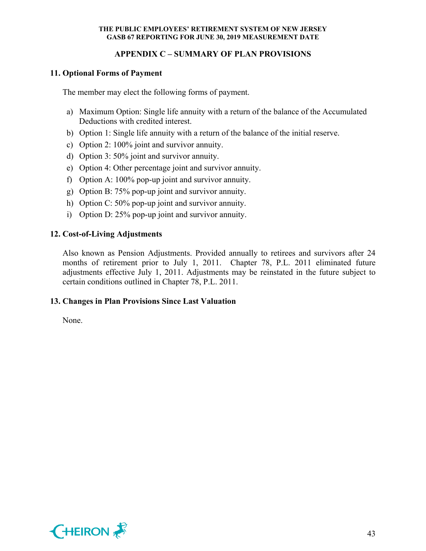# **APPENDIX C – SUMMARY OF PLAN PROVISIONS**

# **11. Optional Forms of Payment**

The member may elect the following forms of payment.

- a) Maximum Option: Single life annuity with a return of the balance of the Accumulated Deductions with credited interest.
- b) Option 1: Single life annuity with a return of the balance of the initial reserve.
- c) Option 2: 100% joint and survivor annuity.
- d) Option 3: 50% joint and survivor annuity.
- e) Option 4: Other percentage joint and survivor annuity.
- f) Option A: 100% pop-up joint and survivor annuity.
- g) Option B: 75% pop-up joint and survivor annuity.
- h) Option C: 50% pop-up joint and survivor annuity.
- i) Option D: 25% pop-up joint and survivor annuity.

# **12. Cost-of-Living Adjustments**

Also known as Pension Adjustments. Provided annually to retirees and survivors after 24 months of retirement prior to July 1, 2011. Chapter 78, P.L. 2011 eliminated future adjustments effective July 1, 2011. Adjustments may be reinstated in the future subject to certain conditions outlined in Chapter 78, P.L. 2011.

## **13. Changes in Plan Provisions Since Last Valuation**

None.

![](_page_44_Picture_17.jpeg)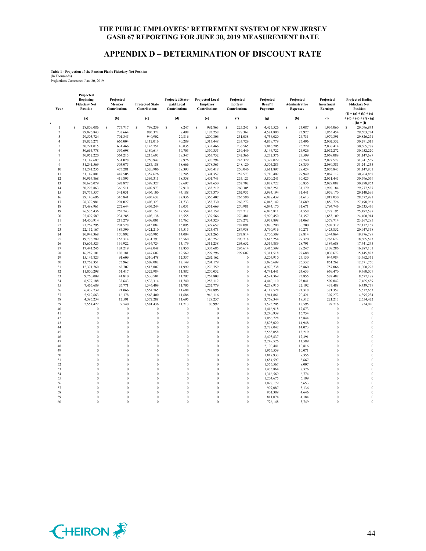## **APPENDIX D – DETERMINATION OF DISCOUNT RATE**

# **Table 1 - Projection of the Pension Plan's Fiduciary Net Position** (In Thousands) Projections Commence June 30, 2019

| Year                    | Projected<br><b>Beginning</b><br><b>Fiduciary Net</b><br><b>Position</b> | Projected<br>Member<br><b>Contributions</b> | <b>Projected State</b><br>Contributions | Projected State-<br>paid Local<br><b>Contributions</b> | <b>Projected Local</b><br><b>Employer</b><br>Contributions | Projected<br>Lottery<br>Contributions | Projected<br>Benefit<br><b>Payments</b> | Projected<br>Administrative<br><b>Expenses</b> | Projected<br>Investment<br><b>Earnings</b> | <b>Projected Ending</b><br><b>Fiduciary Net</b><br>Position<br>$(j) = (a) + (b) + (c)$ |
|-------------------------|--------------------------------------------------------------------------|---------------------------------------------|-----------------------------------------|--------------------------------------------------------|------------------------------------------------------------|---------------------------------------|-----------------------------------------|------------------------------------------------|--------------------------------------------|----------------------------------------------------------------------------------------|
| $\mathfrak{c}$          | (a)                                                                      | (b)                                         | (c)                                     | (d)                                                    | (e)                                                        | (f)                                   | (g)                                     | (h)                                            | (i)                                        | $+(d)+(e)+(f)-(g)$<br>$-(h) + (i)$                                                     |
| $\mathbf{1}$            | 28,809,086<br>\$                                                         | s<br>775,717                                | s<br>798,239                            | s<br>8,247                                             | s<br>992,863                                               | s<br>225,245                          | s<br>4,425,526                          | s<br>23,087                                    | s<br>1,936,060                             | s<br>29,096,843                                                                        |
| $\overline{2}$          | 29,096,843                                                               | 737,664                                     | 903,372                                 | 8,498                                                  | 1,182,258                                                  | 228,362                               | 4,584,800                               | 23,927                                         | 1,955,454                                  | 29,503,724                                                                             |
| $\overline{\mathbf{3}}$ | 29,503,724                                                               | 701,345                                     | 940,902                                 | 29,816                                                 | 1,200,806                                                  | 231,038                               | 4,736,020                               | 24,731                                         | 1,979,391                                  | 29,826,271                                                                             |
| $\overline{4}$          | 29,826,271                                                               | 666,004                                     | 1,112,016                               | 40,289                                                 | 1,315,448                                                  | 233,729                               | 4,879,779                               | 25,496                                         | 2,002,532                                  | 30,291,015                                                                             |
| 5                       | 30,291,015                                                               | 631,466                                     | 1,145,751                               | 40,035                                                 | 1,333,466                                                  | 236,565                               | 5,016,705                               | 26,229                                         | 2,030,414                                  | 30,665,778                                                                             |
| 6                       | 30,665,778                                                               | 597,698                                     | 1,180,614                               | 39,703                                                 | 1,350,355                                                  | 239,449                               | 5,146,722                               | 26,926                                         | 2,052,272                                  | 30,952,220                                                                             |
| 7                       | 30,952,220                                                               | 564,215                                     | 1,215,693                               | 39,347                                                 | 1,365,732                                                  | 242,366                               | 5,272,376                               | 27,599                                         | 2,068,089                                  | 31,147,687                                                                             |
| 8                       | 31,147,687                                                               | 531,028                                     | 1,250,947                               | 38,976                                                 | 1,370,294                                                  | 245,329                               | 5,392,029                               | 28,240                                         | 2,077,577                                  | 31,241,569                                                                             |
| $\mathbf Q$             | 31,241,569                                                               | 503,075                                     | 1,285,188                               | 38,666                                                 | 1,378,365                                                  | 248,120                               | 5,505,283                               | 28,850                                         | 2,080,385                                  | 31,241,235                                                                             |
| 10                      | 31,241,235                                                               | 475,281                                     | 1,320,906                               | 38,393                                                 | 1,386,418                                                  | 250,046                               | 5,611,897                               | 29,424                                         | 2,076,843                                  | 31,147,801                                                                             |
| 11                      | 31,147,801                                                               | 447,505                                     | 1,357,626                               | 38,245                                                 | 1,394,357                                                  | 252,573                               | 5,710,402                               | 29,949                                         | 2,067,112                                  | 30,964,868                                                                             |
| 12                      | 30,964,868                                                               | 419,895                                     | 1,395,311                               | 38,358                                                 | 1,401,743                                                  | 255,125                               | 5,800,241                               | 30,425                                         | 2,051,445                                  | 30,696,079                                                                             |
| 13                      | 30,696,079                                                               | 392,877                                     | 1,399,327                               | 38,697                                                 | 1,393,650                                                  | 257,702                               | 5,877,722                               | 30,835                                         | 2,029,088                                  | 30,298,863                                                                             |
| 14                      | 30,298,863                                                               | 366,511                                     | 1,402,973                               | 39,910                                                 | 1,385,219                                                  | 260,305                               | 5,943,251                               | 31,179                                         | 1,998,184                                  | 29,777,537                                                                             |
|                         |                                                                          |                                             |                                         |                                                        |                                                            |                                       |                                         |                                                |                                            |                                                                                        |
| 15                      | 29,777,537                                                               | 341,031                                     | 1,406,100                               | 44,188                                                 | 1,375,370                                                  | 262,935                               | 5,994,194                               | 31,441                                         | 1,959,170                                  | 29,140,696                                                                             |
| 16                      | 29,140,696                                                               | 316,841                                     | 1,403,632                               | 27,836                                                 | 1,366,407                                                  | 265,590                               | 6,028,439                               | 31,613                                         | 1,912,030                                  | 28,372,981                                                                             |
| 17                      | 28,372,981                                                               | 294,027                                     | 1,403,323                               | 21,733                                                 | 1,358,730                                                  | 268,272                               | 6,045,142                               | 31,689                                         | 1,856,726                                  | 27,498,961                                                                             |
| 18                      | 27,498,961                                                               | 272,644                                     | 1,403,244                               | 19,031                                                 | 1,351,669                                                  | 270,981                               | 6,044,170                               | 31,671                                         | 1,794,746                                  | 26,535,436                                                                             |
| 19                      | 26,535,436                                                               | 252,743                                     | 1,403,152                               | 17,554                                                 | 1,345,159                                                  | 273,717                               | 6,025,811                               | 31,558                                         | 1,727,195                                  | 25,497,587                                                                             |
| 20                      | 25,497,587                                                               | 234,285                                     | 1,403,138                               | 16,555                                                 | 1,339,566                                                  | 276,481                               | 5,990,450                               | 31,357                                         | 1,655,109                                  | 24,400,914                                                                             |
| 21                      | 24,400,914                                                               | 217,279                                     | 1,409,001                               | 15,762                                                 | 1,334,320                                                  | 279,272                               | 5,937,898                               | 31,068                                         | 1,579,714                                  | 23,267,295                                                                             |
| 22                      | 23,267,295                                                               | 201,528                                     | 1,415,082                               | 15,095                                                 | 1,329,657                                                  | 282,091                               | 5,870,200                               | 30,700                                         | 1,502,319                                  | 22,112,167                                                                             |
| 23                      | 22,112,167                                                               | 186,399                                     | 1,421,210                               | 14,515                                                 | 1,325,473                                                  | 284,938                               | 5,790,916                               | 30,271                                         | 1,423,852                                  | 20,947,368                                                                             |
| 24                      | 20,947,368                                                               | 170,892                                     | 1,426,905                               | 14,004                                                 | 1,321,265                                                  | 287,814                               | 5,706,509                               | 29,814                                         | 1,344,864                                  | 19,776,789                                                                             |
| 25                      | 19,776,789                                                               | 155,314                                     | 1,431,793                               | 13,560                                                 | 1,316,252                                                  | 290,718                               | 5,615,254                               | 29,320                                         | 1,265,672                                  | 18,605,523                                                                             |
| 26                      | 18,605,523                                                               | 139,922                                     | 1,436,724                               | 13,179                                                 | 1,311,238                                                  | 293,652                               | 5,516,889                               | 28,791                                         | 1,186,688                                  | 17,441,245                                                                             |
| 27                      | 17,441,245                                                               | 124,219                                     | 1,442,048                               | 12,850                                                 | 1,305,685                                                  | 296,614                               | 5,415,599                               | 28,247                                         | 1,108,286                                  | 16,287,101                                                                             |
| 28                      | 16,287,101                                                               | 108,181                                     | 1,447,602                               | 12,569                                                 | 1,299,296                                                  | 299,607                               | 5,311,518                               | 27,688                                         | 1,030,672                                  | 15,145,823                                                                             |
| 29                      | 15,145,823                                                               | 91,609                                      | 1,510,478                               | 12,337                                                 | 1,292,162                                                  | $\theta$                              | 5,207,910                               | 27,130                                         | 944,984                                    | 13,762,351                                                                             |
| 30                      | 13,762,351                                                               | 75,962                                      | 1,509,082                               | 12,149                                                 | 1,284,179                                                  | $\theta$                              | 5,096,699                               | 26,532                                         | 851,268                                    | 12,371,760                                                                             |
| 31                      | 12,371,760                                                               | 62,707                                      | 1,515,807                               | 11,999                                                 | 1,276,759                                                  | $\theta$                              | 4,970,738                               | 25,860                                         | 757,866                                    | 11,000,298                                                                             |
| 32                      | 11,000,298                                                               | 51,417                                      | 1,522,984                               | 11,882                                                 | 1,270,032                                                  | $\theta$                              | 4,741,441                               | 24,633                                         | 669,470                                    | 9,760,009                                                                              |
| 33                      | 9,760,009                                                                | 41,810                                      | 1,530,501                               | 11,797                                                 | 1,263,808                                                  | $\theta$                              | 4,594,369                               | 23,855                                         | 587,487                                    | 8,577,188                                                                              |
| 34                      | 8,577,188                                                                | 33,643                                      | 1,538,314                               | 11,740                                                 | 1,258,112                                                  | $\theta$                              | 4,440,110                               | 23,041                                         | 509,842                                    | 7,465,689                                                                              |
| 35                      | 7,465,689                                                                | 26,771                                      | 1,546,409                               | 11,705                                                 | 1,252,779                                                  | $\theta$                              | 4,278,910                               | 22,192                                         | 437,488                                    | 6,439,739                                                                              |
| 36                      | 6,439,739                                                                | 21,066                                      | 1,554,765                               | 11,688                                                 | 1,247,895                                                  | $\theta$                              | 4,112,528                               | 21,318                                         | 371,357                                    | 5,512,663                                                                              |
| 37                      | 5,512,663                                                                | 16,378                                      | 1,563,400                               | 11,686                                                 | 946,116                                                    | $\theta$                              | 3,941,861                               | 20,421                                         | 307,272                                    | 4,395,234                                                                              |
| 38                      | 4,395,234                                                                | 12,591                                      | 1,572,288                               | 11,695                                                 | 129,257                                                    | $\overline{0}$                        | 3,768,344                               | 19,512                                         | 221,213                                    | 2,554,422                                                                              |
| 39                      | 2,554,422                                                                | 9,540                                       | 1,581,436                               | 11,713                                                 | 80,992                                                     | $\overline{0}$                        | 3,593,205                               | 18,595                                         | 97,716                                     | 724,020                                                                                |
| 40                      | $\bf{0}$                                                                 | $\theta$                                    | 0                                       | $\theta$                                               | $\theta$                                                   | $\theta$                              | 3,416,918                               | 17,673                                         | $\bf{0}$                                   | $\theta$                                                                               |
| 41                      | $\bf{0}$                                                                 | $\theta$                                    | $\mathbf{0}$                            | $\bf{0}$                                               | $\theta$                                                   | $\theta$                              | 3,240,939                               | 16,754                                         | $\bf{0}$                                   | $\theta$                                                                               |
| 42                      | $\bf{0}$                                                                 | $\theta$                                    | $\bf{0}$                                | $\bf{0}$                                               | $\bf{0}$                                                   | $\theta$                              | 3,066,728                               | 15,844                                         | $\bf{0}$                                   | $\theta$                                                                               |
| 43                      | $\theta$                                                                 | $\theta$                                    | $\theta$                                | $\theta$                                               | $\theta$                                                   | $\theta$                              | 2,895,020                               | 14,948                                         | $\theta$                                   | $\mathbf{0}$                                                                           |
| 44                      | $\theta$                                                                 | $\theta$                                    | $\bf{0}$                                | $\theta$                                               | $\theta$                                                   | $\overline{0}$                        | 2,727,042                               | 14,073                                         | $\theta$                                   | $\theta$                                                                               |
| 45                      | $\bf{0}$                                                                 | $\bf{0}$                                    | $\mathbf{0}$                            | $\bf{0}$                                               | $\bf{0}$                                                   | $\theta$                              | 2,563,058                               | 13,219                                         | $\theta$                                   | $\bf{0}$                                                                               |
| 46                      | $\bf{0}$                                                                 | $\theta$                                    | $\mathbf{0}$                            | $\boldsymbol{0}$                                       | $\boldsymbol{0}$                                           | $\overline{0}$                        | 2,403,837                               | 12,391                                         | $\bf{0}$                                   | $\theta$                                                                               |
| 47                      | $\theta$                                                                 | $\theta$                                    | $\theta$                                | $\theta$                                               | $\theta$                                                   | $\theta$                              | 2,249,526                               | 11,589                                         | $\theta$                                   | $\theta$                                                                               |
|                         | $\theta$                                                                 | $\theta$                                    | $\theta$                                | $\theta$                                               | $\theta$                                                   | $\theta$                              |                                         |                                                | $\theta$                                   | $\theta$                                                                               |
| 48                      | $\theta$                                                                 | $\theta$                                    | $\theta$                                | $\theta$                                               | $\theta$                                                   | $\theta$                              | 2,100,441                               | 10,816                                         | $\theta$                                   | $\theta$                                                                               |
| 49                      | $\theta$                                                                 | $\theta$                                    |                                         |                                                        |                                                            | $\theta$                              | 1,956,559                               | 10,071                                         |                                            | $\theta$                                                                               |
| 50                      |                                                                          | $\theta$                                    | $\overline{0}$                          | $\mathbf{0}$                                           | $\mathbf{0}$                                               | $\theta$                              | 1,817,933                               | 9,355                                          | $\theta$                                   | $\theta$                                                                               |
| 51                      | $\theta$                                                                 |                                             | $\mathbf{0}$                            | $\mathbf{0}$                                           | $\theta$                                                   |                                       | 1,684,597                               | 8,667                                          | $\theta$                                   |                                                                                        |
| 52                      | $\theta$                                                                 | $\theta$                                    | $\theta$                                | $\theta$                                               | $\theta$                                                   | $\theta$                              | 1,556,567                               | 8,007                                          | $\theta$                                   | $\theta$                                                                               |
| 53                      | $\theta$                                                                 | $\theta$                                    | $\mathbf 0$                             | $\theta$                                               | $\theta$                                                   | $\theta$                              | 1,433,864                               | 7,376                                          | $\theta$                                   | $\theta$                                                                               |
| 54                      | $\theta$                                                                 | $\theta$                                    | $\theta$                                | $\mathbf{0}$                                           | $\theta$                                                   | $\theta$                              | 1,316,569                               | 6,774                                          | $\theta$                                   | $\theta$                                                                               |
| 55                      | $\theta$                                                                 | $\theta$                                    | $\overline{0}$                          | $\mathbf{0}$                                           | $\mathbf{0}$                                               | $\overline{0}$                        | 1,204,675                               | 6,199                                          | $\theta$                                   | $\theta$                                                                               |
| 56                      | $\Omega$                                                                 | $\theta$                                    | $\theta$                                | $\theta$                                               | $\Omega$                                                   | $\theta$                              | 1,098,179                               | 5,653                                          | $\theta$                                   | $\theta$                                                                               |
| 57                      | $\theta$                                                                 | $\theta$                                    | $\theta$                                | $\theta$                                               | $\theta$                                                   | $\theta$                              | 997,087                                 | 5,136                                          | $\theta$                                   | $\mathbf{0}$                                                                           |
| 58                      | $\theta$                                                                 | $\theta$                                    | $\theta$                                | $\theta$                                               | $\theta$                                                   | $\theta$                              | 901,389                                 | 4,646                                          | $\theta$                                   | $\mathbf{0}$                                                                           |
| 59                      | $\theta$                                                                 | $\theta$                                    | $\theta$                                | $\theta$                                               | $\theta$                                                   | $\theta$                              | 811,074                                 | 4,184                                          | $\theta$                                   | $\mathbf{0}$                                                                           |
| 60                      | $\alpha$                                                                 | $\Omega$                                    | $\alpha$                                | $\Omega$                                               | $\alpha$                                                   | $\Omega$                              | 726,148                                 | 3,749                                          | $\Omega$                                   | $\mathbf{0}$                                                                           |

![](_page_45_Picture_5.jpeg)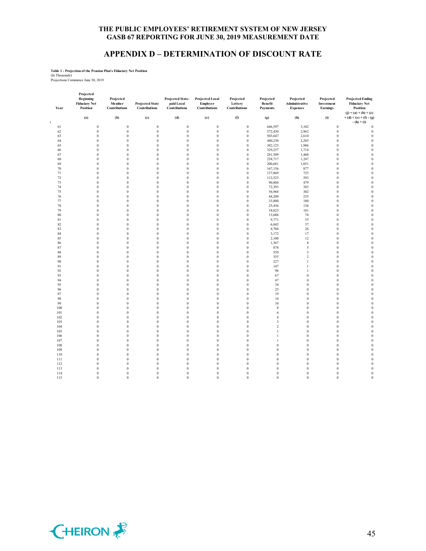# **APPENDIX D – DETERMINATION OF DISCOUNT RATE**

# **Table 1 - Projection of the Pension Plan's Fiduciary Net Position** (In Thousands) Projections Commence June 30, 2019

| Year               | Projected<br><b>Beginning</b><br><b>Fiduciary Net</b><br>Position | Projected<br>Member<br><b>Contributions</b> | <b>Projected State</b><br>Contributions | Projected State-<br>paid Local<br><b>Contributions</b> | <b>Projected Local</b><br><b>Employer</b><br>Contributions | Projected<br>Lottery<br>Contributions | Projected<br>Benefit<br><b>Payments</b> | Projected<br>Administrative<br><b>Expenses</b> | Projected<br>Investment<br><b>Earnings</b> | <b>Projected Ending</b><br><b>Fiduciary Net</b><br>Position<br>$(j) = (a) + (b) + (c)$ |
|--------------------|-------------------------------------------------------------------|---------------------------------------------|-----------------------------------------|--------------------------------------------------------|------------------------------------------------------------|---------------------------------------|-----------------------------------------|------------------------------------------------|--------------------------------------------|----------------------------------------------------------------------------------------|
| $\bar{\mathbf{t}}$ | (a)                                                               | (b)                                         | (c)                                     | (d)                                                    | (e)                                                        | (f)                                   | (g)                                     | (h)                                            | (i)                                        | $+(d)+(e)+(f)-(g)$<br>$-(h) + (i)$                                                     |
| 61                 | $\mathbf{0}$                                                      | $\bf{0}$                                    | $\boldsymbol{0}$                        | $\mathbf{0}$                                           | $\boldsymbol{0}$                                           | $\boldsymbol{0}$                      | 646,597                                 | 3,342                                          | $\theta$                                   | $\boldsymbol{0}$                                                                       |
| 62                 | $\bf{0}$                                                          | $\boldsymbol{0}$                            | $\boldsymbol{0}$                        | $\boldsymbol{0}$                                       | $\boldsymbol{0}$                                           | $\boldsymbol{0}$                      | 572,430                                 | 2,962                                          | $\bf{0}$                                   | $\boldsymbol{0}$                                                                       |
| 63                 | $\mathbf{0}$                                                      | $\boldsymbol{0}$                            | $\boldsymbol{0}$                        | $\boldsymbol{0}$                                       | $\boldsymbol{0}$                                           | $\boldsymbol{0}$                      | 503,647                                 | 2,610                                          | $\boldsymbol{0}$                           | $\boldsymbol{0}$                                                                       |
| 64                 | $\mathbf{0}$                                                      | $\bf{0}$                                    | $\boldsymbol{0}$                        | $\bf{0}$                                               | $\bf{0}$                                                   | $\boldsymbol{0}$                      | 440,230                                 | 2,285                                          | $\bf{0}$                                   | $\boldsymbol{0}$                                                                       |
| 65                 | $\mathbf{0}$                                                      | $\boldsymbol{0}$                            | $\boldsymbol{0}$                        | $\boldsymbol{0}$                                       | $\mathbf{0}$                                               | $\boldsymbol{0}$                      | 382,125                                 | 1,986                                          | $\boldsymbol{0}$                           | $\boldsymbol{0}$                                                                       |
|                    | $\theta$                                                          |                                             | $\mathbf{0}$                            | $\theta$                                               | $\theta$                                                   |                                       |                                         |                                                | $\theta$                                   |                                                                                        |
| 66                 | $\theta$                                                          | $\bf{0}$<br>$\mathbf{0}$                    | $\boldsymbol{0}$                        | $\mathbf{0}$                                           | $\boldsymbol{0}$                                           | $\boldsymbol{0}$<br>$\boldsymbol{0}$  | 329,257<br>281,509                      | 1,714                                          | $\mathbf{0}$                               | $\boldsymbol{0}$<br>$\mathbf{0}$                                                       |
| 67                 |                                                                   |                                             |                                         |                                                        |                                                            |                                       |                                         | 1,468                                          |                                            |                                                                                        |
| 68                 | $\mathbf{0}$                                                      | $\boldsymbol{0}$                            | $\boldsymbol{0}$                        | $\boldsymbol{0}$                                       | $\boldsymbol{0}$                                           | $\boldsymbol{0}$                      | 238,717                                 | 1,247                                          | $\boldsymbol{0}$                           | $\boldsymbol{0}$                                                                       |
| 69                 | $\mathbf{0}$                                                      | $\mathbf{0}$                                | $\mathbf{0}$                            | $\mathbf{0}$                                           | $\mathbf{0}$                                               | $\boldsymbol{0}$                      | 200,681                                 | 1,051                                          | $\mathbf{0}$                               | $\mathbf{0}$                                                                           |
| 70                 | $\mathbf{0}$                                                      | $\boldsymbol{0}$                            | $\boldsymbol{0}$                        | $\bf{0}$                                               | $\bf{0}$                                                   | $\boldsymbol{0}$                      | 167,156                                 | 877                                            | $\boldsymbol{0}$                           | $\boldsymbol{0}$                                                                       |
| 71                 | $\theta$                                                          | $\theta$                                    | $\mathbf{0}$                            | $\mathbf{0}$                                           | $\mathbf{0}$                                               | $\boldsymbol{0}$                      | 137,869                                 | 725                                            | $\mathbf{0}$                               | $\mathbf{0}$                                                                           |
| 72                 | $\mathbf{0}$                                                      | $\boldsymbol{0}$                            | $\mathbf{0}$                            | $\mathbf{0}$                                           | $\theta$                                                   | $\boldsymbol{0}$                      | 112,523                                 | 593                                            | $\bf{0}$                                   | $\boldsymbol{0}$                                                                       |
| 73                 | $\bf{0}$                                                          | $\boldsymbol{0}$                            | $\boldsymbol{0}$                        | $\bf{0}$                                               | $\boldsymbol{0}$                                           | $\boldsymbol{0}$                      | 90,804                                  | 479                                            | $\bf{0}$                                   | $\boldsymbol{0}$                                                                       |
| 74                 | $\mathbf{0}$                                                      | $\boldsymbol{0}$                            | $\boldsymbol{0}$                        | $\mathbf{0}$                                           | $\boldsymbol{0}$                                           | $\boldsymbol{0}$                      | 72,393                                  | 383                                            | $\mathbf{0}$                               | $\boldsymbol{0}$                                                                       |
| 75                 | $\boldsymbol{0}$                                                  | $\boldsymbol{0}$                            | $\boldsymbol{0}$                        | $\boldsymbol{0}$                                       | $\boldsymbol{0}$                                           | $\boldsymbol{0}$                      | 56,968                                  | 302                                            | $\boldsymbol{0}$                           | $\boldsymbol{0}$                                                                       |
| $76\,$             | $\mathbf{0}$                                                      | $\boldsymbol{0}$                            | $\boldsymbol{0}$                        | $\mathbf{0}$                                           | $\boldsymbol{0}$                                           | $\boldsymbol{0}$                      | 44,209                                  | 235                                            | $\mathbf{0}$                               | $\boldsymbol{0}$                                                                       |
| 77                 | $\mathbf{0}$                                                      | $\bf{0}$                                    | $\boldsymbol{0}$                        | $\boldsymbol{0}$                                       | $\bf{0}$                                                   | $\boldsymbol{0}$                      | 33,800                                  | 180                                            | $\bf{0}$                                   | $\boldsymbol{0}$                                                                       |
| 78                 | $\mathbf{0}$                                                      | $\boldsymbol{0}$                            | $\boldsymbol{0}$                        | $\mathbf{0}$                                           | $\boldsymbol{0}$                                           | $\boldsymbol{0}$                      | 25,436                                  | 136                                            | $\boldsymbol{0}$                           | $\boldsymbol{0}$                                                                       |
| 79                 | $\mathbf{0}$                                                      | $\boldsymbol{0}$                            | $\boldsymbol{0}$                        | $\boldsymbol{0}$                                       | $\boldsymbol{0}$                                           | $\boldsymbol{0}$                      | 18,823                                  | 101                                            | $\boldsymbol{0}$                           | $\boldsymbol{0}$                                                                       |
| 80                 | $\mathbf{0}$                                                      | $\boldsymbol{0}$                            | $\boldsymbol{0}$                        | $\boldsymbol{0}$                                       | $\boldsymbol{0}$                                           | $\boldsymbol{0}$                      | 13,686                                  | 74                                             | $\boldsymbol{0}$                           | $\boldsymbol{0}$                                                                       |
| 81                 | $\theta$                                                          | $\boldsymbol{0}$                            | $\boldsymbol{0}$                        | $\bf{0}$                                               | $\boldsymbol{0}$                                           | $\boldsymbol{0}$                      | 9,771                                   | 53                                             | $\boldsymbol{0}$                           | $\boldsymbol{0}$                                                                       |
|                    |                                                                   |                                             |                                         |                                                        |                                                            |                                       |                                         |                                                |                                            |                                                                                        |
| 82                 | $\theta$                                                          | $\boldsymbol{0}$                            | $\boldsymbol{0}$                        | $\boldsymbol{0}$                                       | $\mathbf{0}$                                               | $\boldsymbol{0}$                      | 6,845                                   | 37                                             | $\boldsymbol{0}$                           | $\boldsymbol{0}$                                                                       |
| 83                 | $\theta$                                                          | $\theta$                                    | $\mathbf{0}$                            | $\mathbf{0}$                                           | $\mathbf{0}$                                               | $\mathbf{0}$                          | 4,704                                   | 26                                             | $\theta$                                   | $\boldsymbol{0}$                                                                       |
| 84                 | $\boldsymbol{0}$                                                  | $\boldsymbol{0}$                            | $\boldsymbol{0}$                        | $\boldsymbol{0}$                                       | $\bf{0}$                                                   | $\boldsymbol{0}$                      | 3,172                                   | 17                                             | $\bf{0}$                                   | $\boldsymbol{0}$                                                                       |
| 85                 | $\mathbf{0}$                                                      | $\boldsymbol{0}$                            | $\boldsymbol{0}$                        | $\boldsymbol{0}$                                       | $\boldsymbol{0}$                                           | $\boldsymbol{0}$                      | 2,100                                   | 12                                             | $\boldsymbol{0}$                           | $\boldsymbol{0}$                                                                       |
| 86                 | $\mathbf{0}$                                                      | $\boldsymbol{0}$                            | $\boldsymbol{0}$                        | $\bf{0}$                                               | $\bf{0}$                                                   | $\boldsymbol{0}$                      | 1,367                                   | $\,$ 8 $\,$                                    | $\bf{0}$                                   | $\boldsymbol{0}$                                                                       |
| 87                 | $\mathbf{0}$                                                      | $\boldsymbol{0}$                            | $\boldsymbol{0}$                        | $\bf{0}$                                               | $\boldsymbol{0}$                                           | $\boldsymbol{0}$                      | 878                                     | 5                                              | $\boldsymbol{0}$                           | $\boldsymbol{0}$                                                                       |
| 88                 | $\theta$                                                          | $\bf{0}$                                    | $\boldsymbol{0}$                        | $\theta$                                               | $\theta$                                                   | $\boldsymbol{0}$                      | 559                                     | 3                                              | $\bf{0}$                                   | $\boldsymbol{0}$                                                                       |
| 89                 | $\mathbf{0}$                                                      | $\boldsymbol{0}$                            | $\boldsymbol{0}$                        | $\mathbf{0}$                                           | $\boldsymbol{0}$                                           | $\boldsymbol{0}$                      | 355                                     | $\mathbf 2$                                    | $\mathbf{0}$                               | $\boldsymbol{0}$                                                                       |
| 90                 | $\boldsymbol{0}$                                                  | $\boldsymbol{0}$                            | $\boldsymbol{0}$                        | $\boldsymbol{0}$                                       | $\boldsymbol{0}$                                           | $\boldsymbol{0}$                      | 227                                     | $\mathbf{1}$                                   | $\boldsymbol{0}$                           | $\boldsymbol{0}$                                                                       |
| 91                 | $\theta$                                                          | $\boldsymbol{0}$                            | $\boldsymbol{0}$                        | $\mathbf{0}$                                           | $\boldsymbol{0}$                                           | $\boldsymbol{0}$                      | 147                                     | $\mathbf{1}$                                   | $\mathbf{0}$                               | $\boldsymbol{0}$                                                                       |
| 92                 | $\mathbf{0}$                                                      | $\boldsymbol{0}$                            | $\boldsymbol{0}$                        | $\bf{0}$                                               | $\boldsymbol{0}$                                           | $\boldsymbol{0}$                      | 98                                      | 1                                              | $\bf{0}$                                   | $\boldsymbol{0}$                                                                       |
| 93                 | $\theta$                                                          | $\mathbf{0}$                                | $\mathbf{0}$                            | $\mathbf{0}$                                           | $\mathbf{0}$                                               | $\mathbf{0}$                          | 67                                      | $\mathbf{0}$                                   | $\mathbf{0}$                               | $\boldsymbol{0}$                                                                       |
| 94                 | $\mathbf{0}$                                                      | $\bf{0}$                                    | $\boldsymbol{0}$                        | $\boldsymbol{0}$                                       | $\theta$                                                   | $\boldsymbol{0}$                      | 47                                      | $\mathbf{0}$                                   | $\bf{0}$                                   | $\boldsymbol{0}$                                                                       |
| 95                 | $\mathbf{0}$                                                      | $\boldsymbol{0}$                            | $\boldsymbol{0}$                        | $\mathbf{0}$                                           | $\boldsymbol{0}$                                           | $\boldsymbol{0}$                      | 34                                      | $\mathbf{0}$                                   | $\mathbf{0}$                               | $\boldsymbol{0}$                                                                       |
| 96                 | $\theta$                                                          | $\boldsymbol{0}$                            | $\boldsymbol{0}$                        | $\boldsymbol{0}$                                       | $\boldsymbol{0}$                                           | $\boldsymbol{0}$                      | 25                                      | $\boldsymbol{0}$                               | $\boldsymbol{0}$                           | $\boldsymbol{0}$                                                                       |
| 97                 | $\mathbf{0}$                                                      |                                             |                                         |                                                        |                                                            |                                       |                                         | $\mathbf{0}$                                   |                                            |                                                                                        |
|                    |                                                                   | $\boldsymbol{0}$                            | $\boldsymbol{0}$                        | $\boldsymbol{0}$                                       | $\boldsymbol{0}$                                           | $\boldsymbol{0}$                      | 19                                      |                                                | $\boldsymbol{0}$                           | $\boldsymbol{0}$                                                                       |
| 98                 | $\theta$                                                          | $\boldsymbol{0}$                            | $\boldsymbol{0}$                        | $\theta$                                               | $\bf{0}$                                                   | $\boldsymbol{0}$                      | 14                                      | $\boldsymbol{0}$                               | $\bf{0}$                                   | $\boldsymbol{0}$                                                                       |
| 99                 | $\mathbf{0}$                                                      | $\bf{0}$                                    | $\boldsymbol{0}$                        | $\bf{0}$                                               | $\bf{0}$                                                   | $\boldsymbol{0}$                      | 10                                      | $\boldsymbol{0}$                               | $\bf{0}$                                   | $\boldsymbol{0}$                                                                       |
| 100                | $\mathbf{0}$                                                      | $\boldsymbol{0}$                            | $\boldsymbol{0}$                        | $\bf{0}$                                               | $\bf{0}$                                                   | $\boldsymbol{0}$                      | 8                                       | $\boldsymbol{0}$                               | $\bf{0}$                                   | $\boldsymbol{0}$                                                                       |
| 101                | $\mathbf{0}$                                                      | $\boldsymbol{0}$                            | $\boldsymbol{0}$                        | $\boldsymbol{0}$                                       | $\boldsymbol{0}$                                           | $\boldsymbol{0}$                      | 6                                       | $\boldsymbol{0}$                               | $\boldsymbol{0}$                           | $\boldsymbol{0}$                                                                       |
| 102                | $\mathbf{0}$                                                      | $\boldsymbol{0}$                            | $\boldsymbol{0}$                        | $\boldsymbol{0}$                                       | $\boldsymbol{0}$                                           | $\boldsymbol{0}$                      | $\overline{4}$                          | $\boldsymbol{0}$                               | $\boldsymbol{0}$                           | $\boldsymbol{0}$                                                                       |
| 103                | $\mathbf{0}$                                                      | $\boldsymbol{0}$                            | $\boldsymbol{0}$                        | $\boldsymbol{0}$                                       | $\bf{0}$                                                   | $\boldsymbol{0}$                      | $\mathfrak z$                           | $\boldsymbol{0}$                               | $\bf{0}$                                   | $\boldsymbol{0}$                                                                       |
| 104                | $\mathbf{0}$                                                      | $\boldsymbol{0}$                            | $\boldsymbol{0}$                        | $\boldsymbol{0}$                                       | $\boldsymbol{0}$                                           | $\boldsymbol{0}$                      | $\,2$                                   | $\boldsymbol{0}$                               | $\boldsymbol{0}$                           | $\boldsymbol{0}$                                                                       |
| 105                | $\theta$                                                          | $\bf{0}$                                    | $\mathbf{0}$                            | $\theta$                                               | $\theta$                                                   | $\boldsymbol{0}$                      | $\mathbf{1}$                            | $\mathbf{0}$                                   | $\theta$                                   | $\boldsymbol{0}$                                                                       |
| 106                | $\theta$                                                          | $\boldsymbol{0}$                            | $\boldsymbol{0}$                        | $\mathbf{0}$                                           | $\boldsymbol{0}$                                           | $\boldsymbol{0}$                      | 1                                       | $\mathbf{0}$                                   | $\mathbf{0}$                               | $\mathbf{0}$                                                                           |
| 107                | $\mathbf{0}$                                                      | $\boldsymbol{0}$                            | $\boldsymbol{0}$                        | $\boldsymbol{0}$                                       | $\boldsymbol{0}$                                           | $\boldsymbol{0}$                      | 1                                       | $\boldsymbol{0}$                               | $\boldsymbol{0}$                           | $\boldsymbol{0}$                                                                       |
| 108                | $\mathbf{0}$                                                      | $\mathbf{0}$                                | $\mathbf{0}$                            | $\mathbf{0}$                                           | $\mathbf{0}$                                               | $\mathbf{0}$                          | $\boldsymbol{0}$                        | $\mathbf{0}$                                   | $\mathbf{0}$                               | $\boldsymbol{0}$                                                                       |
| 109                | $\mathbf{0}$                                                      | $\boldsymbol{0}$                            | $\boldsymbol{0}$                        | $\bf{0}$                                               | $\bf{0}$                                                   | $\boldsymbol{0}$                      | $\boldsymbol{0}$                        | $\boldsymbol{0}$                               | $\bf{0}$                                   | $\boldsymbol{0}$                                                                       |
| 110                | $\theta$                                                          | $\theta$                                    | $\mathbf{0}$                            | $\mathbf{0}$                                           | $\theta$                                                   | $\mathbf{0}$                          | $\mathbf{0}$                            | $\mathbf{0}$                                   | $\mathbf{0}$                               | $\mathbf{0}$                                                                           |
| 111                | $\theta$                                                          | $\boldsymbol{0}$                            | $\boldsymbol{0}$                        | $\boldsymbol{0}$                                       | $\bf{0}$                                                   | $\boldsymbol{0}$                      | $\boldsymbol{0}$                        | $\boldsymbol{0}$                               | $\boldsymbol{0}$                           | $\mathbf{0}$                                                                           |
|                    |                                                                   |                                             |                                         |                                                        |                                                            |                                       |                                         |                                                |                                            |                                                                                        |
| 112                | $\boldsymbol{0}$                                                  | $\boldsymbol{0}$                            | $\boldsymbol{0}$                        | $\boldsymbol{0}$                                       | $\boldsymbol{0}$                                           | $\boldsymbol{0}$                      | $\boldsymbol{0}$                        | $\boldsymbol{0}$                               | $\boldsymbol{0}$                           | $\boldsymbol{0}$                                                                       |
| 113                | $\mathbf{0}$                                                      | $\boldsymbol{0}$                            | $\boldsymbol{0}$                        | $\mathbf{0}$                                           | $\boldsymbol{0}$                                           | $\boldsymbol{0}$                      | $\boldsymbol{0}$                        | $\boldsymbol{0}$                               | $\boldsymbol{0}$                           | $\boldsymbol{0}$                                                                       |
| 114                | $\boldsymbol{0}$                                                  | $\boldsymbol{0}$                            | $\boldsymbol{0}$                        | $\boldsymbol{0}$                                       | $\boldsymbol{0}$                                           | $\boldsymbol{0}$                      | $\boldsymbol{0}$                        | $\boldsymbol{0}$                               | $\boldsymbol{0}$                           | $\boldsymbol{0}$                                                                       |
| 115                | $\mathbf{0}$                                                      | $\mathbf{0}$                                | $\mathbf{0}$                            | $\mathbf{0}$                                           | $\mathbf{0}$                                               | $\mathbf{0}$                          | $\boldsymbol{0}$                        | $\mathbf{0}$                                   | $\boldsymbol{0}$                           | $\boldsymbol{0}$                                                                       |

![](_page_46_Picture_5.jpeg)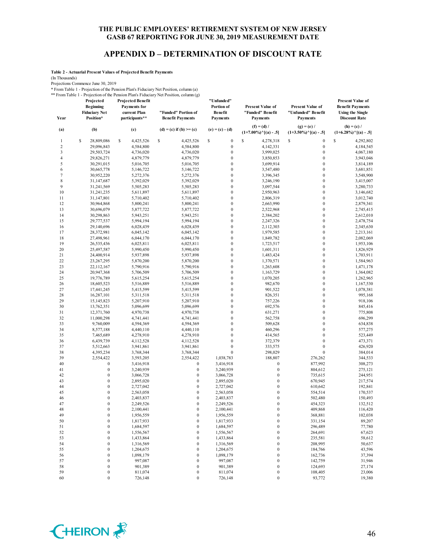# **APPENDIX D – DETERMINATION OF DISCOUNT RATE**

**Table 2 - Actuarial Present Values of Projected Benefit Payments**

(In Thousands)

Projections Commence June 30, 2019

\* From Table 1 - Projection of the Pension Plan's Fiduciary Net Position, column (a)

\*\* From Table 1 - Projection of the Pension Plan's Fiduciary Net Position, column (g) **Projected Projected Benefit** 

| Year           | Projected<br><b>Beginning</b><br><b>Fiduciary Net</b><br>Position* | <b>Projected Benefit</b><br><b>Payments</b> for<br>current Plan<br>participants** | "Funded" Portion of<br><b>Benefit Payments</b> | "Unfunde d"<br>Portion of<br>Benefit<br><b>Payments</b> | <b>Present Value of</b><br>"Funded" Benefit<br><b>Payments</b> | <b>Present Value of</b><br>"Unfunded" Benefit<br><b>Payments</b> | <b>Present Value of</b><br><b>Benefit Payments</b><br><b>Using the Single</b><br><b>Discount Rate</b> |
|----------------|--------------------------------------------------------------------|-----------------------------------------------------------------------------------|------------------------------------------------|---------------------------------------------------------|----------------------------------------------------------------|------------------------------------------------------------------|-------------------------------------------------------------------------------------------------------|
| (a)            | (b)                                                                | (c)                                                                               | (d) = (c) if (b) >= (c)                        | $(e) = (c) - (d)$                                       | $(f) = (d) /$<br>$(1+7.00\%)$ <sup>^</sup> [(a) - .5]          | $(g) = (e) /$<br>$(1+3.50\%)$ <sup>^</sup> [(a) - .5]            | $(h) = (c) /$<br>$(1+6.28\%)$ <sup>^</sup> [(a) - .5]                                                 |
| 1              | s<br>28,809,086                                                    | s<br>4,425,526                                                                    | \$<br>4,425,526                                | \$<br>$\boldsymbol{0}$                                  | \$<br>4,278,318                                                | \$<br>$\boldsymbol{0}$                                           | $\mathsf{\$}$<br>4,292,802                                                                            |
| $\sqrt{2}$     | 29,096,843                                                         | 4,584,800                                                                         | 4,584,800                                      | $\boldsymbol{0}$                                        | 4,142,331                                                      | $\boldsymbol{0}$                                                 | 4,184,545                                                                                             |
| 3              | 29,503,724                                                         | 4,736,020                                                                         | 4,736,020                                      | $\boldsymbol{0}$                                        | 3,999,025                                                      | $\boldsymbol{0}$                                                 | 4,067,180                                                                                             |
| $\overline{4}$ | 29,826,271                                                         | 4,879,779                                                                         | 4,879,779                                      | $\boldsymbol{0}$                                        | 3,850,853                                                      | $\boldsymbol{0}$                                                 | 3,943,046                                                                                             |
| 5              | 30,291,015                                                         | 5,016,705                                                                         | 5,016,705                                      | $\boldsymbol{0}$                                        | 3,699,914                                                      | $\boldsymbol{0}$                                                 | 3,814,189                                                                                             |
| 6              | 30,665,778                                                         | 5,146,722                                                                         | 5,146,722                                      | $\boldsymbol{0}$                                        | 3,547,480                                                      | $\boldsymbol{0}$                                                 | 3,681,851                                                                                             |
| $\overline{7}$ | 30,952,220                                                         | 5,272,376                                                                         | 5,272,376                                      | $\boldsymbol{0}$                                        | 3,396,345                                                      | $\boldsymbol{0}$                                                 | 3,548,900                                                                                             |
| 8              | 31,147,687                                                         | 5,392,029                                                                         | 5,392,029                                      | $\boldsymbol{0}$                                        | 3,246,190                                                      | $\mathbf{0}$                                                     | 3,415,007                                                                                             |
| 9              | 31,241,569                                                         | 5,505,283                                                                         | 5,505,283                                      | $\boldsymbol{0}$                                        | 3,097,544                                                      | $\mathbf{0}$                                                     | 3,280,733                                                                                             |
| 10             | 31,241,235                                                         | 5,611,897                                                                         | 5,611,897                                      | $\boldsymbol{0}$                                        | 2,950,963                                                      | $\boldsymbol{0}$                                                 | 3,146,682                                                                                             |
| 11             | 31,147,801                                                         | 5,710,402                                                                         | 5,710,402                                      | $\boldsymbol{0}$                                        | 2,806,319                                                      | $\boldsymbol{0}$                                                 | 3,012,740                                                                                             |
| 12             | 30,964,868                                                         | 5,800,241                                                                         | 5,800,241                                      | $\boldsymbol{0}$                                        | 2,663,990                                                      | $\mathbf{0}$                                                     | 2,879,341                                                                                             |
| 13             | 30,696,079                                                         | 5,877,722                                                                         | 5,877,722                                      | $\boldsymbol{0}$                                        | 2,522,968                                                      | $\boldsymbol{0}$                                                 | 2,745,415                                                                                             |
| 14             | 30,298,863                                                         | 5,943,251                                                                         | 5,943,251                                      | $\boldsymbol{0}$                                        | 2,384,202                                                      | $\mathbf{0}$                                                     | 2,612,010                                                                                             |
| 15             | 29,777,537                                                         | 5,994,194                                                                         | 5,994,194                                      | $\boldsymbol{0}$                                        | 2,247,326                                                      | $\boldsymbol{0}$                                                 | 2,478,754                                                                                             |
| 16             | 29,140,696                                                         | 6,028,439                                                                         | 6,028,439                                      | $\boldsymbol{0}$                                        | 2,112,303                                                      | $\boldsymbol{0}$                                                 | 2,345,630                                                                                             |
| 17             | 28,372,981                                                         | 6,045,142                                                                         | 6,045,142                                      | $\boldsymbol{0}$                                        | 1,979,585                                                      | $\boldsymbol{0}$                                                 | 2,213,161                                                                                             |
| 18             | 27,498,961                                                         | 6,044,170                                                                         | 6,044,170                                      | $\mathbf{0}$                                            | 1,849,782                                                      | $\boldsymbol{0}$                                                 | 2,082,069                                                                                             |
| 19             | 26,535,436                                                         | 6,025,811                                                                         | 6,025,811                                      | $\boldsymbol{0}$                                        | 1,723,517                                                      | $\boldsymbol{0}$                                                 | 1,953,106                                                                                             |
| 20             | 25,497,587                                                         | 5,990,450                                                                         | 5,990,450                                      | $\boldsymbol{0}$                                        | 1,601,311                                                      | $\boldsymbol{0}$                                                 | 1,826,929                                                                                             |
| 21             | 24,400,914                                                         | 5,937,898                                                                         | 5,937,898                                      | $\boldsymbol{0}$                                        | 1,483,424                                                      | $\boldsymbol{0}$                                                 | 1,703,911                                                                                             |
| 22             | 23, 267, 295                                                       | 5,870,200                                                                         | 5,870,200                                      | $\mathbf{0}$                                            | 1,370,571                                                      | $\boldsymbol{0}$                                                 | 1,584,963                                                                                             |
| 23             | 22,112,167                                                         | 5,790,916                                                                         | 5,790,916                                      | $\boldsymbol{0}$                                        | 1,263,608                                                      | $\boldsymbol{0}$                                                 | 1,471,178                                                                                             |
| 24             | 20,947,368                                                         | 5,706,509                                                                         | 5,706,509                                      | $\mathbf{0}$                                            | 1,163,729                                                      | $\boldsymbol{0}$                                                 | 1,364,082                                                                                             |
| 25             | 19,776,789                                                         | 5,615,254                                                                         | 5,615,254                                      | $\boldsymbol{0}$                                        | 1,070,205                                                      | $\boldsymbol{0}$                                                 | 1,262,965                                                                                             |
| 26             | 18,605,523                                                         | 5,516,889                                                                         | 5,516,889                                      | $\boldsymbol{0}$                                        | 982,670                                                        | $\boldsymbol{0}$                                                 | 1,167,530                                                                                             |
| 27             | 17,441,245                                                         | 5,415,599                                                                         | 5,415,599                                      | $\boldsymbol{0}$                                        | 901,522                                                        | $\mathbf{0}$                                                     | 1,078,381                                                                                             |
| 28             | 16,287,101                                                         | 5,311,518                                                                         | 5,311,518                                      | $\boldsymbol{0}$                                        | 826,351                                                        | $\boldsymbol{0}$                                                 | 995,168                                                                                               |
| 29             | 15, 145, 823                                                       | 5,207,910                                                                         | 5,207,910                                      | $\boldsymbol{0}$                                        | 757,226                                                        | $\boldsymbol{0}$                                                 | 918,106                                                                                               |
| 30             | 13,762,351                                                         | 5,096,699                                                                         | 5,096,699                                      | $\boldsymbol{0}$                                        | 692,576                                                        | $\boldsymbol{0}$                                                 | 845,416                                                                                               |
| 31             | 12,371,760                                                         | 4,970,738                                                                         | 4,970,738                                      | $\boldsymbol{0}$                                        | 631,271                                                        | $\mathbf{0}$                                                     | 775,808                                                                                               |
| 32             | 11,000,298                                                         | 4,741,441                                                                         | 4,741,441                                      | $\boldsymbol{0}$                                        | 562,758                                                        | $\boldsymbol{0}$                                                 | 696,299                                                                                               |
| 33             | 9,760,009                                                          | 4,594,369                                                                         | 4,594,369                                      | $\mathbf{0}$                                            | 509,628                                                        | $\mathbf{0}$                                                     | 634,838                                                                                               |
| 34             | 8,577,188                                                          | 4,440,110                                                                         | 4,440,110                                      | $\boldsymbol{0}$                                        | 460,296                                                        | $\mathbf{0}$                                                     | 577,275                                                                                               |
| 35             | 7,465,689                                                          | 4,278,910                                                                         | 4,278,910                                      | $\boldsymbol{0}$                                        | 414,565                                                        | $\mathbf{0}$                                                     | 523,449                                                                                               |
| 36             | 6,439,739                                                          | 4,112,528                                                                         | 4,112,528                                      | $\boldsymbol{0}$<br>$\boldsymbol{0}$                    | 372,379                                                        | $\boldsymbol{0}$<br>$\boldsymbol{0}$                             | 473,371                                                                                               |
| 37             | 5,512,663                                                          | 3,941,861                                                                         | 3,941,861                                      | $\theta$                                                | 333,575                                                        | $\mathbf{0}$                                                     | 426,920                                                                                               |
| 38<br>39       | 4,395,234                                                          | 3,768,344                                                                         | 3,768,344                                      |                                                         | 298,029<br>188,807                                             |                                                                  | 384,014                                                                                               |
| 40             | 2,554,422<br>$\boldsymbol{0}$                                      | 3,593,205<br>3,416,918                                                            | 2,554,422<br>$\bf{0}$                          | 1,038,783<br>3,416,918                                  | $\boldsymbol{0}$                                               | 276,262<br>877,992                                               | 344,533                                                                                               |
| 41             | $\boldsymbol{0}$                                                   | 3,240,939                                                                         | $\mathbf{0}$                                   | 3,240,939                                               | $\boldsymbol{0}$                                               | 804,612                                                          | 308,273<br>275,121                                                                                    |
| 42             | $\boldsymbol{0}$                                                   | 3,066,728                                                                         | $\bf{0}$                                       | 3,066,728                                               | $\boldsymbol{0}$                                               | 735,615                                                          | 244,951                                                                                               |
| 43             | $\mathbf{0}$                                                       | 2,895,020                                                                         | $\mathbf{0}$                                   | 2,895,020                                               | $\boldsymbol{0}$                                               | 670,945                                                          | 217,574                                                                                               |
| 44             | $\mathbf{0}$                                                       | 2,727,042                                                                         | $\bf{0}$                                       | 2,727,042                                               | $\boldsymbol{0}$                                               | 610,642                                                          | 192,841                                                                                               |
| 45             | $\mathbf{0}$                                                       | 2,563,058                                                                         | $\mathbf{0}$                                   | 2,563,058                                               | $\mathbf{0}$                                                   | 554,514                                                          | 170,537                                                                                               |
| 46             | $\boldsymbol{0}$                                                   | 2,403,837                                                                         | $\bf{0}$                                       | 2,403,837                                               | $\boldsymbol{0}$                                               | 502,480                                                          | 150,493                                                                                               |
| 47             | $\mathbf{0}$                                                       | 2,249,526                                                                         | $\mathbf{0}$                                   | 2,249,526                                               | $\mathbf{0}$                                                   | 454,323                                                          | 132,512                                                                                               |
| 48             | 0                                                                  | 2,100,441                                                                         | 0                                              | 2,100,441                                               | 0                                                              | 409,868                                                          | 116,420                                                                                               |
| 49             | $\boldsymbol{0}$                                                   | 1,956,559                                                                         | $\boldsymbol{0}$                               | 1,956,559                                               | $\boldsymbol{0}$                                               | 368,881                                                          | 102,038                                                                                               |
| 50             | $\boldsymbol{0}$                                                   | 1,817,933                                                                         | $\boldsymbol{0}$                               | 1,817,933                                               | $\boldsymbol{0}$                                               | 331,154                                                          | 89,207                                                                                                |
| 51             | $\boldsymbol{0}$                                                   | 1,684,597                                                                         | $\boldsymbol{0}$                               | 1,684,597                                               | $\boldsymbol{0}$                                               | 296,489                                                          | 77,780                                                                                                |
| 52             | $\boldsymbol{0}$                                                   | 1,556,567                                                                         | $\boldsymbol{0}$                               | 1,556,567                                               | $\boldsymbol{0}$                                               | 264,691                                                          | 67,623                                                                                                |
| 53             | $\boldsymbol{0}$                                                   | 1,433,864                                                                         | $\boldsymbol{0}$                               | 1,433,864                                               | $\boldsymbol{0}$                                               | 235,581                                                          | 58,612                                                                                                |
| 54             | $\boldsymbol{0}$                                                   | 1,316,569                                                                         | $\boldsymbol{0}$                               | 1,316,569                                               | $\boldsymbol{0}$                                               | 208,995                                                          | 50,637                                                                                                |
| 55             | $\boldsymbol{0}$                                                   | 1,204,675                                                                         | $\boldsymbol{0}$                               | 1,204,675                                               | $\boldsymbol{0}$                                               | 184,766                                                          | 43,596                                                                                                |
| 56             | $\boldsymbol{0}$                                                   | 1,098,179                                                                         | $\boldsymbol{0}$                               | 1,098,179                                               | $\boldsymbol{0}$                                               | 162,736                                                          | 37,394                                                                                                |
| 57             | $\boldsymbol{0}$                                                   | 997,087                                                                           | $\boldsymbol{0}$                               | 997,087                                                 | $\boldsymbol{0}$                                               | 142,759                                                          | 31,946                                                                                                |
| 58             | $\boldsymbol{0}$                                                   | 901,389                                                                           | $\boldsymbol{0}$                               | 901,389                                                 | $\boldsymbol{0}$                                               | 124,693                                                          | 27,174                                                                                                |
| 59             | $\boldsymbol{0}$                                                   | 811,074                                                                           | $\boldsymbol{0}$                               | 811,074                                                 | $\boldsymbol{0}$                                               | 108,405                                                          | 23,006                                                                                                |
| 60             | $\boldsymbol{0}$                                                   | 726,148                                                                           | $\boldsymbol{0}$                               | 726,148                                                 | $\boldsymbol{0}$                                               | 93,772                                                           | 19,380                                                                                                |

![](_page_47_Picture_8.jpeg)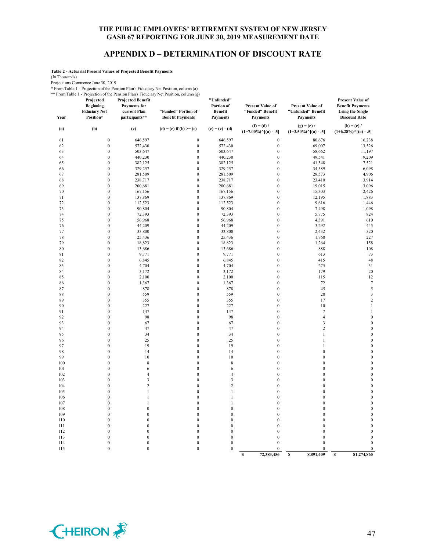# **APPENDIX D – DETERMINATION OF DISCOUNT RATE**

**Table 2 - Actuarial Present Values of Projected Benefit Payments**

(In Thousands)

Projections Commence June 30, 2019

\* From Table 1 - Projection of the Pension Plan's Fiduciary Net Position, column (a) \*\* From Table 1 - Projection of the Pension Plan's Fiduciary Net Position, column (g)

|            | Projected<br><b>Beginning</b><br><b>Fiduciary Net</b> | <b>Projected Benefit</b><br><b>Payments</b> for<br>current Plan | "Funded" Portion of                  | "Unfunded"<br>Portion of<br>Benefit | <b>Present Value of</b><br>"Funded" Benefit           | <b>Present Value of</b><br>"Unfunded" Benefit         | <b>Present Value of</b><br><b>Benefit Payments</b><br><b>Using the Single</b> |
|------------|-------------------------------------------------------|-----------------------------------------------------------------|--------------------------------------|-------------------------------------|-------------------------------------------------------|-------------------------------------------------------|-------------------------------------------------------------------------------|
| Year       | Position*                                             | participants**                                                  | <b>Benefit Payments</b>              | <b>Payments</b>                     | <b>Payments</b>                                       | <b>Payments</b>                                       | <b>Discount Rate</b>                                                          |
| (a)        | (b)                                                   | (c)                                                             | (d) = (c) if (b) >= (c)              | $(e) = (c) - (d)$                   | $(f) = (d) /$<br>$(1+7.00\%)$ <sup>^</sup> [(a) - .5] | $(g) = (e) /$<br>$(1+3.50\%)$ <sup>^</sup> [(a) - .5] | $(h) = (c) /$<br>$(1+6.28\%)$ <sup>^</sup> [(a) - .5]                         |
| 61         | $\boldsymbol{0}$                                      | 646,597                                                         | $\boldsymbol{0}$                     | 646,597                             | $\boldsymbol{0}$                                      | 80,676                                                | 16,238                                                                        |
| 62         | $\boldsymbol{0}$                                      | 572,430                                                         | $\boldsymbol{0}$                     | 572,430                             | $\boldsymbol{0}$                                      | 69,007                                                | 13,526                                                                        |
| 63         | $\boldsymbol{0}$                                      | 503,647                                                         | $\boldsymbol{0}$                     | 503,647                             | $\boldsymbol{0}$                                      | 58,662                                                | 11,197                                                                        |
| 64         | $\boldsymbol{0}$                                      | 440,230                                                         | $\boldsymbol{0}$                     | 440,230                             | $\mathbf{0}$                                          | 49,541                                                | 9,209                                                                         |
| 65         | $\boldsymbol{0}$                                      | 382,125                                                         | $\boldsymbol{0}$                     | 382,125                             | $\boldsymbol{0}$                                      | 41,548                                                | 7,521                                                                         |
| 66         | $\boldsymbol{0}$                                      | 329,257                                                         | $\boldsymbol{0}$                     | 329,257                             | $\boldsymbol{0}$                                      | 34,589                                                | 6,098                                                                         |
| 67         | $\mathbf{0}$                                          | 281,509                                                         | $\mathbf{0}$                         | 281,509                             | $\mathbf{0}$                                          | 28,573                                                | 4,906                                                                         |
| 68         | $\mathbf{0}$                                          | 238,717                                                         | $\mathbf{0}$                         | 238,717                             | $\mathbf{0}$                                          | 23,410                                                | 3,914                                                                         |
| 69         | $\boldsymbol{0}$                                      | 200,681                                                         | $\boldsymbol{0}$                     | 200,681                             | $\mathbf{0}$                                          | 19,015                                                | 3,096                                                                         |
| 70         | $\boldsymbol{0}$                                      | 167,156                                                         | $\boldsymbol{0}$                     | 167,156                             | $\boldsymbol{0}$                                      | 15,303                                                | 2,426                                                                         |
| 71<br>72   | $\boldsymbol{0}$<br>$\boldsymbol{0}$                  | 137,869<br>112,523                                              | $\boldsymbol{0}$<br>$\boldsymbol{0}$ | 137,869<br>112,523                  | $\boldsymbol{0}$<br>$\mathbf{0}$                      | 12,195<br>9,616                                       | 1,883<br>1,446                                                                |
| 73         | $\boldsymbol{0}$                                      | 90,804                                                          | $\boldsymbol{0}$                     | 90,804                              | $\boldsymbol{0}$                                      | 7,498                                                 | 1,098                                                                         |
| 74         | $\boldsymbol{0}$                                      | 72,393                                                          | $\boldsymbol{0}$                     | 72,393                              | $\boldsymbol{0}$                                      | 5,775                                                 | 824                                                                           |
| 75         | $\boldsymbol{0}$                                      | 56,968                                                          | $\boldsymbol{0}$                     | 56,968                              | $\boldsymbol{0}$                                      | 4,391                                                 | 610                                                                           |
| 76         | $\mathbf{0}$                                          | 44,209                                                          | $\mathbf{0}$                         | 44,209                              | $\mathbf{0}$                                          | 3,292                                                 | 445                                                                           |
| 77         | $\boldsymbol{0}$                                      | 33,800                                                          | $\boldsymbol{0}$                     | 33,800                              | $\boldsymbol{0}$                                      | 2,432                                                 | 320                                                                           |
| 78         | $\boldsymbol{0}$                                      | 25,436                                                          | $\boldsymbol{0}$                     | 25,436                              | $\mathbf{0}$                                          | 1,768                                                 | 227                                                                           |
| 79         | $\boldsymbol{0}$                                      | 18,823                                                          | $\boldsymbol{0}$                     | 18,823                              | $\boldsymbol{0}$                                      | 1,264                                                 | 158                                                                           |
| 80         | $\boldsymbol{0}$                                      | 13,686                                                          | $\boldsymbol{0}$                     | 13,686                              | $\mathbf{0}$                                          | 888                                                   | 108                                                                           |
| 81         | $\boldsymbol{0}$                                      | 9,771                                                           | $\boldsymbol{0}$                     | 9,771                               | $\boldsymbol{0}$                                      | 613                                                   | 73                                                                            |
| 82         | $\boldsymbol{0}$                                      | 6,845                                                           | $\boldsymbol{0}$                     | 6,845                               | $\boldsymbol{0}$                                      | 415                                                   | 48                                                                            |
| 83         | $\boldsymbol{0}$                                      | 4,704                                                           | $\boldsymbol{0}$                     | 4,704                               | $\boldsymbol{0}$                                      | 275                                                   | 31                                                                            |
| 84         | $\boldsymbol{0}$                                      | 3,172                                                           | $\boldsymbol{0}$                     | 3,172                               | $\boldsymbol{0}$                                      | 179                                                   | 20                                                                            |
| 85         | $\mathbf{0}$                                          | 2,100                                                           | $\mathbf{0}$                         | 2,100                               | $\mathbf{0}$                                          | 115                                                   | 12                                                                            |
| 86         | $\boldsymbol{0}$                                      | 1,367                                                           | $\boldsymbol{0}$                     | 1,367                               | $\boldsymbol{0}$                                      | 72                                                    | $\overline{7}$                                                                |
| 87         | $\boldsymbol{0}$                                      | 878                                                             | $\boldsymbol{0}$                     | 878                                 | $\boldsymbol{0}$                                      | 45                                                    | 5                                                                             |
| 88         | $\boldsymbol{0}$                                      | 559                                                             | $\boldsymbol{0}$                     | 559                                 | $\mathbf{0}$                                          | 28                                                    | $\mathbf{3}$                                                                  |
| 89<br>90   | $\boldsymbol{0}$<br>$\boldsymbol{0}$                  | 355<br>227                                                      | $\boldsymbol{0}$<br>$\boldsymbol{0}$ | 355<br>227                          | $\boldsymbol{0}$<br>$\boldsymbol{0}$                  | 17<br>$10\,$                                          | $\overline{2}$<br>$\mathbf{1}$                                                |
| 91         | $\boldsymbol{0}$                                      | 147                                                             | $\boldsymbol{0}$                     | 147                                 | $\boldsymbol{0}$                                      | $\boldsymbol{7}$                                      | $\mathbf{1}$                                                                  |
| 92         | $\boldsymbol{0}$                                      | 98                                                              | $\boldsymbol{0}$                     | 98                                  | $\boldsymbol{0}$                                      | $\overline{4}$                                        | $\boldsymbol{0}$                                                              |
| 93         | $\mathbf{0}$                                          | 67                                                              | $\mathbf{0}$                         | 67                                  | $\mathbf{0}$                                          | $\overline{3}$                                        | $\mathbf{0}$                                                                  |
| 94         | $\mathbf{0}$                                          | 47                                                              | $\mathbf 0$                          | 47                                  | $\mathbf{0}$                                          | $\sqrt{2}$                                            | $\mathbf{0}$                                                                  |
| 95         | $\boldsymbol{0}$                                      | 34                                                              | $\mathbf 0$                          | 34                                  | $\boldsymbol{0}$                                      | $\mathbf{1}$                                          | $\mathbf{0}$                                                                  |
| 96         | $\mathbf{0}$                                          | 25                                                              | $\boldsymbol{0}$                     | 25                                  | $\mathbf{0}$                                          | 1                                                     | $\boldsymbol{0}$                                                              |
| 97         | $\boldsymbol{0}$                                      | 19                                                              | $\boldsymbol{0}$                     | 19                                  | $\boldsymbol{0}$                                      | 1                                                     | $\boldsymbol{0}$                                                              |
| 98         | $\boldsymbol{0}$                                      | 14                                                              | $\boldsymbol{0}$                     | 14                                  | $\boldsymbol{0}$                                      | $\boldsymbol{0}$                                      | $\boldsymbol{0}$                                                              |
| 99         | $\boldsymbol{0}$                                      | 10                                                              | $\boldsymbol{0}$                     | 10                                  | $\bf{0}$                                              | $\boldsymbol{0}$                                      | $\boldsymbol{0}$                                                              |
| 100        | $\boldsymbol{0}$                                      | $\,$ 8 $\,$                                                     | $\boldsymbol{0}$                     | 8                                   | $\boldsymbol{0}$                                      | $\boldsymbol{0}$                                      | $\boldsymbol{0}$                                                              |
| 101        | $\boldsymbol{0}$                                      | 6                                                               | $\boldsymbol{0}$                     | 6                                   | $\boldsymbol{0}$                                      | $\boldsymbol{0}$                                      | $\boldsymbol{0}$                                                              |
| 102        | $\mathbf{0}$                                          | $\overline{4}$                                                  | $\boldsymbol{0}$                     | 4                                   | $\mathbf{0}$                                          | $\boldsymbol{0}$                                      | $\boldsymbol{0}$                                                              |
| 103        | $\boldsymbol{0}$                                      | 3                                                               | $\mathbf{0}$                         | $\mathfrak z$                       | $\boldsymbol{0}$                                      | $\boldsymbol{0}$                                      | $\mathbf{0}$                                                                  |
| 104        | $\mathbf{0}$                                          | $\overline{c}$                                                  | $\mathbf 0$                          | $\overline{c}$                      | $\mathbf{0}$                                          | $\boldsymbol{0}$                                      | $\mathbf{0}$                                                                  |
| 105<br>106 | $\mathbf{0}$<br>$\boldsymbol{0}$                      | $\mathbf{1}$<br>1                                               | $\mathbf{0}$<br>$\boldsymbol{0}$     | $\mathbf{1}$<br>$\mathbf{1}$        | $\mathbf{0}$<br>$\boldsymbol{0}$                      | $\boldsymbol{0}$<br>$\boldsymbol{0}$                  | $\boldsymbol{0}$<br>$\boldsymbol{0}$                                          |
| 107        | $\boldsymbol{0}$                                      | $\mathbf{1}$                                                    | $\boldsymbol{0}$                     | $\mathbf{1}$                        | $\boldsymbol{0}$                                      | $\boldsymbol{0}$                                      | $\boldsymbol{0}$                                                              |
| 108        | $\boldsymbol{0}$                                      | $\boldsymbol{0}$                                                | $\boldsymbol{0}$                     | $\boldsymbol{0}$                    | $\boldsymbol{0}$                                      | $\boldsymbol{0}$                                      | $\boldsymbol{0}$                                                              |
| 109        | $\boldsymbol{0}$                                      | $\boldsymbol{0}$                                                | $\boldsymbol{0}$                     | $\boldsymbol{0}$                    | $\boldsymbol{0}$                                      | $\boldsymbol{0}$                                      | $\boldsymbol{0}$                                                              |
| 110        | $\mathbf{0}$                                          | $\mathbf{0}$                                                    | $\mathbf{0}$                         | $\boldsymbol{0}$                    | $\mathbf{0}$                                          | $\boldsymbol{0}$                                      | $\mathbf{0}$                                                                  |
| 111        | $\boldsymbol{0}$                                      | $\boldsymbol{0}$                                                | $\mathbf 0$                          | $\mathbf{0}$                        | $\mathbf 0$                                           | $\boldsymbol{0}$                                      | $\mathbf{0}$                                                                  |
| 112        | $\mathbf{0}$                                          | $\mathbf{0}$                                                    | $\boldsymbol{0}$                     | $\boldsymbol{0}$                    | $\boldsymbol{0}$                                      | $\boldsymbol{0}$                                      | $\boldsymbol{0}$                                                              |
| 113        | $\mathbf{0}$                                          | $\boldsymbol{0}$                                                | $\boldsymbol{0}$                     | $\boldsymbol{0}$                    | $\mathbf{0}$                                          | $\mathbf{0}$                                          | $\mathbf{0}$                                                                  |
| 114        | $\boldsymbol{0}$                                      | $\boldsymbol{0}$                                                | $\boldsymbol{0}$                     | $\mathbf{0}$                        | $\boldsymbol{0}$                                      | $\boldsymbol{0}$                                      | $\boldsymbol{0}$                                                              |
| 115        | $\boldsymbol{0}$                                      | $\boldsymbol{0}$                                                | $\mathbf 0$                          | $\mathbf{0}$                        | $\bf{0}$                                              | $\boldsymbol{0}$                                      | $\boldsymbol{0}$                                                              |
|            |                                                       |                                                                 |                                      |                                     | 72,383,456<br>S                                       | \$<br>8,891,409                                       | 81,274,865<br>$\mathbf{s}$                                                    |

![](_page_48_Picture_7.jpeg)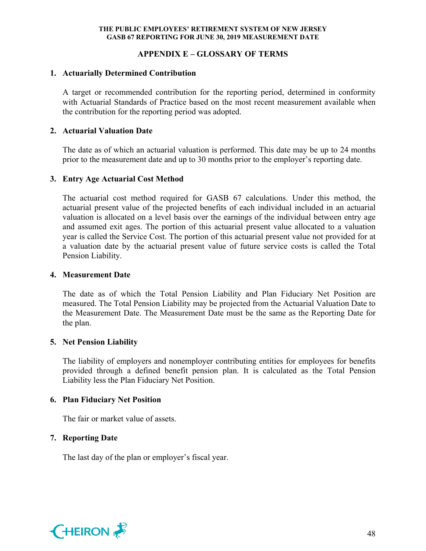# **APPENDIX E – GLOSSARY OF TERMS**

#### **1. Actuarially Determined Contribution**

A target or recommended contribution for the reporting period, determined in conformity with Actuarial Standards of Practice based on the most recent measurement available when the contribution for the reporting period was adopted.

#### **2. Actuarial Valuation Date**

The date as of which an actuarial valuation is performed. This date may be up to 24 months prior to the measurement date and up to 30 months prior to the employer's reporting date.

## **3. Entry Age Actuarial Cost Method**

The actuarial cost method required for GASB 67 calculations. Under this method, the actuarial present value of the projected benefits of each individual included in an actuarial valuation is allocated on a level basis over the earnings of the individual between entry age and assumed exit ages. The portion of this actuarial present value allocated to a valuation year is called the Service Cost. The portion of this actuarial present value not provided for at a valuation date by the actuarial present value of future service costs is called the Total Pension Liability.

#### **4. Measurement Date**

The date as of which the Total Pension Liability and Plan Fiduciary Net Position are measured. The Total Pension Liability may be projected from the Actuarial Valuation Date to the Measurement Date. The Measurement Date must be the same as the Reporting Date for the plan.

## **5. Net Pension Liability**

The liability of employers and nonemployer contributing entities for employees for benefits provided through a defined benefit pension plan. It is calculated as the Total Pension Liability less the Plan Fiduciary Net Position.

## **6. Plan Fiduciary Net Position**

The fair or market value of assets.

## **7. Reporting Date**

The last day of the plan or employer's fiscal year.

![](_page_49_Picture_16.jpeg)